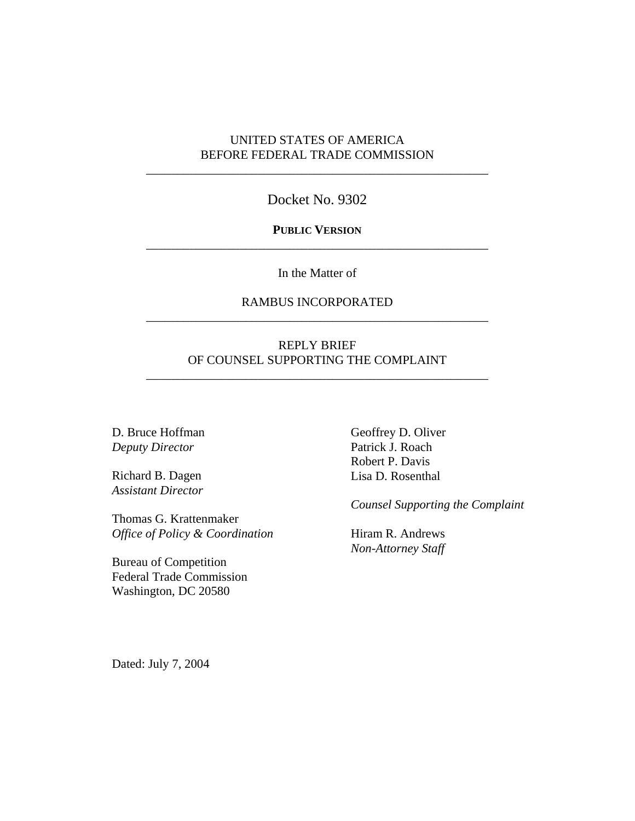## UNITED STATES OF AMERICA BEFORE FEDERAL TRADE COMMISSION

\_\_\_\_\_\_\_\_\_\_\_\_\_\_\_\_\_\_\_\_\_\_\_\_\_\_\_\_\_\_\_\_\_\_\_\_\_\_\_\_\_\_\_\_\_\_\_\_\_\_\_\_\_\_\_

Docket No. 9302

### **PUBLIC VERSION** \_\_\_\_\_\_\_\_\_\_\_\_\_\_\_\_\_\_\_\_\_\_\_\_\_\_\_\_\_\_\_\_\_\_\_\_\_\_\_\_\_\_\_\_\_\_\_\_\_\_\_\_\_\_\_

In the Matter of

## RAMBUS INCORPORATED \_\_\_\_\_\_\_\_\_\_\_\_\_\_\_\_\_\_\_\_\_\_\_\_\_\_\_\_\_\_\_\_\_\_\_\_\_\_\_\_\_\_\_\_\_\_\_\_\_\_\_\_\_\_\_

## REPLY BRIEF OF COUNSEL SUPPORTING THE COMPLAINT

\_\_\_\_\_\_\_\_\_\_\_\_\_\_\_\_\_\_\_\_\_\_\_\_\_\_\_\_\_\_\_\_\_\_\_\_\_\_\_\_\_\_\_\_\_\_\_\_\_\_\_\_\_\_\_

D. Bruce Hoffman *Deputy Director*

Richard B. Dagen *Assistant Director*

Thomas G. Krattenmaker *Office of Policy & Coordination*

Bureau of Competition Federal Trade Commission Washington, DC 20580

Geoffrey D. Oliver Patrick J. Roach Robert P. Davis Lisa D. Rosenthal

*Counsel Supporting the Complaint*

Hiram R. Andrews *Non-Attorney Staff*

Dated: July 7, 2004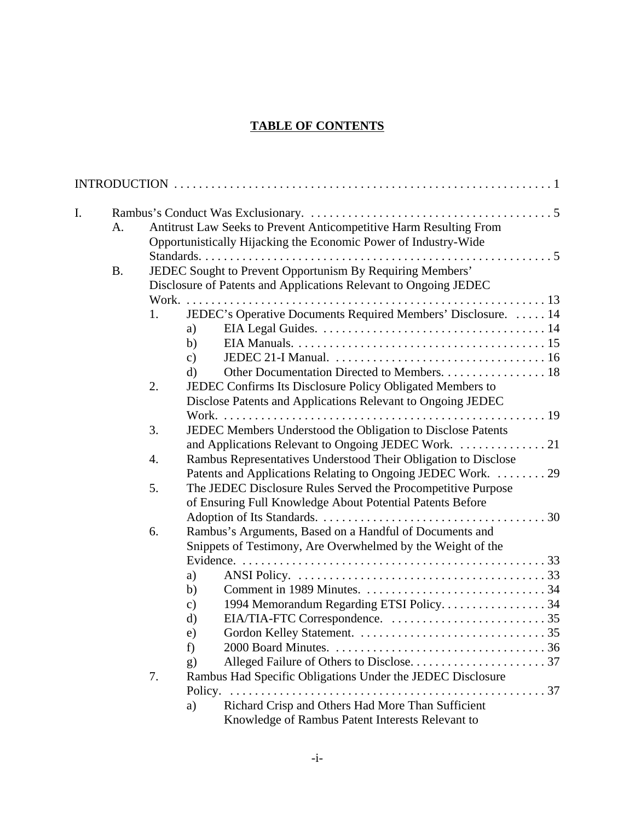# **TABLE OF CONTENTS**

| I. |           |    |                                                                                                                                       |
|----|-----------|----|---------------------------------------------------------------------------------------------------------------------------------------|
|    | A.        |    | Antitrust Law Seeks to Prevent Anticompetitive Harm Resulting From<br>Opportunistically Hijacking the Economic Power of Industry-Wide |
|    |           |    |                                                                                                                                       |
|    | <b>B.</b> |    | JEDEC Sought to Prevent Opportunism By Requiring Members'                                                                             |
|    |           |    | Disclosure of Patents and Applications Relevant to Ongoing JEDEC                                                                      |
|    |           |    |                                                                                                                                       |
|    |           |    | JEDEC's Operative Documents Required Members' Disclosure.  14                                                                         |
|    |           | 1. |                                                                                                                                       |
|    |           |    | a)                                                                                                                                    |
|    |           |    | b)                                                                                                                                    |
|    |           |    | $\mathbf{c})$                                                                                                                         |
|    |           |    | Other Documentation Directed to Members. 18<br>d)                                                                                     |
|    |           | 2. | JEDEC Confirms Its Disclosure Policy Obligated Members to                                                                             |
|    |           |    | Disclose Patents and Applications Relevant to Ongoing JEDEC                                                                           |
|    |           |    |                                                                                                                                       |
|    |           | 3. | JEDEC Members Understood the Obligation to Disclose Patents                                                                           |
|    |           |    |                                                                                                                                       |
|    |           | 4. | Rambus Representatives Understood Their Obligation to Disclose                                                                        |
|    |           |    | Patents and Applications Relating to Ongoing JEDEC Work. 29                                                                           |
|    |           | 5. | The JEDEC Disclosure Rules Served the Procompetitive Purpose                                                                          |
|    |           |    | of Ensuring Full Knowledge About Potential Patents Before                                                                             |
|    |           |    |                                                                                                                                       |
|    |           | 6. | Rambus's Arguments, Based on a Handful of Documents and                                                                               |
|    |           |    | Snippets of Testimony, Are Overwhelmed by the Weight of the                                                                           |
|    |           |    |                                                                                                                                       |
|    |           |    | a)                                                                                                                                    |
|    |           |    | b)                                                                                                                                    |
|    |           |    | 1994 Memorandum Regarding ETSI Policy34<br>$\mathbf{c})$                                                                              |
|    |           |    | $\rm d)$                                                                                                                              |
|    |           |    | e)                                                                                                                                    |
|    |           |    | f)                                                                                                                                    |
|    |           |    | g)                                                                                                                                    |
|    |           | 7. | Rambus Had Specific Obligations Under the JEDEC Disclosure                                                                            |
|    |           |    |                                                                                                                                       |
|    |           |    | Richard Crisp and Others Had More Than Sufficient<br>a)                                                                               |
|    |           |    | Knowledge of Rambus Patent Interests Relevant to                                                                                      |
|    |           |    |                                                                                                                                       |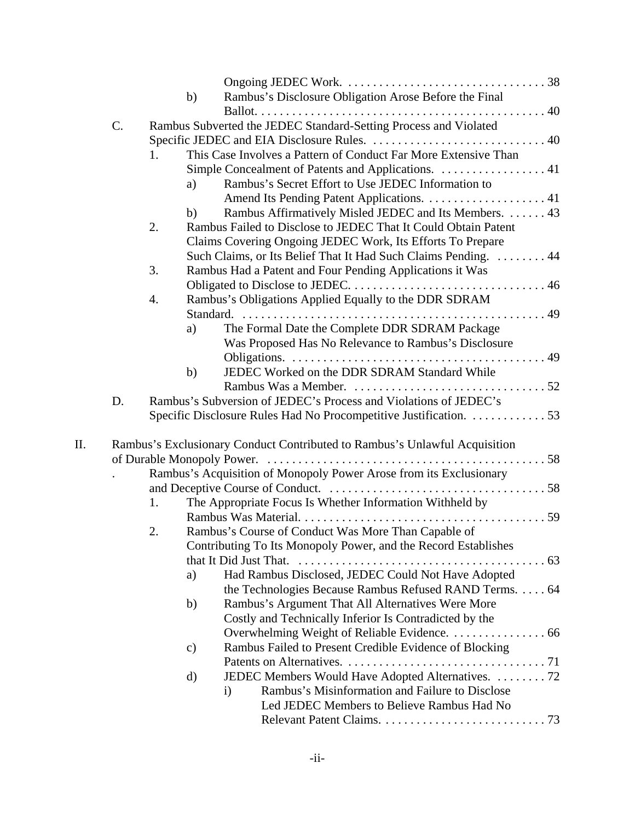|    |    |    | b) | Rambus's Disclosure Obligation Arose Before the Final                      |  |
|----|----|----|----|----------------------------------------------------------------------------|--|
|    |    |    |    |                                                                            |  |
|    | C. |    |    | Rambus Subverted the JEDEC Standard-Setting Process and Violated           |  |
|    |    |    |    |                                                                            |  |
|    |    | 1. |    | This Case Involves a Pattern of Conduct Far More Extensive Than            |  |
|    |    |    |    | Simple Concealment of Patents and Applications. 41                         |  |
|    |    |    | a) | Rambus's Secret Effort to Use JEDEC Information to                         |  |
|    |    |    |    |                                                                            |  |
|    |    |    | b) | Rambus Affirmatively Misled JEDEC and Its Members.  43                     |  |
|    |    | 2. |    | Rambus Failed to Disclose to JEDEC That It Could Obtain Patent             |  |
|    |    |    |    | Claims Covering Ongoing JEDEC Work, Its Efforts To Prepare                 |  |
|    |    |    |    | Such Claims, or Its Belief That It Had Such Claims Pending. 44             |  |
|    |    | 3. |    | Rambus Had a Patent and Four Pending Applications it Was                   |  |
|    |    |    |    |                                                                            |  |
|    |    | 4. |    | Rambus's Obligations Applied Equally to the DDR SDRAM                      |  |
|    |    |    |    |                                                                            |  |
|    |    |    | a) | The Formal Date the Complete DDR SDRAM Package                             |  |
|    |    |    |    | Was Proposed Has No Relevance to Rambus's Disclosure                       |  |
|    |    |    |    |                                                                            |  |
|    |    |    | b) | JEDEC Worked on the DDR SDRAM Standard While                               |  |
|    |    |    |    |                                                                            |  |
|    | D. |    |    | Rambus's Subversion of JEDEC's Process and Violations of JEDEC's           |  |
|    |    |    |    | Specific Disclosure Rules Had No Procompetitive Justification. 53          |  |
|    |    |    |    |                                                                            |  |
| Π. |    |    |    | Rambus's Exclusionary Conduct Contributed to Rambus's Unlawful Acquisition |  |
|    |    |    |    |                                                                            |  |
|    |    |    |    | Rambus's Acquisition of Monopoly Power Arose from its Exclusionary         |  |
|    |    |    |    |                                                                            |  |
|    |    | 1. |    | The Appropriate Focus Is Whether Information Withheld by                   |  |
|    |    |    |    |                                                                            |  |
|    |    | 2. |    | Rambus's Course of Conduct Was More Than Capable of                        |  |
|    |    |    |    | Contributing To Its Monopoly Power, and the Record Establishes             |  |
|    |    |    |    | that It Did Just That.                                                     |  |
|    |    |    | a) | Had Rambus Disclosed, JEDEC Could Not Have Adopted                         |  |
|    |    |    |    | the Technologies Because Rambus Refused RAND Terms. 64                     |  |
|    |    |    | b) | Rambus's Argument That All Alternatives Were More                          |  |
|    |    |    |    | Costly and Technically Inferior Is Contradicted by the                     |  |
|    |    |    |    | Overwhelming Weight of Reliable Evidence. 66                               |  |
|    |    |    | c) | Rambus Failed to Present Credible Evidence of Blocking                     |  |
|    |    |    |    |                                                                            |  |
|    |    |    | d) | JEDEC Members Would Have Adopted Alternatives. 72                          |  |
|    |    |    |    | Rambus's Misinformation and Failure to Disclose<br>$\mathbf{i}$            |  |
|    |    |    |    | Led JEDEC Members to Believe Rambus Had No                                 |  |
|    |    |    |    |                                                                            |  |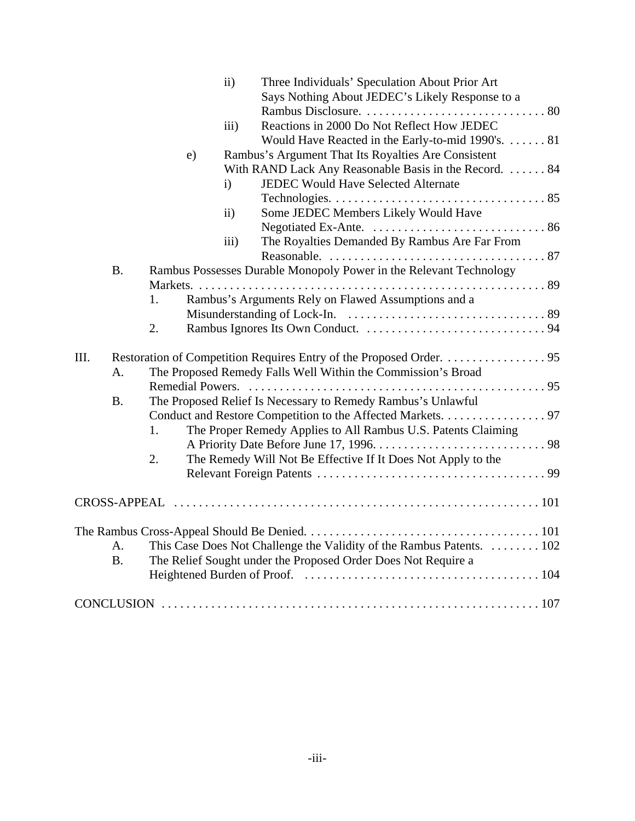|      |           |                                                               |    | $\mathbf{ii}$       | Three Individuals' Speculation About Prior Art                       |  |  |
|------|-----------|---------------------------------------------------------------|----|---------------------|----------------------------------------------------------------------|--|--|
|      |           |                                                               |    |                     | Says Nothing About JEDEC's Likely Response to a                      |  |  |
|      |           |                                                               |    |                     |                                                                      |  |  |
|      |           |                                                               |    | $\overline{iii}$ )  | Reactions in 2000 Do Not Reflect How JEDEC                           |  |  |
|      |           |                                                               |    |                     | Would Have Reacted in the Early-to-mid 1990's. 81                    |  |  |
|      |           |                                                               | e) |                     | Rambus's Argument That Its Royalties Are Consistent                  |  |  |
|      |           |                                                               |    |                     | With RAND Lack Any Reasonable Basis in the Record.  84               |  |  |
|      |           |                                                               |    | $\mathbf{i}$        | JEDEC Would Have Selected Alternate                                  |  |  |
|      |           |                                                               |    |                     |                                                                      |  |  |
|      |           |                                                               |    | $\ddot{\mathbf{i}}$ | Some JEDEC Members Likely Would Have                                 |  |  |
|      |           |                                                               |    |                     |                                                                      |  |  |
|      |           |                                                               |    | iii)                | The Royalties Demanded By Rambus Are Far From                        |  |  |
|      |           |                                                               |    |                     |                                                                      |  |  |
|      | <b>B.</b> |                                                               |    |                     | Rambus Possesses Durable Monopoly Power in the Relevant Technology   |  |  |
|      |           |                                                               |    |                     |                                                                      |  |  |
|      |           | 1.                                                            |    |                     | Rambus's Arguments Rely on Flawed Assumptions and a                  |  |  |
|      |           |                                                               |    |                     |                                                                      |  |  |
|      |           | 2.                                                            |    |                     |                                                                      |  |  |
|      |           |                                                               |    |                     |                                                                      |  |  |
| III. |           |                                                               |    |                     |                                                                      |  |  |
|      | A.        |                                                               |    |                     | The Proposed Remedy Falls Well Within the Commission's Broad         |  |  |
|      |           |                                                               |    |                     |                                                                      |  |  |
|      | <b>B.</b> |                                                               |    |                     | The Proposed Relief Is Necessary to Remedy Rambus's Unlawful         |  |  |
|      |           |                                                               |    |                     | Conduct and Restore Competition to the Affected Markets. 97          |  |  |
|      |           | 1.                                                            |    |                     | The Proper Remedy Applies to All Rambus U.S. Patents Claiming        |  |  |
|      |           |                                                               |    |                     |                                                                      |  |  |
|      |           | 2.                                                            |    |                     | The Remedy Will Not Be Effective If It Does Not Apply to the         |  |  |
|      |           |                                                               |    |                     |                                                                      |  |  |
|      |           |                                                               |    |                     |                                                                      |  |  |
|      |           |                                                               |    |                     |                                                                      |  |  |
|      |           |                                                               |    |                     |                                                                      |  |  |
|      |           |                                                               |    |                     |                                                                      |  |  |
|      | A.        |                                                               |    |                     | This Case Does Not Challenge the Validity of the Rambus Patents. 102 |  |  |
|      | <b>B.</b> | The Relief Sought under the Proposed Order Does Not Require a |    |                     |                                                                      |  |  |
|      |           |                                                               |    |                     |                                                                      |  |  |
|      |           |                                                               |    |                     |                                                                      |  |  |
|      |           |                                                               |    |                     |                                                                      |  |  |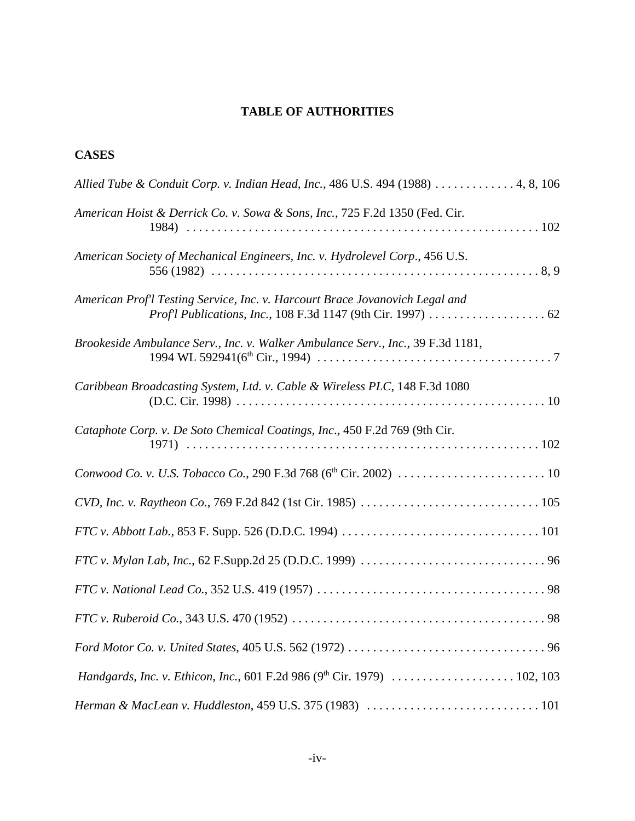# **TABLE OF AUTHORITIES**

# **CASES**

| Allied Tube & Conduit Corp. v. Indian Head, Inc., 486 U.S. 494 (1988)  4, 8, 106 |
|----------------------------------------------------------------------------------|
| American Hoist & Derrick Co. v. Sowa & Sons, Inc., 725 F.2d 1350 (Fed. Cir.      |
| American Society of Mechanical Engineers, Inc. v. Hydrolevel Corp., 456 U.S.     |
| American Prof'l Testing Service, Inc. v. Harcourt Brace Jovanovich Legal and     |
| Brookeside Ambulance Serv., Inc. v. Walker Ambulance Serv., Inc., 39 F.3d 1181,  |
| Caribbean Broadcasting System, Ltd. v. Cable & Wireless PLC, 148 F.3d 1080       |
| Cataphote Corp. v. De Soto Chemical Coatings, Inc., 450 F.2d 769 (9th Cir.       |
|                                                                                  |
|                                                                                  |
|                                                                                  |
|                                                                                  |
|                                                                                  |
|                                                                                  |
|                                                                                  |
| Handgards, Inc. v. Ethicon, Inc., 601 F.2d 986 (9th Cir. 1979)  102, 103         |
|                                                                                  |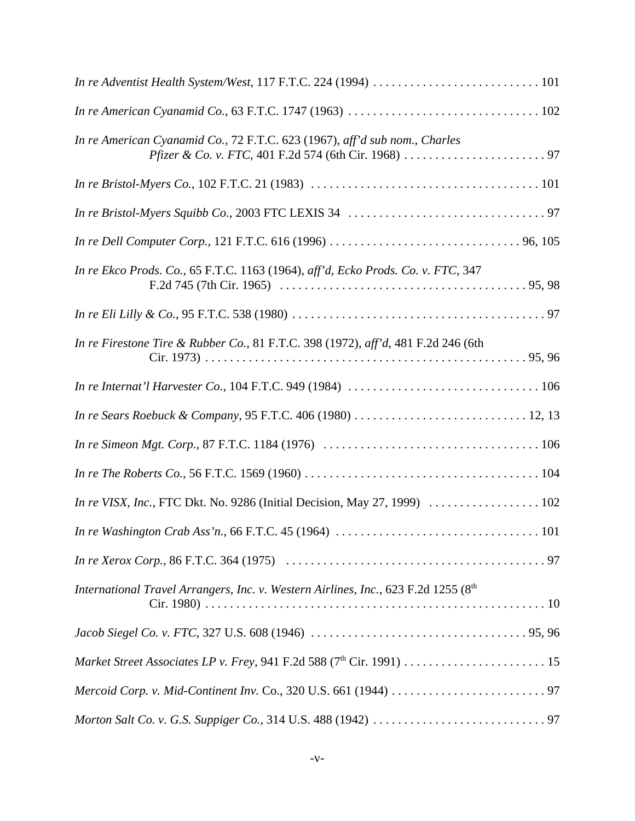| In re American Cyanamid Co., 72 F.T.C. 623 (1967), aff'd sub nom., Charles         |  |
|------------------------------------------------------------------------------------|--|
|                                                                                    |  |
|                                                                                    |  |
|                                                                                    |  |
| In re Ekco Prods. Co., 65 F.T.C. 1163 (1964), aff'd, Ecko Prods. Co. v. FTC, 347   |  |
|                                                                                    |  |
| In re Firestone Tire & Rubber Co., 81 F.T.C. 398 (1972), aff'd, 481 F.2d 246 (6th  |  |
|                                                                                    |  |
|                                                                                    |  |
|                                                                                    |  |
|                                                                                    |  |
| In re VISX, Inc., FTC Dkt. No. 9286 (Initial Decision, May 27, 1999)  102          |  |
|                                                                                    |  |
|                                                                                    |  |
| International Travel Arrangers, Inc. v. Western Airlines, Inc., 623 F.2d 1255 (8th |  |
|                                                                                    |  |
|                                                                                    |  |
|                                                                                    |  |
|                                                                                    |  |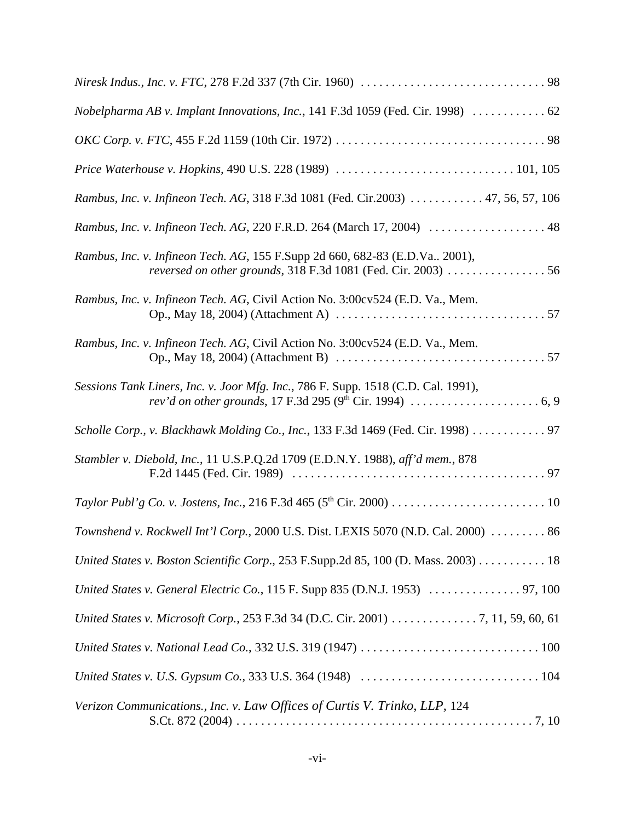| Nobelpharma AB v. Implant Innovations, Inc., 141 F.3d 1059 (Fed. Cir. 1998)  62                                                                |
|------------------------------------------------------------------------------------------------------------------------------------------------|
|                                                                                                                                                |
|                                                                                                                                                |
| Rambus, Inc. v. Infineon Tech. AG, 318 F.3d 1081 (Fed. Cir.2003) 47, 56, 57, 106                                                               |
| Rambus, Inc. v. Infineon Tech. AG, 220 F.R.D. 264 (March 17, 2004)  48                                                                         |
| Rambus, Inc. v. Infineon Tech. AG, 155 F.Supp 2d 660, 682-83 (E.D.Va., 2001),<br>reversed on other grounds, 318 F.3d 1081 (Fed. Cir. 2003)  56 |
| Rambus, Inc. v. Infineon Tech. AG, Civil Action No. 3:00cv524 (E.D. Va., Mem.                                                                  |
| Rambus, Inc. v. Infineon Tech. AG, Civil Action No. 3:00cv524 (E.D. Va., Mem.                                                                  |
| Sessions Tank Liners, Inc. v. Joor Mfg. Inc., 786 F. Supp. 1518 (C.D. Cal. 1991),                                                              |
| Scholle Corp., v. Blackhawk Molding Co., Inc., 133 F.3d 1469 (Fed. Cir. 1998) 97                                                               |
| Stambler v. Diebold, Inc., 11 U.S.P.Q.2d 1709 (E.D.N.Y. 1988), aff'd mem., 878                                                                 |
|                                                                                                                                                |
| Townshend v. Rockwell Int'l Corp., 2000 U.S. Dist. LEXIS 5070 (N.D. Cal. 2000)  86                                                             |
| United States v. Boston Scientific Corp., 253 F.Supp.2d 85, 100 (D. Mass. 2003) 18                                                             |
| United States v. General Electric Co., 115 F. Supp 835 (D.N.J. 1953)  97, 100                                                                  |
| United States v. Microsoft Corp., 253 F.3d 34 (D.C. Cir. 2001) 7, 11, 59, 60, 61                                                               |
|                                                                                                                                                |
|                                                                                                                                                |
| Verizon Communications., Inc. v. Law Offices of Curtis V. Trinko, LLP, 124                                                                     |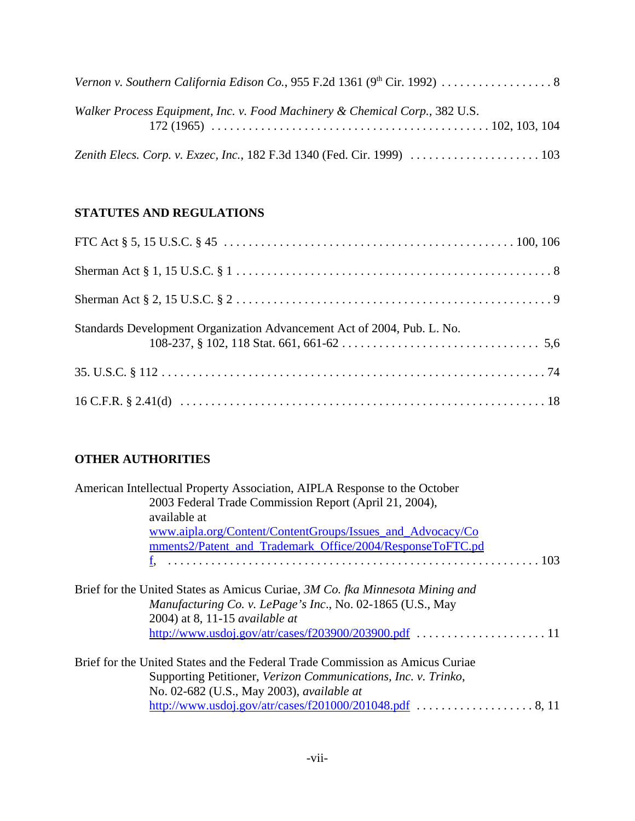| Walker Process Equipment, Inc. v. Food Machinery & Chemical Corp., 382 U.S. |
|-----------------------------------------------------------------------------|
|                                                                             |

# **STATUTES AND REGULATIONS**

| Standards Development Organization Advancement Act of 2004, Pub. L. No. |  |
|-------------------------------------------------------------------------|--|
|                                                                         |  |
|                                                                         |  |

# **OTHER AUTHORITIES**

| American Intellectual Property Association, AIPLA Response to the October     |  |
|-------------------------------------------------------------------------------|--|
| 2003 Federal Trade Commission Report (April 21, 2004),                        |  |
| available at                                                                  |  |
| www.aipla.org/Content/ContentGroups/Issues_and_Advocacy/Co                    |  |
| mments2/Patent_and_Trademark_Office/2004/ResponseToFTC.pd                     |  |
|                                                                               |  |
| Brief for the United States as Amicus Curiae, 3M Co. fka Minnesota Mining and |  |
| Manufacturing Co. v. LePage's Inc., No. 02-1865 (U.S., May                    |  |
| 2004) at 8, 11-15 <i>available at</i>                                         |  |
|                                                                               |  |
| Brief for the United States and the Federal Trade Commission as Amicus Curiae |  |
| Supporting Petitioner, Verizon Communications, Inc. v. Trinko,                |  |
| No. 02-682 (U.S., May 2003), <i>available at</i>                              |  |
|                                                                               |  |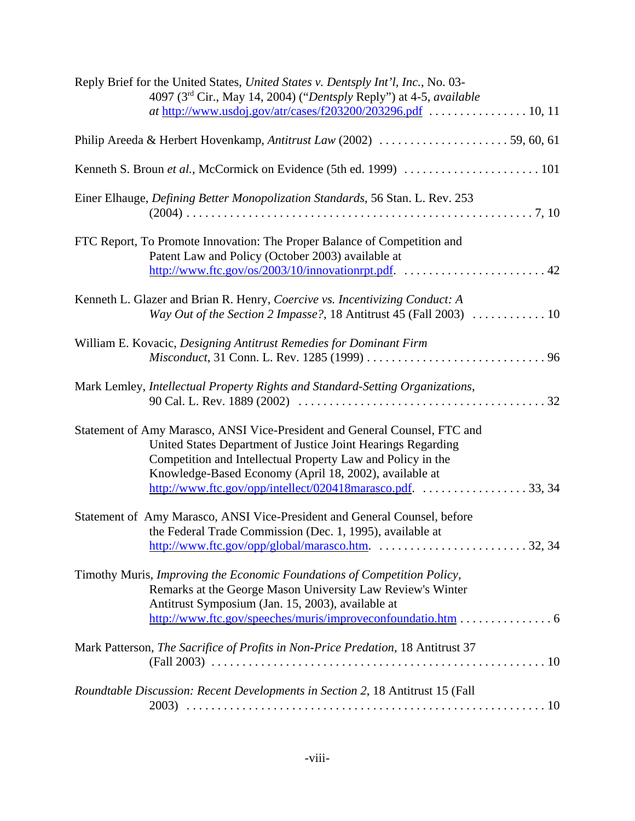| Reply Brief for the United States, United States v. Dentsply Int'l, Inc., No. 03-<br>4097 (3rd Cir., May 14, 2004) ("Dentsply Reply") at 4-5, available                                                                                                             |
|---------------------------------------------------------------------------------------------------------------------------------------------------------------------------------------------------------------------------------------------------------------------|
| Philip Areeda & Herbert Hovenkamp, Antitrust Law (2002) 59, 60, 61                                                                                                                                                                                                  |
| Kenneth S. Broun et al., McCormick on Evidence (5th ed. 1999)  101                                                                                                                                                                                                  |
| Einer Elhauge, Defining Better Monopolization Standards, 56 Stan. L. Rev. 253                                                                                                                                                                                       |
| FTC Report, To Promote Innovation: The Proper Balance of Competition and<br>Patent Law and Policy (October 2003) available at                                                                                                                                       |
| Kenneth L. Glazer and Brian R. Henry, Coercive vs. Incentivizing Conduct: A<br>Way Out of the Section 2 Impasse?, 18 Antitrust 45 (Fall 2003)  10                                                                                                                   |
| William E. Kovacic, Designing Antitrust Remedies for Dominant Firm                                                                                                                                                                                                  |
| Mark Lemley, Intellectual Property Rights and Standard-Setting Organizations,                                                                                                                                                                                       |
| Statement of Amy Marasco, ANSI Vice-President and General Counsel, FTC and<br>United States Department of Justice Joint Hearings Regarding<br>Competition and Intellectual Property Law and Policy in the<br>Knowledge-Based Economy (April 18, 2002), available at |
| Statement of Amy Marasco, ANSI Vice-President and General Counsel, before<br>the Federal Trade Commission (Dec. 1, 1995), available at                                                                                                                              |
| Timothy Muris, Improving the Economic Foundations of Competition Policy,<br>Remarks at the George Mason University Law Review's Winter<br>Antitrust Symposium (Jan. 15, 2003), available at<br>http://www.ftc.gov/speeches/muris/improveconfoundatio.htm 6          |
| Mark Patterson, The Sacrifice of Profits in Non-Price Predation, 18 Antitrust 37                                                                                                                                                                                    |
| Roundtable Discussion: Recent Developments in Section 2, 18 Antitrust 15 (Fall<br>2003)                                                                                                                                                                             |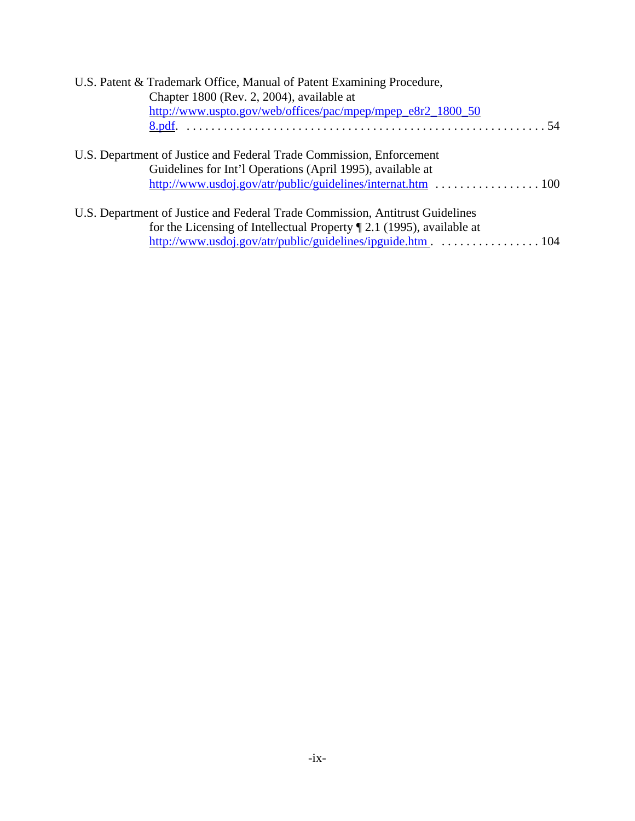| U.S. Patent & Trademark Office, Manual of Patent Examining Procedure,                           |
|-------------------------------------------------------------------------------------------------|
| Chapter 1800 (Rev. 2, 2004), available at                                                       |
| http://www.uspto.gov/web/offices/pac/mpep/mpep_e8r2_1800_50                                     |
|                                                                                                 |
|                                                                                                 |
| U.S. Department of Justice and Federal Trade Commission, Enforcement                            |
| Guidelines for Int'l Operations (April 1995), available at                                      |
|                                                                                                 |
|                                                                                                 |
| U.S. Department of Justice and Federal Trade Commission, Antitrust Guidelines                   |
| for the Licensing of Intellectual Property $\mathbb{Z}$ 2.1 (1995), available at                |
| http://www.usdoj.gov/atr/public/guidelines/ipguide.htm $\ldots \ldots \ldots \ldots \ldots 104$ |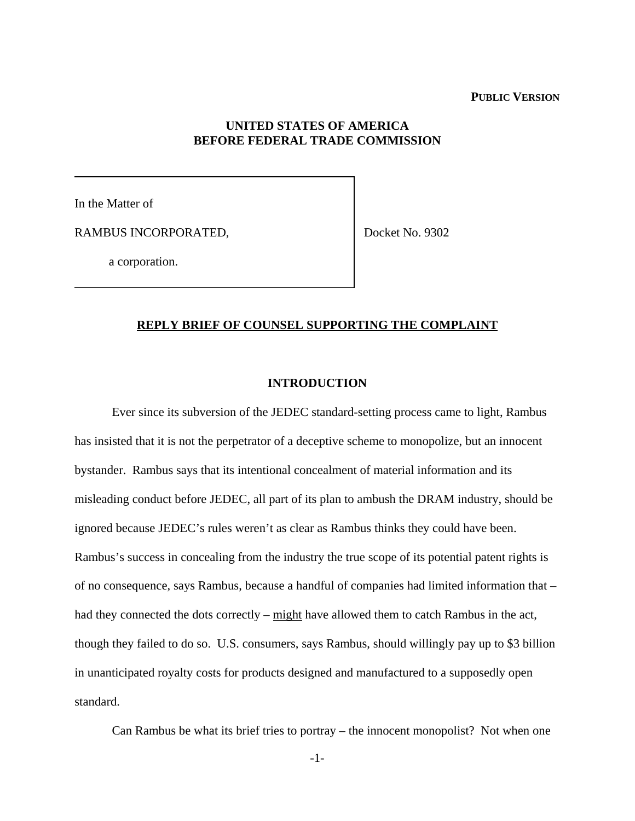### **PUBLIC VERSION**

## **UNITED STATES OF AMERICA BEFORE FEDERAL TRADE COMMISSION**

In the Matter of

RAMBUS INCORPORATED,

Docket No. 9302

a corporation.

#### **REPLY BRIEF OF COUNSEL SUPPORTING THE COMPLAINT**

### **INTRODUCTION**

Ever since its subversion of the JEDEC standard-setting process came to light, Rambus has insisted that it is not the perpetrator of a deceptive scheme to monopolize, but an innocent bystander. Rambus says that its intentional concealment of material information and its misleading conduct before JEDEC, all part of its plan to ambush the DRAM industry, should be ignored because JEDEC's rules weren't as clear as Rambus thinks they could have been. Rambus's success in concealing from the industry the true scope of its potential patent rights is of no consequence, says Rambus, because a handful of companies had limited information that – had they connected the dots correctly –  $might$  have allowed them to catch Rambus in the act, though they failed to do so. U.S. consumers, says Rambus, should willingly pay up to \$3 billion in unanticipated royalty costs for products designed and manufactured to a supposedly open standard.

Can Rambus be what its brief tries to portray – the innocent monopolist? Not when one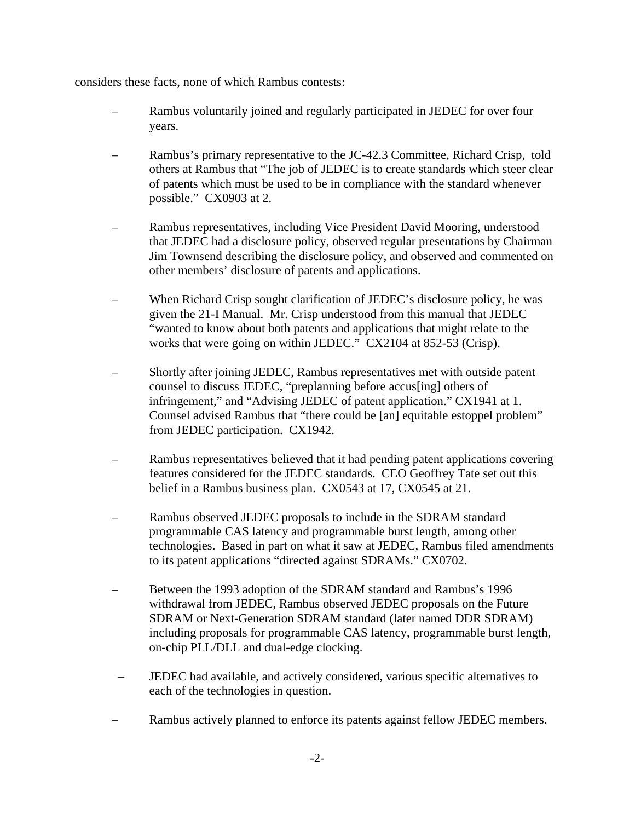considers these facts, none of which Rambus contests:

- Rambus voluntarily joined and regularly participated in JEDEC for over four years.
- Rambus's primary representative to the JC-42.3 Committee, Richard Crisp, told others at Rambus that "The job of JEDEC is to create standards which steer clear of patents which must be used to be in compliance with the standard whenever possible." CX0903 at 2.
- Rambus representatives, including Vice President David Mooring, understood that JEDEC had a disclosure policy, observed regular presentations by Chairman Jim Townsend describing the disclosure policy, and observed and commented on other members' disclosure of patents and applications.
- When Richard Crisp sought clarification of JEDEC's disclosure policy, he was given the 21-I Manual. Mr. Crisp understood from this manual that JEDEC "wanted to know about both patents and applications that might relate to the works that were going on within JEDEC." CX2104 at 852-53 (Crisp).
- Shortly after joining JEDEC, Rambus representatives met with outside patent counsel to discuss JEDEC, "preplanning before accus[ing] others of infringement," and "Advising JEDEC of patent application." CX1941 at 1. Counsel advised Rambus that "there could be [an] equitable estoppel problem" from JEDEC participation. CX1942.
- Rambus representatives believed that it had pending patent applications covering features considered for the JEDEC standards. CEO Geoffrey Tate set out this belief in a Rambus business plan. CX0543 at 17, CX0545 at 21.
- Rambus observed JEDEC proposals to include in the SDRAM standard programmable CAS latency and programmable burst length, among other technologies. Based in part on what it saw at JEDEC, Rambus filed amendments to its patent applications "directed against SDRAMs." CX0702.
- Between the 1993 adoption of the SDRAM standard and Rambus's 1996 withdrawal from JEDEC, Rambus observed JEDEC proposals on the Future SDRAM or Next-Generation SDRAM standard (later named DDR SDRAM) including proposals for programmable CAS latency, programmable burst length, on-chip PLL/DLL and dual-edge clocking.
- JEDEC had available, and actively considered, various specific alternatives to each of the technologies in question.
- Rambus actively planned to enforce its patents against fellow JEDEC members.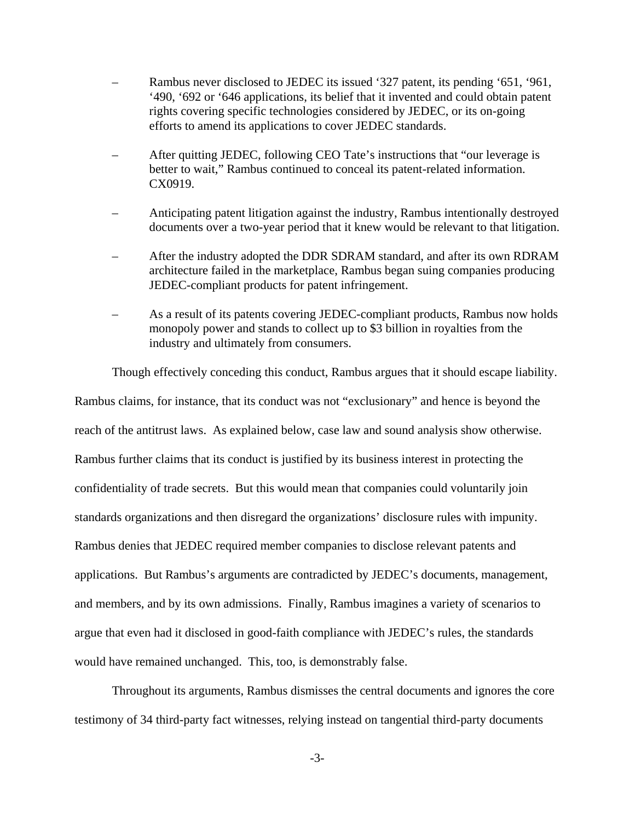- Rambus never disclosed to JEDEC its issued '327 patent, its pending '651, '961, '490, '692 or '646 applications, its belief that it invented and could obtain patent rights covering specific technologies considered by JEDEC, or its on-going efforts to amend its applications to cover JEDEC standards.
- After quitting JEDEC, following CEO Tate's instructions that "our leverage is better to wait," Rambus continued to conceal its patent-related information. CX0919.
- Anticipating patent litigation against the industry, Rambus intentionally destroyed documents over a two-year period that it knew would be relevant to that litigation.
- After the industry adopted the DDR SDRAM standard, and after its own RDRAM architecture failed in the marketplace, Rambus began suing companies producing JEDEC-compliant products for patent infringement.
- As a result of its patents covering JEDEC-compliant products, Rambus now holds monopoly power and stands to collect up to \$3 billion in royalties from the industry and ultimately from consumers.

Though effectively conceding this conduct, Rambus argues that it should escape liability.

Rambus claims, for instance, that its conduct was not "exclusionary" and hence is beyond the reach of the antitrust laws. As explained below, case law and sound analysis show otherwise. Rambus further claims that its conduct is justified by its business interest in protecting the confidentiality of trade secrets. But this would mean that companies could voluntarily join standards organizations and then disregard the organizations' disclosure rules with impunity. Rambus denies that JEDEC required member companies to disclose relevant patents and applications. But Rambus's arguments are contradicted by JEDEC's documents, management, and members, and by its own admissions. Finally, Rambus imagines a variety of scenarios to argue that even had it disclosed in good-faith compliance with JEDEC's rules, the standards would have remained unchanged. This, too, is demonstrably false.

Throughout its arguments, Rambus dismisses the central documents and ignores the core testimony of 34 third-party fact witnesses, relying instead on tangential third-party documents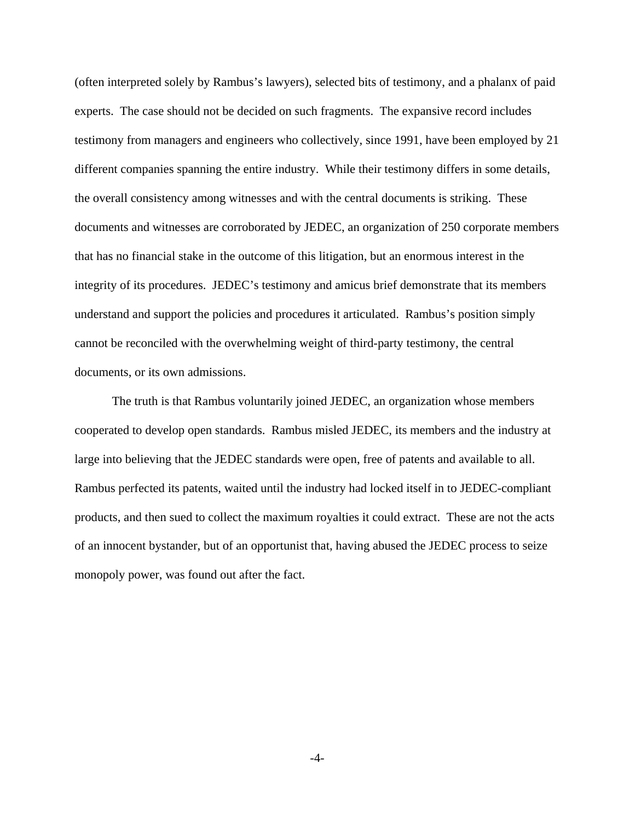(often interpreted solely by Rambus's lawyers), selected bits of testimony, and a phalanx of paid experts. The case should not be decided on such fragments. The expansive record includes testimony from managers and engineers who collectively, since 1991, have been employed by 21 different companies spanning the entire industry. While their testimony differs in some details, the overall consistency among witnesses and with the central documents is striking. These documents and witnesses are corroborated by JEDEC, an organization of 250 corporate members that has no financial stake in the outcome of this litigation, but an enormous interest in the integrity of its procedures. JEDEC's testimony and amicus brief demonstrate that its members understand and support the policies and procedures it articulated. Rambus's position simply cannot be reconciled with the overwhelming weight of third-party testimony, the central documents, or its own admissions.

The truth is that Rambus voluntarily joined JEDEC, an organization whose members cooperated to develop open standards. Rambus misled JEDEC, its members and the industry at large into believing that the JEDEC standards were open, free of patents and available to all. Rambus perfected its patents, waited until the industry had locked itself in to JEDEC-compliant products, and then sued to collect the maximum royalties it could extract. These are not the acts of an innocent bystander, but of an opportunist that, having abused the JEDEC process to seize monopoly power, was found out after the fact.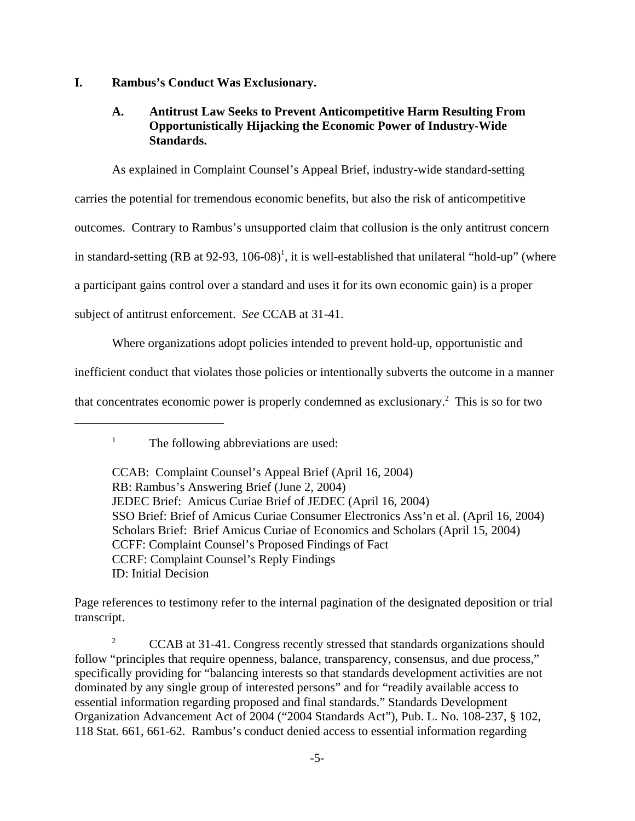### **I. Rambus's Conduct Was Exclusionary.**

## **A. Antitrust Law Seeks to Prevent Anticompetitive Harm Resulting From Opportunistically Hijacking the Economic Power of Industry-Wide Standards.**

As explained in Complaint Counsel's Appeal Brief, industry-wide standard-setting carries the potential for tremendous economic benefits, but also the risk of anticompetitive outcomes. Contrary to Rambus's unsupported claim that collusion is the only antitrust concern in standard-setting (RB at  $92-93$ ,  $106-08$ )<sup>1</sup>, it is well-established that unilateral "hold-up" (where a participant gains control over a standard and uses it for its own economic gain) is a proper subject of antitrust enforcement. *See* CCAB at 31-41.

Where organizations adopt policies intended to prevent hold-up, opportunistic and

inefficient conduct that violates those policies or intentionally subverts the outcome in a manner

that concentrates economic power is properly condemned as exclusionary.<sup>2</sup> This is so for two

Page references to testimony refer to the internal pagination of the designated deposition or trial transcript.

<sup>2</sup> CCAB at 31-41. Congress recently stressed that standards organizations should follow "principles that require openness, balance, transparency, consensus, and due process," specifically providing for "balancing interests so that standards development activities are not dominated by any single group of interested persons" and for "readily available access to essential information regarding proposed and final standards." Standards Development Organization Advancement Act of 2004 ("2004 Standards Act"), Pub. L. No. 108-237, § 102, 118 Stat. 661, 661-62. Rambus's conduct denied access to essential information regarding

<sup>&</sup>lt;sup>1</sup> The following abbreviations are used:

CCAB: Complaint Counsel's Appeal Brief (April 16, 2004) RB: Rambus's Answering Brief (June 2, 2004) JEDEC Brief: Amicus Curiae Brief of JEDEC (April 16, 2004) SSO Brief: Brief of Amicus Curiae Consumer Electronics Ass'n et al. (April 16, 2004) Scholars Brief: Brief Amicus Curiae of Economics and Scholars (April 15, 2004) CCFF: Complaint Counsel's Proposed Findings of Fact CCRF: Complaint Counsel's Reply Findings ID: Initial Decision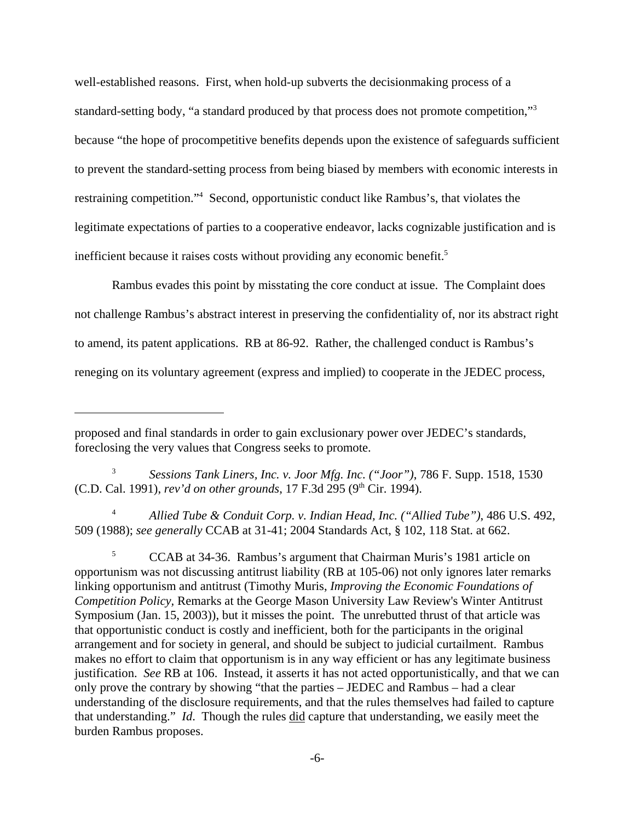well-established reasons. First, when hold-up subverts the decisionmaking process of a standard-setting body, "a standard produced by that process does not promote competition,"3 because "the hope of procompetitive benefits depends upon the existence of safeguards sufficient to prevent the standard-setting process from being biased by members with economic interests in restraining competition."4 Second, opportunistic conduct like Rambus's, that violates the legitimate expectations of parties to a cooperative endeavor, lacks cognizable justification and is inefficient because it raises costs without providing any economic benefit.<sup>5</sup>

Rambus evades this point by misstating the core conduct at issue. The Complaint does not challenge Rambus's abstract interest in preserving the confidentiality of, nor its abstract right to amend, its patent applications. RB at 86-92. Rather, the challenged conduct is Rambus's reneging on its voluntary agreement (express and implied) to cooperate in the JEDEC process,

<sup>3</sup> *Sessions Tank Liners, Inc. v. Joor Mfg. Inc. ("Joor")*, 786 F. Supp. 1518, 1530 (C.D. Cal. 1991), *rev'd on other grounds*, 17 F.3d 295 (9<sup>th</sup> Cir. 1994).

<sup>4</sup> *Allied Tube & Conduit Corp. v. Indian Head, Inc. ("Allied Tube")*, 486 U.S. 492, 509 (1988); *see generally* CCAB at 31-41; 2004 Standards Act, § 102, 118 Stat. at 662.

<sup>5</sup> CCAB at 34-36. Rambus's argument that Chairman Muris's 1981 article on opportunism was not discussing antitrust liability (RB at 105-06) not only ignores later remarks linking opportunism and antitrust (Timothy Muris, *Improving the Economic Foundations of Competition Policy,* Remarks at the George Mason University Law Review's Winter Antitrust Symposium (Jan. 15, 2003)), but it misses the point. The unrebutted thrust of that article was that opportunistic conduct is costly and inefficient, both for the participants in the original arrangement and for society in general, and should be subject to judicial curtailment. Rambus makes no effort to claim that opportunism is in any way efficient or has any legitimate business justification. *See* RB at 106. Instead, it asserts it has not acted opportunistically, and that we can only prove the contrary by showing "that the parties – JEDEC and Rambus – had a clear understanding of the disclosure requirements, and that the rules themselves had failed to capture that understanding." *Id*. Though the rules did capture that understanding, we easily meet the burden Rambus proposes.

proposed and final standards in order to gain exclusionary power over JEDEC's standards, foreclosing the very values that Congress seeks to promote.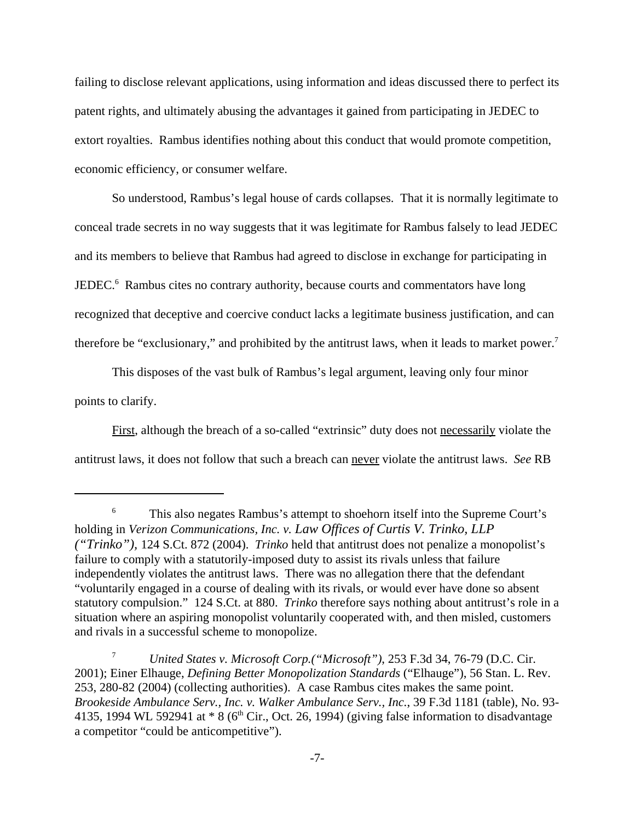failing to disclose relevant applications, using information and ideas discussed there to perfect its patent rights, and ultimately abusing the advantages it gained from participating in JEDEC to extort royalties. Rambus identifies nothing about this conduct that would promote competition, economic efficiency, or consumer welfare.

So understood, Rambus's legal house of cards collapses. That it is normally legitimate to conceal trade secrets in no way suggests that it was legitimate for Rambus falsely to lead JEDEC and its members to believe that Rambus had agreed to disclose in exchange for participating in JEDEC.<sup>6</sup> Rambus cites no contrary authority, because courts and commentators have long recognized that deceptive and coercive conduct lacks a legitimate business justification, and can therefore be "exclusionary," and prohibited by the antitrust laws, when it leads to market power.<sup>7</sup>

This disposes of the vast bulk of Rambus's legal argument, leaving only four minor points to clarify.

First, although the breach of a so-called "extrinsic" duty does not necessarily violate the antitrust laws, it does not follow that such a breach can never violate the antitrust laws. *See* RB

<sup>6</sup> This also negates Rambus's attempt to shoehorn itself into the Supreme Court's holding in *Verizon Communications, Inc. v. Law Offices of Curtis V. Trinko, LLP ("Trinko"),* 124 S.Ct. 872 (2004). *Trinko* held that antitrust does not penalize a monopolist's failure to comply with a statutorily-imposed duty to assist its rivals unless that failure independently violates the antitrust laws. There was no allegation there that the defendant "voluntarily engaged in a course of dealing with its rivals, or would ever have done so absent statutory compulsion." 124 S.Ct. at 880. *Trinko* therefore says nothing about antitrust's role in a situation where an aspiring monopolist voluntarily cooperated with, and then misled, customers and rivals in a successful scheme to monopolize.

<sup>7</sup> *United States v. Microsoft Corp.("Microsoft")*, 253 F.3d 34, 76-79 (D.C. Cir. 2001); Einer Elhauge, *Defining Better Monopolization Standards* ("Elhauge"), 56 Stan. L. Rev. 253, 280-82 (2004) (collecting authorities). A case Rambus cites makes the same point. *Brookeside Ambulance Serv., Inc. v. Walker Ambulance Serv., Inc.*, 39 F.3d 1181 (table), No. 93- 4135, 1994 WL 592941 at  $* 8$  (6<sup>th</sup> Cir., Oct. 26, 1994) (giving false information to disadvantage a competitor "could be anticompetitive").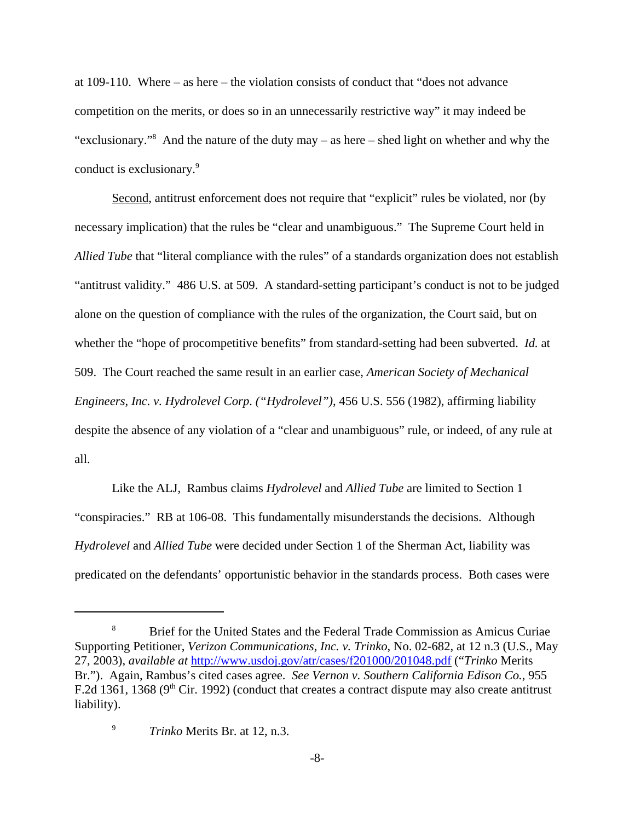at 109-110. Where – as here – the violation consists of conduct that "does not advance competition on the merits, or does so in an unnecessarily restrictive way" it may indeed be "exclusionary."<sup>8</sup> And the nature of the duty may – as here – shed light on whether and why the conduct is exclusionary.<sup>9</sup>

Second, antitrust enforcement does not require that "explicit" rules be violated, nor (by necessary implication) that the rules be "clear and unambiguous." The Supreme Court held in *Allied Tube* that "literal compliance with the rules" of a standards organization does not establish "antitrust validity." 486 U.S. at 509. A standard-setting participant's conduct is not to be judged alone on the question of compliance with the rules of the organization, the Court said, but on whether the "hope of procompetitive benefits" from standard-setting had been subverted. *Id.* at 509. The Court reached the same result in an earlier case, *American Society of Mechanical Engineers, Inc. v. Hydrolevel Corp*. *("Hydrolevel")*, 456 U.S. 556 (1982), affirming liability despite the absence of any violation of a "clear and unambiguous" rule, or indeed, of any rule at all.

Like the ALJ, Rambus claims *Hydrolevel* and *Allied Tube* are limited to Section 1 "conspiracies." RB at 106-08. This fundamentally misunderstands the decisions. Although *Hydrolevel* and *Allied Tube* were decided under Section 1 of the Sherman Act, liability was predicated on the defendants' opportunistic behavior in the standards process. Both cases were

<sup>&</sup>lt;sup>8</sup> Brief for the United States and the Federal Trade Commission as Amicus Curiae Supporting Petitioner, *Verizon Communications, Inc. v. Trinko*, No. 02-682, at 12 n.3 (U.S., May 27, 2003), *available at* http://www.usdoj.gov/atr/cases/f201000/201048.pdf ("*Trinko* Merits Br."). Again, Rambus's cited cases agree. *See Vernon v. Southern California Edison Co.*, 955 F.2d 1361, 1368 ( $9<sup>th</sup>$  Cir. 1992) (conduct that creates a contract dispute may also create antitrust liability).

<sup>9</sup> *Trinko* Merits Br. at 12, n.3.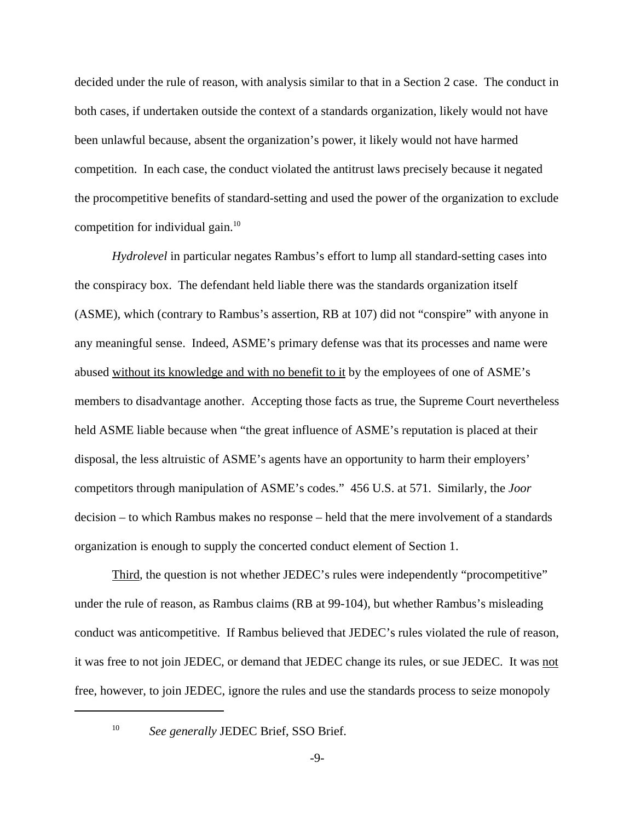decided under the rule of reason, with analysis similar to that in a Section 2 case. The conduct in both cases, if undertaken outside the context of a standards organization, likely would not have been unlawful because, absent the organization's power, it likely would not have harmed competition. In each case, the conduct violated the antitrust laws precisely because it negated the procompetitive benefits of standard-setting and used the power of the organization to exclude competition for individual gain.<sup>10</sup>

*Hydrolevel* in particular negates Rambus's effort to lump all standard-setting cases into the conspiracy box. The defendant held liable there was the standards organization itself (ASME), which (contrary to Rambus's assertion, RB at 107) did not "conspire" with anyone in any meaningful sense. Indeed, ASME's primary defense was that its processes and name were abused without its knowledge and with no benefit to it by the employees of one of ASME's members to disadvantage another. Accepting those facts as true, the Supreme Court nevertheless held ASME liable because when "the great influence of ASME's reputation is placed at their disposal, the less altruistic of ASME's agents have an opportunity to harm their employers' competitors through manipulation of ASME's codes." 456 U.S. at 571. Similarly, the *Joor* decision – to which Rambus makes no response – held that the mere involvement of a standards organization is enough to supply the concerted conduct element of Section 1.

Third, the question is not whether JEDEC's rules were independently "procompetitive" under the rule of reason, as Rambus claims (RB at 99-104), but whether Rambus's misleading conduct was anticompetitive. If Rambus believed that JEDEC's rules violated the rule of reason, it was free to not join JEDEC, or demand that JEDEC change its rules, or sue JEDEC. It was not free, however, to join JEDEC, ignore the rules and use the standards process to seize monopoly

<sup>10</sup> *See generally* JEDEC Brief, SSO Brief.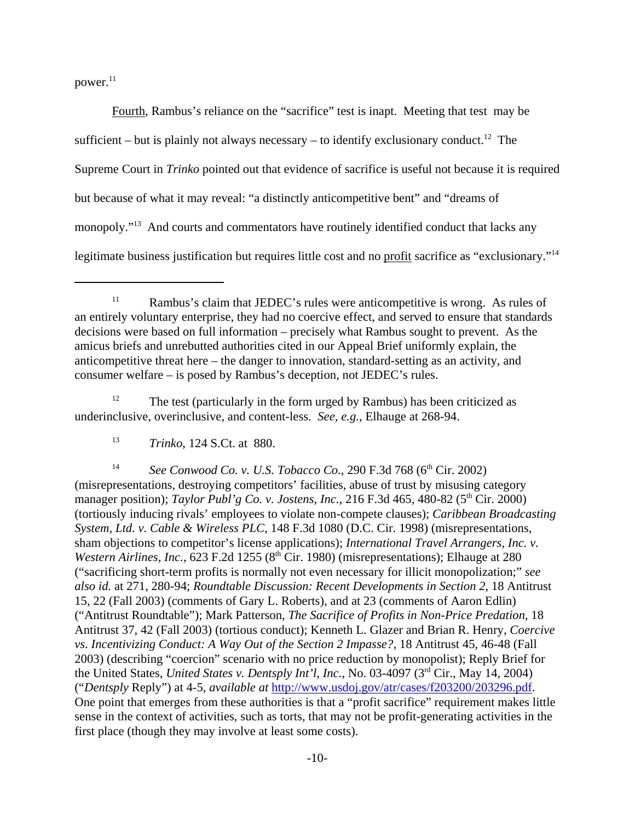$power.<sup>11</sup>$ 

Fourth, Rambus's reliance on the "sacrifice" test is inapt. Meeting that test may be sufficient – but is plainly not always necessary – to identify exclusionary conduct.<sup>12</sup> The Supreme Court in *Trinko* pointed out that evidence of sacrifice is useful not because it is required but because of what it may reveal: "a distinctly anticompetitive bent" and "dreams of monopoly."<sup>13</sup> And courts and commentators have routinely identified conduct that lacks any legitimate business justification but requires little cost and no profit sacrifice as "exclusionary."14

<sup>12</sup> The test (particularly in the form urged by Rambus) has been criticized as underinclusive, overinclusive, and content-less. *See, e.g.*, Elhauge at 268-94.

<sup>14</sup> *See Conwood Co. v. U.S. Tobacco Co.*, 290 F.3d 768 (6<sup>th</sup> Cir. 2002) (misrepresentations, destroying competitors' facilities, abuse of trust by misusing category manager position); *Taylor Publ'g Co. v. Jostens, Inc.*, 216 F.3d 465, 480-82 (5<sup>th</sup> Cir. 2000) (tortiously inducing rivals' employees to violate non-compete clauses); *Caribbean Broadcasting System, Ltd. v. Cable & Wireless PLC*, 148 F.3d 1080 (D.C. Cir. 1998) (misrepresentations, sham objections to competitor's license applications); *International Travel Arrangers, Inc. v. Western Airlines, Inc.*, 623 F.2d 1255 (8<sup>th</sup> Cir. 1980) (misrepresentations); Elhauge at 280 ("sacrificing short-term profits is normally not even necessary for illicit monopolization;" *see also id.* at 271, 280-94; *Roundtable Discussion: Recent Developments in Section 2*, 18 Antitrust 15, 22 (Fall 2003) (comments of Gary L. Roberts), and at 23 (comments of Aaron Edlin) ("Antitrust Roundtable"); Mark Patterson, *The Sacrifice of Profits in Non-Price Predation*, 18 Antitrust 37, 42 (Fall 2003) (tortious conduct); Kenneth L. Glazer and Brian R. Henry, *Coercive vs. Incentivizing Conduct: A Way Out of the Section 2 Impasse?*, 18 Antitrust 45, 46-48 (Fall 2003) (describing "coercion" scenario with no price reduction by monopolist); Reply Brief for the United States, *United States v. Dentsply Int'l, Inc.*, No. 03-4097 (3rd Cir., May 14, 2004) ("*Dentsply* Reply") at 4-5, *available at* http://www.usdoj.gov/atr/cases/f203200/203296.pdf. One point that emerges from these authorities is that a "profit sacrifice" requirement makes little sense in the context of activities, such as torts, that may not be profit-generating activities in the first place (though they may involve at least some costs).

<sup>&</sup>lt;sup>11</sup> Rambus's claim that JEDEC's rules were anticompetitive is wrong. As rules of an entirely voluntary enterprise, they had no coercive effect, and served to ensure that standards decisions were based on full information – precisely what Rambus sought to prevent. As the amicus briefs and unrebutted authorities cited in our Appeal Brief uniformly explain, the anticompetitive threat here – the danger to innovation, standard-setting as an activity, and consumer welfare – is posed by Rambus's deception, not JEDEC's rules.

<sup>13</sup> *Trinko*, 124 S.Ct. at 880.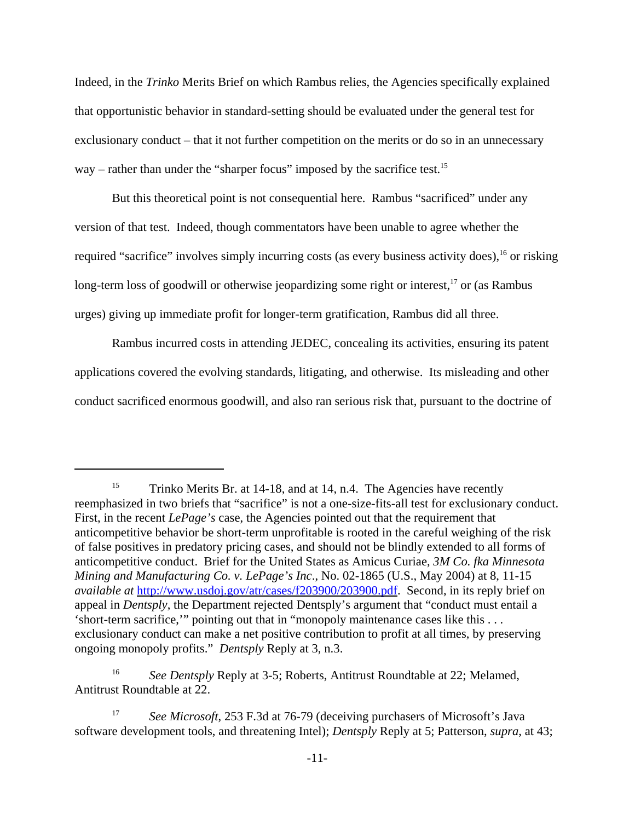Indeed, in the *Trinko* Merits Brief on which Rambus relies, the Agencies specifically explained that opportunistic behavior in standard-setting should be evaluated under the general test for exclusionary conduct – that it not further competition on the merits or do so in an unnecessary way – rather than under the "sharper focus" imposed by the sacrifice test.<sup>15</sup>

But this theoretical point is not consequential here. Rambus "sacrificed" under any version of that test. Indeed, though commentators have been unable to agree whether the required "sacrifice" involves simply incurring costs (as every business activity does),<sup>16</sup> or risking long-term loss of goodwill or otherwise jeopardizing some right or interest, $17$  or (as Rambus urges) giving up immediate profit for longer-term gratification, Rambus did all three.

Rambus incurred costs in attending JEDEC, concealing its activities, ensuring its patent applications covered the evolving standards, litigating, and otherwise. Its misleading and other conduct sacrificed enormous goodwill, and also ran serious risk that, pursuant to the doctrine of

<sup>&</sup>lt;sup>15</sup> Trinko Merits Br. at 14-18, and at 14, n.4. The Agencies have recently reemphasized in two briefs that "sacrifice" is not a one-size-fits-all test for exclusionary conduct. First, in the recent *LePage's* case, the Agencies pointed out that the requirement that anticompetitive behavior be short-term unprofitable is rooted in the careful weighing of the risk of false positives in predatory pricing cases, and should not be blindly extended to all forms of anticompetitive conduct. Brief for the United States as Amicus Curiae, *3M Co. fka Minnesota Mining and Manufacturing Co. v. LePage's Inc*., No. 02-1865 (U.S., May 2004) at 8, 11-15 *available at* http://www.usdoj.gov/atr/cases/f203900/203900.pdf. Second, in its reply brief on appeal in *Dentsply*, the Department rejected Dentsply's argument that "conduct must entail a 'short-term sacrifice,'" pointing out that in "monopoly maintenance cases like this . . . exclusionary conduct can make a net positive contribution to profit at all times, by preserving ongoing monopoly profits." *Dentsply* Reply at 3, n.3.

<sup>&</sup>lt;sup>16</sup> *See Dentsply Reply at 3-5; Roberts, Antitrust Roundtable at 22; Melamed,* Antitrust Roundtable at 22.

<sup>&</sup>lt;sup>17</sup> *See Microsoft*, 253 F.3d at 76-79 (deceiving purchasers of Microsoft's Java software development tools, and threatening Intel); *Dentsply* Reply at 5; Patterson, *supra*, at 43;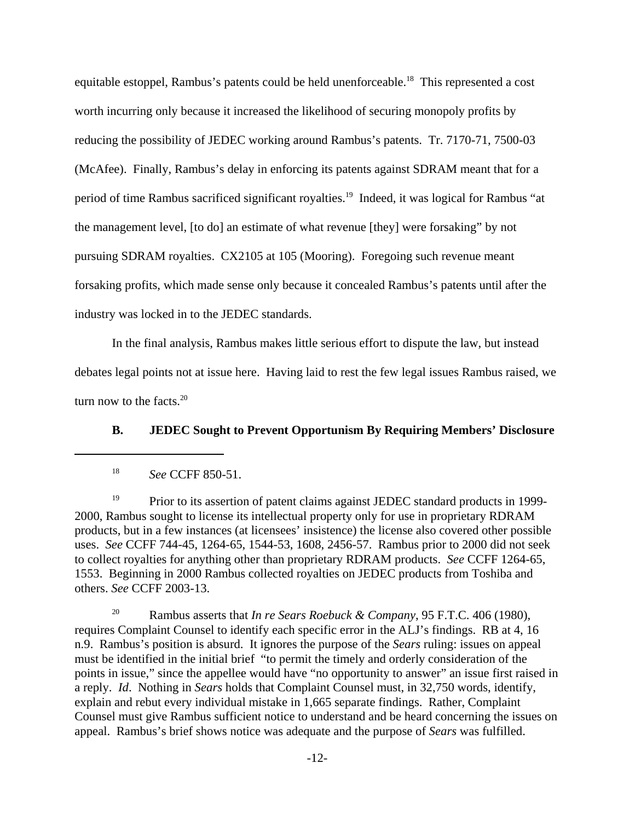equitable estoppel, Rambus's patents could be held unenforceable.<sup>18</sup> This represented a cost worth incurring only because it increased the likelihood of securing monopoly profits by reducing the possibility of JEDEC working around Rambus's patents. Tr. 7170-71, 7500-03 (McAfee). Finally, Rambus's delay in enforcing its patents against SDRAM meant that for a period of time Rambus sacrificed significant royalties.<sup>19</sup> Indeed, it was logical for Rambus "at the management level, [to do] an estimate of what revenue [they] were forsaking" by not pursuing SDRAM royalties. CX2105 at 105 (Mooring). Foregoing such revenue meant forsaking profits, which made sense only because it concealed Rambus's patents until after the industry was locked in to the JEDEC standards.

In the final analysis, Rambus makes little serious effort to dispute the law, but instead debates legal points not at issue here. Having laid to rest the few legal issues Rambus raised, we turn now to the facts. $20$ 

**B. JEDEC Sought to Prevent Opportunism By Requiring Members' Disclosure**

<sup>19</sup> Prior to its assertion of patent claims against JEDEC standard products in 1999-2000, Rambus sought to license its intellectual property only for use in proprietary RDRAM products, but in a few instances (at licensees' insistence) the license also covered other possible uses. *See* CCFF 744-45, 1264-65, 1544-53, 1608, 2456-57. Rambus prior to 2000 did not seek to collect royalties for anything other than proprietary RDRAM products. *See* CCFF 1264-65, 1553. Beginning in 2000 Rambus collected royalties on JEDEC products from Toshiba and others. *See* CCFF 2003-13.

<sup>20</sup> Rambus asserts that *In re Sears Roebuck & Company*, 95 F.T.C. 406 (1980), requires Complaint Counsel to identify each specific error in the ALJ's findings. RB at 4, 16 n.9. Rambus's position is absurd. It ignores the purpose of the *Sears* ruling: issues on appeal must be identified in the initial brief "to permit the timely and orderly consideration of the points in issue," since the appellee would have "no opportunity to answer" an issue first raised in a reply. *Id*. Nothing in *Sears* holds that Complaint Counsel must, in 32,750 words, identify, explain and rebut every individual mistake in 1,665 separate findings. Rather, Complaint Counsel must give Rambus sufficient notice to understand and be heard concerning the issues on appeal. Rambus's brief shows notice was adequate and the purpose of *Sears* was fulfilled.

<sup>18</sup> *See* CCFF 850-51.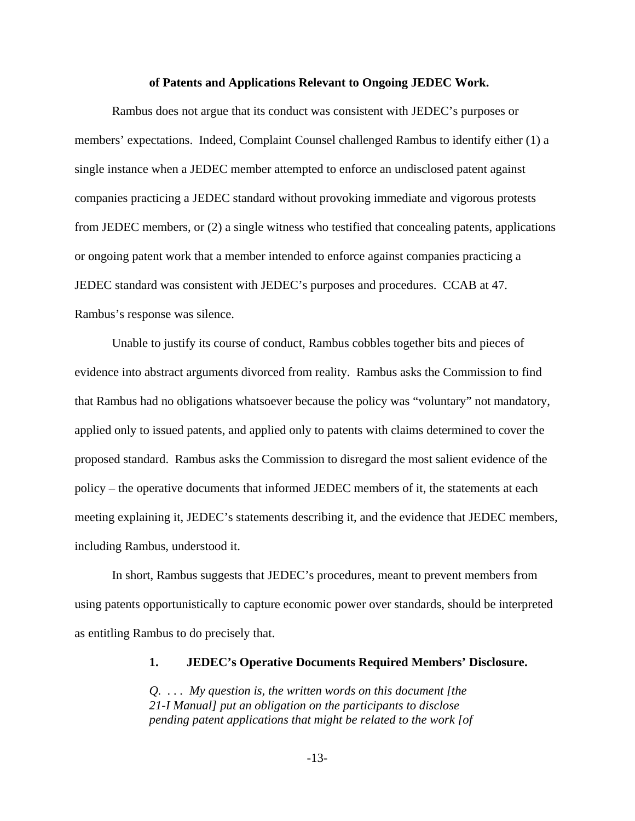#### **of Patents and Applications Relevant to Ongoing JEDEC Work.**

Rambus does not argue that its conduct was consistent with JEDEC's purposes or members' expectations. Indeed, Complaint Counsel challenged Rambus to identify either (1) a single instance when a JEDEC member attempted to enforce an undisclosed patent against companies practicing a JEDEC standard without provoking immediate and vigorous protests from JEDEC members, or (2) a single witness who testified that concealing patents, applications or ongoing patent work that a member intended to enforce against companies practicing a JEDEC standard was consistent with JEDEC's purposes and procedures. CCAB at 47. Rambus's response was silence.

Unable to justify its course of conduct, Rambus cobbles together bits and pieces of evidence into abstract arguments divorced from reality. Rambus asks the Commission to find that Rambus had no obligations whatsoever because the policy was "voluntary" not mandatory, applied only to issued patents, and applied only to patents with claims determined to cover the proposed standard. Rambus asks the Commission to disregard the most salient evidence of the policy – the operative documents that informed JEDEC members of it, the statements at each meeting explaining it, JEDEC's statements describing it, and the evidence that JEDEC members, including Rambus, understood it.

In short, Rambus suggests that JEDEC's procedures, meant to prevent members from using patents opportunistically to capture economic power over standards, should be interpreted as entitling Rambus to do precisely that.

#### **1. JEDEC's Operative Documents Required Members' Disclosure.**

*Q. . . . My question is, the written words on this document [the 21-I Manual] put an obligation on the participants to disclose pending patent applications that might be related to the work [of*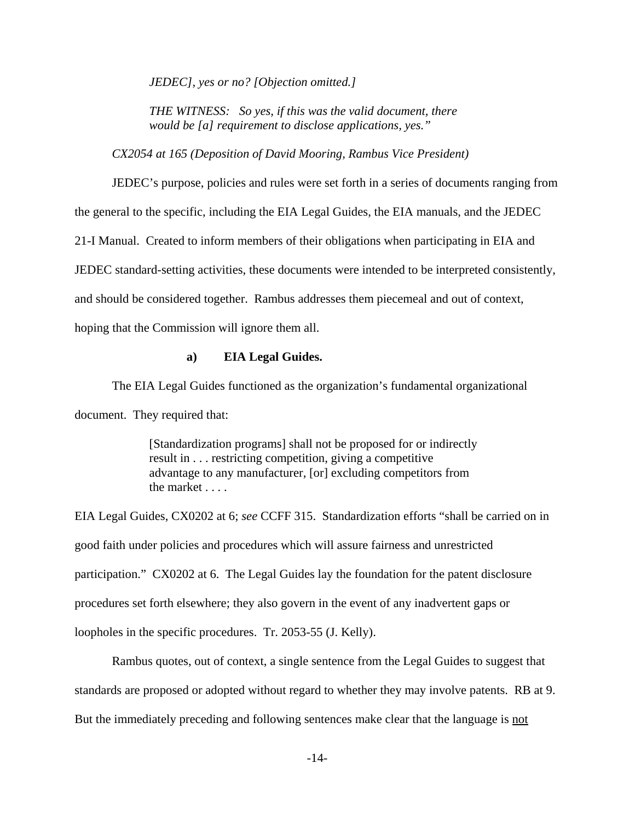*JEDEC], yes or no? [Objection omitted.]*

*THE WITNESS: So yes, if this was the valid document, there would be [a] requirement to disclose applications, yes."*

*CX2054 at 165 (Deposition of David Mooring, Rambus Vice President)*

JEDEC's purpose, policies and rules were set forth in a series of documents ranging from the general to the specific, including the EIA Legal Guides, the EIA manuals, and the JEDEC 21-I Manual. Created to inform members of their obligations when participating in EIA and JEDEC standard-setting activities, these documents were intended to be interpreted consistently, and should be considered together. Rambus addresses them piecemeal and out of context, hoping that the Commission will ignore them all.

#### **a) EIA Legal Guides.**

The EIA Legal Guides functioned as the organization's fundamental organizational document. They required that:

> [Standardization programs] shall not be proposed for or indirectly result in . . . restricting competition, giving a competitive advantage to any manufacturer, [or] excluding competitors from the market . . . .

EIA Legal Guides, CX0202 at 6; *see* CCFF 315. Standardization efforts "shall be carried on in good faith under policies and procedures which will assure fairness and unrestricted participation." CX0202 at 6. The Legal Guides lay the foundation for the patent disclosure procedures set forth elsewhere; they also govern in the event of any inadvertent gaps or loopholes in the specific procedures. Tr. 2053-55 (J. Kelly).

Rambus quotes, out of context, a single sentence from the Legal Guides to suggest that standards are proposed or adopted without regard to whether they may involve patents. RB at 9. But the immediately preceding and following sentences make clear that the language is not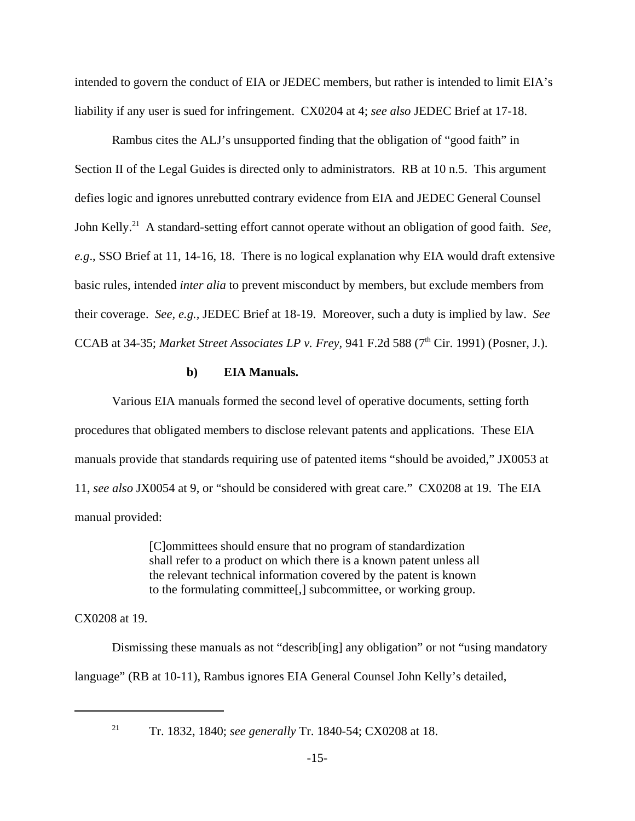intended to govern the conduct of EIA or JEDEC members, but rather is intended to limit EIA's liability if any user is sued for infringement. CX0204 at 4; *see also* JEDEC Brief at 17-18.

Rambus cites the ALJ's unsupported finding that the obligation of "good faith" in Section II of the Legal Guides is directed only to administrators. RB at 10 n.5. This argument defies logic and ignores unrebutted contrary evidence from EIA and JEDEC General Counsel John Kelly.21 A standard-setting effort cannot operate without an obligation of good faith. *See, e.g*., SSO Brief at 11, 14-16, 18. There is no logical explanation why EIA would draft extensive basic rules, intended *inter alia* to prevent misconduct by members, but exclude members from their coverage. *See, e.g.,* JEDEC Brief at 18-19. Moreover, such a duty is implied by law. *See* CCAB at 34-35; *Market Street Associates LP v. Frey*, 941 F.2d 588 (7<sup>th</sup> Cir. 1991) (Posner, J.).

#### **b) EIA Manuals.**

Various EIA manuals formed the second level of operative documents, setting forth procedures that obligated members to disclose relevant patents and applications. These EIA manuals provide that standards requiring use of patented items "should be avoided," JX0053 at 11, *see also* JX0054 at 9, or "should be considered with great care." CX0208 at 19. The EIA manual provided:

> [C]ommittees should ensure that no program of standardization shall refer to a product on which there is a known patent unless all the relevant technical information covered by the patent is known to the formulating committee[,] subcommittee, or working group.

CX0208 at 19.

Dismissing these manuals as not "describ[ing] any obligation" or not "using mandatory language" (RB at 10-11), Rambus ignores EIA General Counsel John Kelly's detailed,

<sup>21</sup> Tr. 1832, 1840; *see generally* Tr. 1840-54; CX0208 at 18.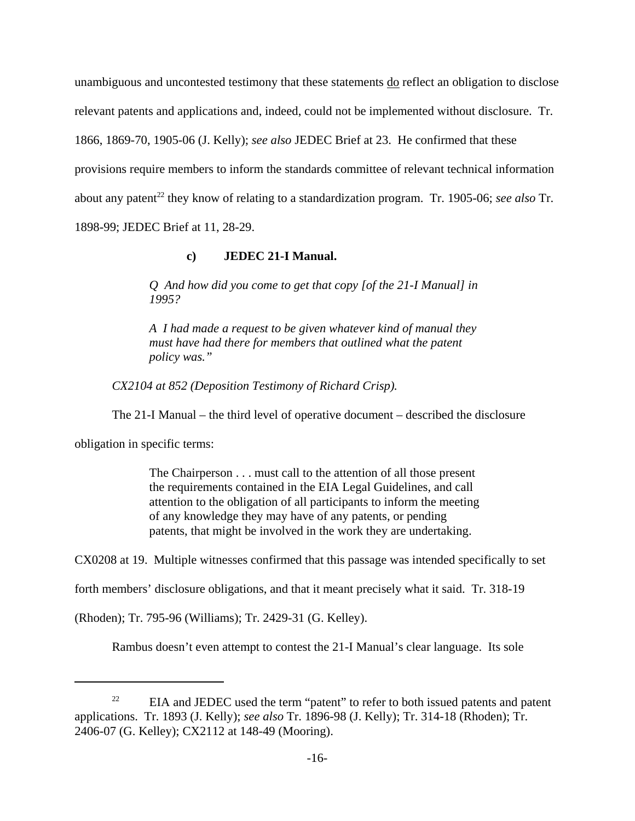unambiguous and uncontested testimony that these statements do reflect an obligation to disclose relevant patents and applications and, indeed, could not be implemented without disclosure. Tr. 1866, 1869-70, 1905-06 (J. Kelly); *see also* JEDEC Brief at 23. He confirmed that these provisions require members to inform the standards committee of relevant technical information about any patent<sup>22</sup> they know of relating to a standardization program. Tr. 1905-06; see also Tr. 1898-99; JEDEC Brief at 11, 28-29.

## **c) JEDEC 21-I Manual.**

*Q And how did you come to get that copy [of the 21-I Manual] in 1995?*

*A I had made a request to be given whatever kind of manual they must have had there for members that outlined what the patent policy was."*

*CX2104 at 852 (Deposition Testimony of Richard Crisp).*

The 21-I Manual – the third level of operative document – described the disclosure

obligation in specific terms:

The Chairperson . . . must call to the attention of all those present the requirements contained in the EIA Legal Guidelines, and call attention to the obligation of all participants to inform the meeting of any knowledge they may have of any patents, or pending patents, that might be involved in the work they are undertaking.

CX0208 at 19. Multiple witnesses confirmed that this passage was intended specifically to set

forth members' disclosure obligations, and that it meant precisely what it said. Tr. 318-19

(Rhoden); Tr. 795-96 (Williams); Tr. 2429-31 (G. Kelley).

Rambus doesn't even attempt to contest the 21-I Manual's clear language. Its sole

<sup>&</sup>lt;sup>22</sup> EIA and JEDEC used the term "patent" to refer to both issued patents and patent applications. Tr. 1893 (J. Kelly); *see also* Tr. 1896-98 (J. Kelly); Tr. 314-18 (Rhoden); Tr. 2406-07 (G. Kelley); CX2112 at 148-49 (Mooring).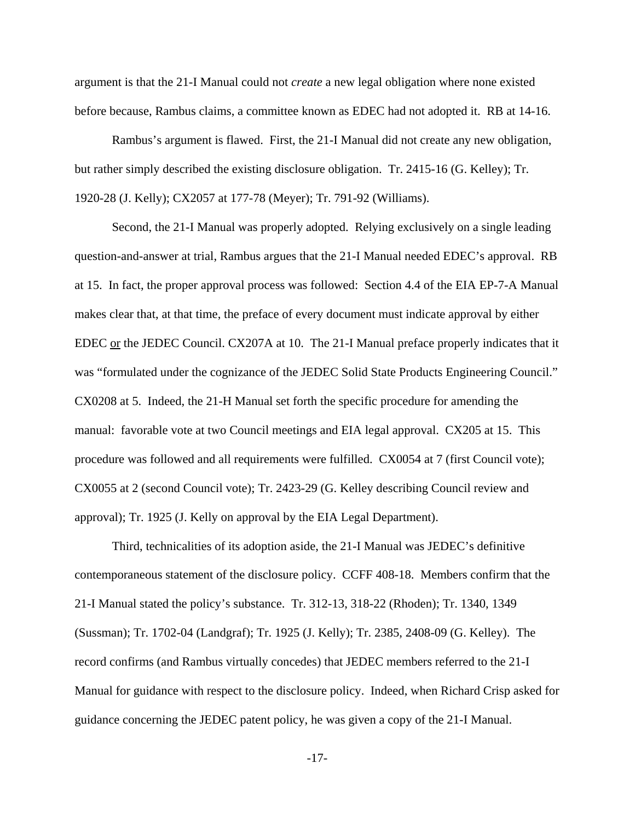argument is that the 21-I Manual could not *create* a new legal obligation where none existed before because, Rambus claims, a committee known as EDEC had not adopted it. RB at 14-16.

Rambus's argument is flawed. First, the 21-I Manual did not create any new obligation, but rather simply described the existing disclosure obligation. Tr. 2415-16 (G. Kelley); Tr. 1920-28 (J. Kelly); CX2057 at 177-78 (Meyer); Tr. 791-92 (Williams).

Second, the 21-I Manual was properly adopted. Relying exclusively on a single leading question-and-answer at trial, Rambus argues that the 21-I Manual needed EDEC's approval. RB at 15. In fact, the proper approval process was followed: Section 4.4 of the EIA EP-7-A Manual makes clear that, at that time, the preface of every document must indicate approval by either EDEC or the JEDEC Council. CX207A at 10. The 21-I Manual preface properly indicates that it was "formulated under the cognizance of the JEDEC Solid State Products Engineering Council." CX0208 at 5. Indeed, the 21-H Manual set forth the specific procedure for amending the manual: favorable vote at two Council meetings and EIA legal approval. CX205 at 15. This procedure was followed and all requirements were fulfilled. CX0054 at 7 (first Council vote); CX0055 at 2 (second Council vote); Tr. 2423-29 (G. Kelley describing Council review and approval); Tr. 1925 (J. Kelly on approval by the EIA Legal Department).

Third, technicalities of its adoption aside, the 21-I Manual was JEDEC's definitive contemporaneous statement of the disclosure policy. CCFF 408-18. Members confirm that the 21-I Manual stated the policy's substance. Tr. 312-13, 318-22 (Rhoden); Tr. 1340, 1349 (Sussman); Tr. 1702-04 (Landgraf); Tr. 1925 (J. Kelly); Tr. 2385, 2408-09 (G. Kelley). The record confirms (and Rambus virtually concedes) that JEDEC members referred to the 21-I Manual for guidance with respect to the disclosure policy. Indeed, when Richard Crisp asked for guidance concerning the JEDEC patent policy, he was given a copy of the 21-I Manual.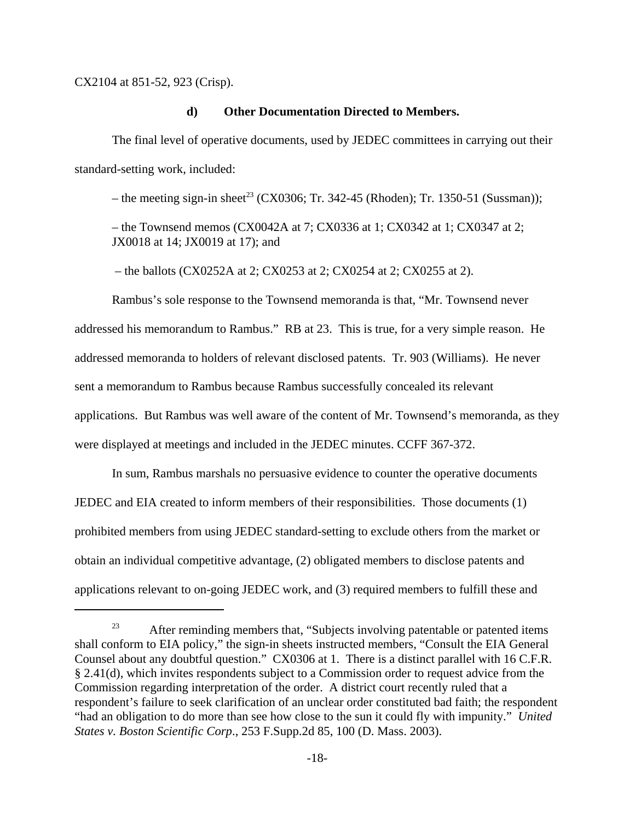CX2104 at 851-52, 923 (Crisp).

#### **d) Other Documentation Directed to Members.**

The final level of operative documents, used by JEDEC committees in carrying out their standard-setting work, included:

– the meeting sign-in sheet<sup>23</sup> (CX0306; Tr. 342-45 (Rhoden); Tr. 1350-51 (Sussman));

– the Townsend memos (CX0042A at 7; CX0336 at 1; CX0342 at 1; CX0347 at 2; JX0018 at 14; JX0019 at 17); and

– the ballots (CX0252A at 2; CX0253 at 2; CX0254 at 2; CX0255 at 2).

Rambus's sole response to the Townsend memoranda is that, "Mr. Townsend never addressed his memorandum to Rambus." RB at 23. This is true, for a very simple reason. He addressed memoranda to holders of relevant disclosed patents. Tr. 903 (Williams). He never sent a memorandum to Rambus because Rambus successfully concealed its relevant applications. But Rambus was well aware of the content of Mr. Townsend's memoranda, as they were displayed at meetings and included in the JEDEC minutes. CCFF 367-372.

In sum, Rambus marshals no persuasive evidence to counter the operative documents JEDEC and EIA created to inform members of their responsibilities. Those documents (1) prohibited members from using JEDEC standard-setting to exclude others from the market or obtain an individual competitive advantage, (2) obligated members to disclose patents and applications relevant to on-going JEDEC work, and (3) required members to fulfill these and

 $23$  After reminding members that, "Subjects involving patentable or patented items shall conform to EIA policy," the sign-in sheets instructed members, "Consult the EIA General Counsel about any doubtful question." CX0306 at 1. There is a distinct parallel with 16 C.F.R. § 2.41(d), which invites respondents subject to a Commission order to request advice from the Commission regarding interpretation of the order. A district court recently ruled that a respondent's failure to seek clarification of an unclear order constituted bad faith; the respondent "had an obligation to do more than see how close to the sun it could fly with impunity." *United States v. Boston Scientific Corp*., 253 F.Supp.2d 85, 100 (D. Mass. 2003).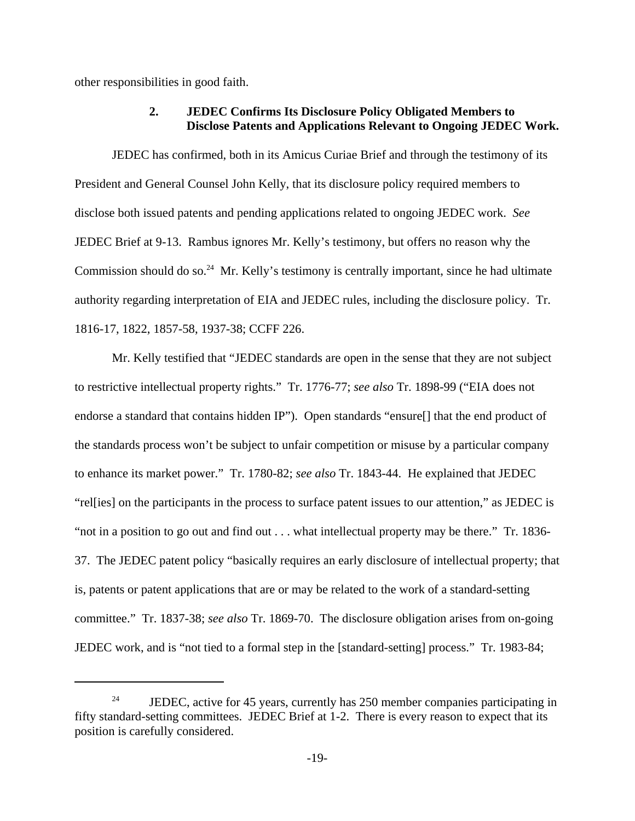other responsibilities in good faith.

### **2. JEDEC Confirms Its Disclosure Policy Obligated Members to Disclose Patents and Applications Relevant to Ongoing JEDEC Work.**

JEDEC has confirmed, both in its Amicus Curiae Brief and through the testimony of its President and General Counsel John Kelly, that its disclosure policy required members to disclose both issued patents and pending applications related to ongoing JEDEC work. *See* JEDEC Brief at 9-13. Rambus ignores Mr. Kelly's testimony, but offers no reason why the Commission should do so.<sup>24</sup> Mr. Kelly's testimony is centrally important, since he had ultimate authority regarding interpretation of EIA and JEDEC rules, including the disclosure policy. Tr. 1816-17, 1822, 1857-58, 1937-38; CCFF 226.

Mr. Kelly testified that "JEDEC standards are open in the sense that they are not subject to restrictive intellectual property rights." Tr. 1776-77; *see also* Tr. 1898-99 ("EIA does not endorse a standard that contains hidden IP"). Open standards "ensure[] that the end product of the standards process won't be subject to unfair competition or misuse by a particular company to enhance its market power." Tr. 1780-82; *see also* Tr. 1843-44. He explained that JEDEC "rel[ies] on the participants in the process to surface patent issues to our attention," as JEDEC is "not in a position to go out and find out . . . what intellectual property may be there." Tr. 1836- 37. The JEDEC patent policy "basically requires an early disclosure of intellectual property; that is, patents or patent applications that are or may be related to the work of a standard-setting committee." Tr. 1837-38; *see also* Tr. 1869-70. The disclosure obligation arises from on-going JEDEC work, and is "not tied to a formal step in the [standard-setting] process." Tr. 1983-84;

<sup>&</sup>lt;sup>24</sup> JEDEC, active for 45 years, currently has 250 member companies participating in fifty standard-setting committees. JEDEC Brief at 1-2. There is every reason to expect that its position is carefully considered.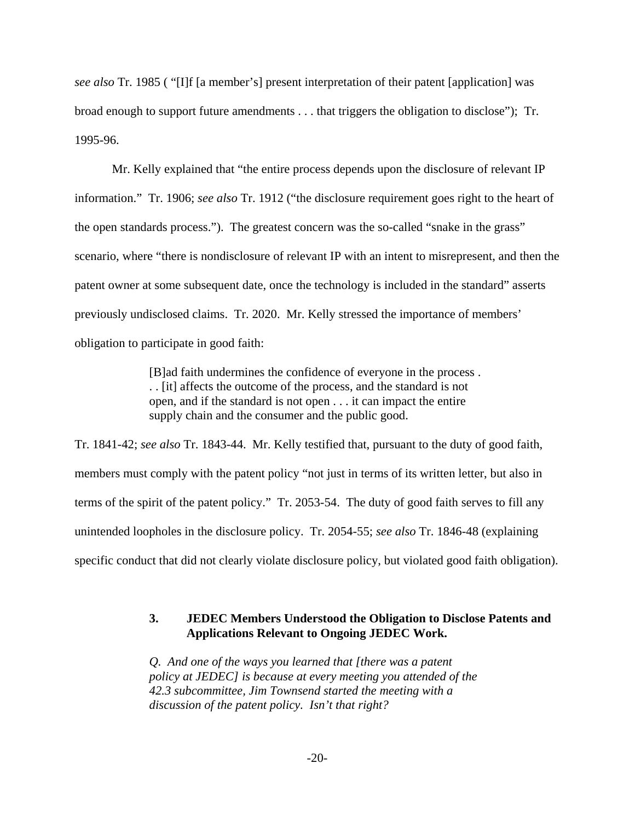*see also* Tr. 1985 ( "[I]f [a member's] present interpretation of their patent [application] was broad enough to support future amendments . . . that triggers the obligation to disclose"); Tr. 1995-96.

Mr. Kelly explained that "the entire process depends upon the disclosure of relevant IP information." Tr. 1906; *see also* Tr. 1912 ("the disclosure requirement goes right to the heart of the open standards process."). The greatest concern was the so-called "snake in the grass" scenario, where "there is nondisclosure of relevant IP with an intent to misrepresent, and then the patent owner at some subsequent date, once the technology is included in the standard" asserts previously undisclosed claims. Tr. 2020. Mr. Kelly stressed the importance of members' obligation to participate in good faith:

> [B]ad faith undermines the confidence of everyone in the process . . . [it] affects the outcome of the process, and the standard is not open, and if the standard is not open . . . it can impact the entire supply chain and the consumer and the public good.

Tr. 1841-42; *see also* Tr. 1843-44. Mr. Kelly testified that, pursuant to the duty of good faith, members must comply with the patent policy "not just in terms of its written letter, but also in terms of the spirit of the patent policy." Tr. 2053-54. The duty of good faith serves to fill any unintended loopholes in the disclosure policy. Tr. 2054-55; *see also* Tr. 1846-48 (explaining specific conduct that did not clearly violate disclosure policy, but violated good faith obligation).

# **3. JEDEC Members Understood the Obligation to Disclose Patents and Applications Relevant to Ongoing JEDEC Work.**

*Q. And one of the ways you learned that [there was a patent policy at JEDEC] is because at every meeting you attended of the 42.3 subcommittee, Jim Townsend started the meeting with a discussion of the patent policy. Isn't that right?*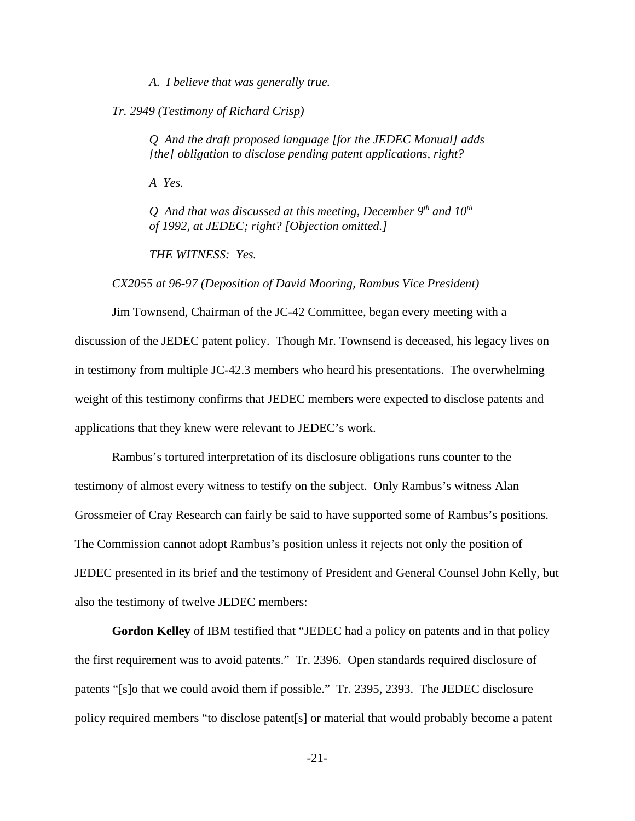*A. I believe that was generally true.*

*Tr. 2949 (Testimony of Richard Crisp)*

*Q And the draft proposed language [for the JEDEC Manual] adds [the] obligation to disclose pending patent applications, right?*

*A Yes.*

*Q And that was discussed at this meeting, December 9th and 10th of 1992, at JEDEC; right? [Objection omitted.]*

*THE WITNESS: Yes.*

*CX2055 at 96-97 (Deposition of David Mooring, Rambus Vice President)*

Jim Townsend, Chairman of the JC-42 Committee, began every meeting with a discussion of the JEDEC patent policy. Though Mr. Townsend is deceased, his legacy lives on in testimony from multiple JC-42.3 members who heard his presentations. The overwhelming weight of this testimony confirms that JEDEC members were expected to disclose patents and applications that they knew were relevant to JEDEC's work.

Rambus's tortured interpretation of its disclosure obligations runs counter to the testimony of almost every witness to testify on the subject. Only Rambus's witness Alan Grossmeier of Cray Research can fairly be said to have supported some of Rambus's positions. The Commission cannot adopt Rambus's position unless it rejects not only the position of JEDEC presented in its brief and the testimony of President and General Counsel John Kelly, but also the testimony of twelve JEDEC members:

**Gordon Kelley** of IBM testified that "JEDEC had a policy on patents and in that policy the first requirement was to avoid patents." Tr. 2396. Open standards required disclosure of patents "[s]o that we could avoid them if possible." Tr. 2395, 2393. The JEDEC disclosure policy required members "to disclose patent[s] or material that would probably become a patent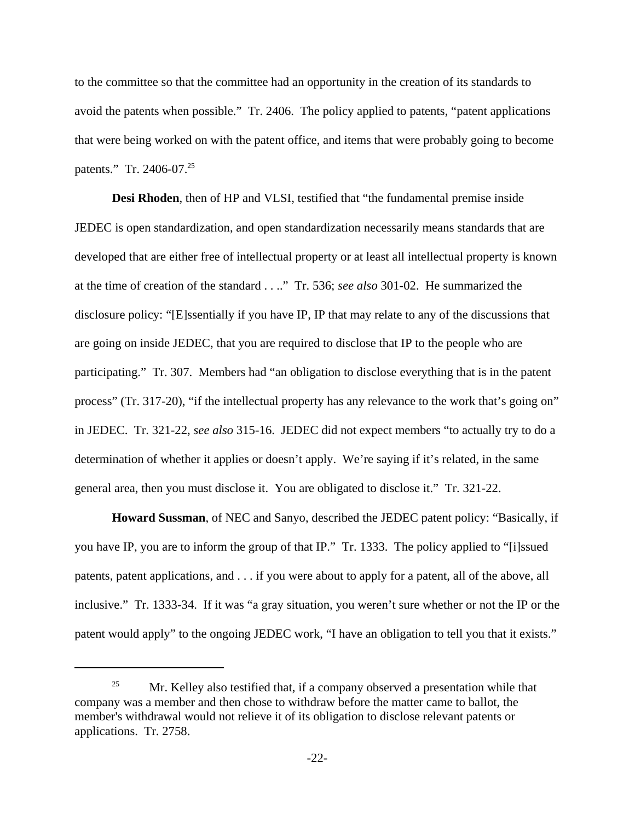to the committee so that the committee had an opportunity in the creation of its standards to avoid the patents when possible." Tr. 2406. The policy applied to patents, "patent applications that were being worked on with the patent office, and items that were probably going to become patents." Tr. 2406-07.<sup>25</sup>

**Desi Rhoden**, then of HP and VLSI, testified that "the fundamental premise inside JEDEC is open standardization, and open standardization necessarily means standards that are developed that are either free of intellectual property or at least all intellectual property is known at the time of creation of the standard . . .." Tr. 536; *see also* 301-02. He summarized the disclosure policy: "[E]ssentially if you have IP, IP that may relate to any of the discussions that are going on inside JEDEC, that you are required to disclose that IP to the people who are participating." Tr. 307. Members had "an obligation to disclose everything that is in the patent process" (Tr. 317-20), "if the intellectual property has any relevance to the work that's going on" in JEDEC. Tr. 321-22, *see also* 315-16. JEDEC did not expect members "to actually try to do a determination of whether it applies or doesn't apply. We're saying if it's related, in the same general area, then you must disclose it. You are obligated to disclose it." Tr. 321-22.

**Howard Sussman**, of NEC and Sanyo, described the JEDEC patent policy: "Basically, if you have IP, you are to inform the group of that IP." Tr. 1333. The policy applied to "[i]ssued patents, patent applications, and . . . if you were about to apply for a patent, all of the above, all inclusive." Tr. 1333-34. If it was "a gray situation, you weren't sure whether or not the IP or the patent would apply" to the ongoing JEDEC work, "I have an obligation to tell you that it exists."

<sup>&</sup>lt;sup>25</sup> Mr. Kelley also testified that, if a company observed a presentation while that company was a member and then chose to withdraw before the matter came to ballot, the member's withdrawal would not relieve it of its obligation to disclose relevant patents or applications. Tr. 2758.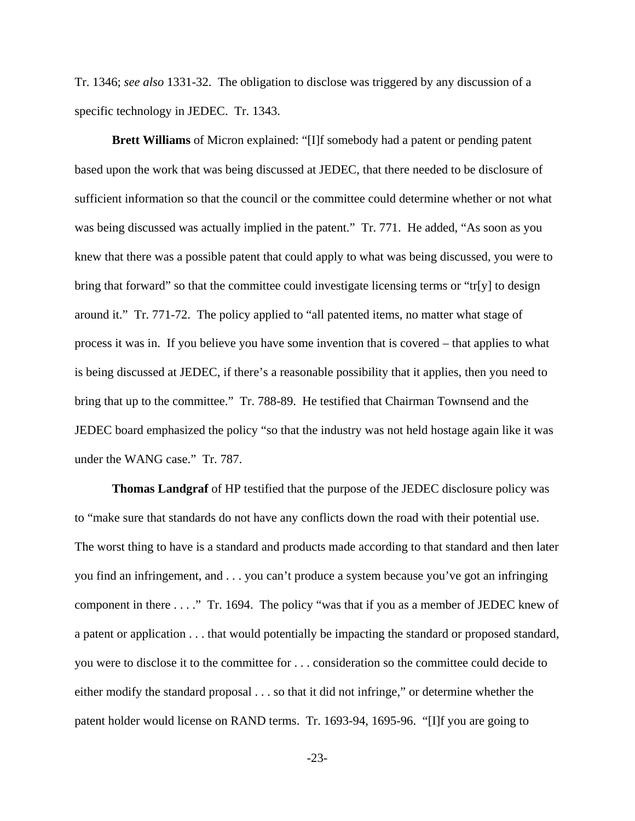Tr. 1346; *see also* 1331-32. The obligation to disclose was triggered by any discussion of a specific technology in JEDEC. Tr. 1343.

**Brett Williams** of Micron explained: "[I]f somebody had a patent or pending patent based upon the work that was being discussed at JEDEC, that there needed to be disclosure of sufficient information so that the council or the committee could determine whether or not what was being discussed was actually implied in the patent." Tr. 771. He added, "As soon as you knew that there was a possible patent that could apply to what was being discussed, you were to bring that forward" so that the committee could investigate licensing terms or "tr[y] to design around it." Tr. 771-72. The policy applied to "all patented items, no matter what stage of process it was in. If you believe you have some invention that is covered – that applies to what is being discussed at JEDEC, if there's a reasonable possibility that it applies, then you need to bring that up to the committee." Tr. 788-89. He testified that Chairman Townsend and the JEDEC board emphasized the policy "so that the industry was not held hostage again like it was under the WANG case." Tr. 787.

**Thomas Landgraf** of HP testified that the purpose of the JEDEC disclosure policy was to "make sure that standards do not have any conflicts down the road with their potential use. The worst thing to have is a standard and products made according to that standard and then later you find an infringement, and . . . you can't produce a system because you've got an infringing component in there . . . ." Tr. 1694. The policy "was that if you as a member of JEDEC knew of a patent or application . . . that would potentially be impacting the standard or proposed standard, you were to disclose it to the committee for . . . consideration so the committee could decide to either modify the standard proposal . . . so that it did not infringe," or determine whether the patent holder would license on RAND terms. Tr. 1693-94, 1695-96. "[I]f you are going to

-23-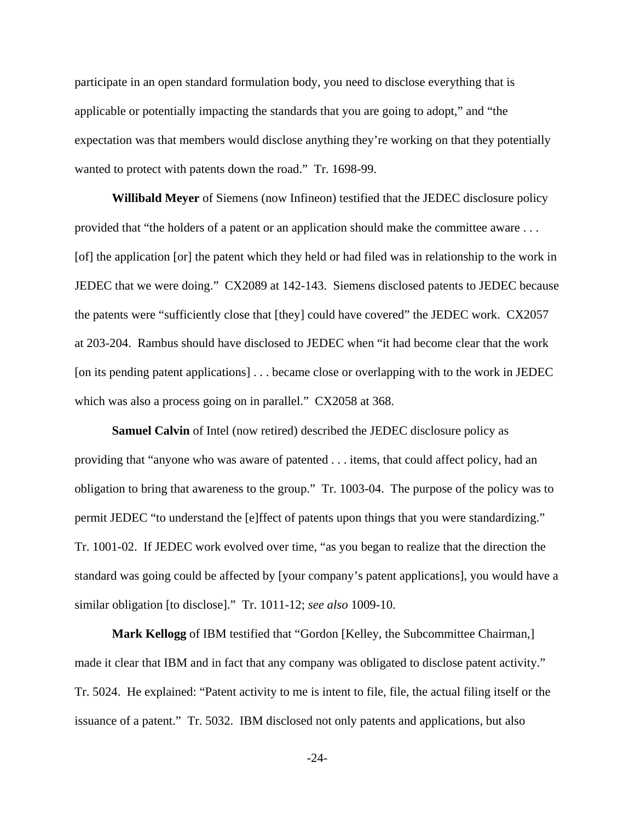participate in an open standard formulation body, you need to disclose everything that is applicable or potentially impacting the standards that you are going to adopt," and "the expectation was that members would disclose anything they're working on that they potentially wanted to protect with patents down the road." Tr. 1698-99.

**Willibald Meyer** of Siemens (now Infineon) testified that the JEDEC disclosure policy provided that "the holders of a patent or an application should make the committee aware . . . [of] the application [or] the patent which they held or had filed was in relationship to the work in JEDEC that we were doing." CX2089 at 142-143. Siemens disclosed patents to JEDEC because the patents were "sufficiently close that [they] could have covered" the JEDEC work. CX2057 at 203-204. Rambus should have disclosed to JEDEC when "it had become clear that the work [on its pending patent applications] . . . became close or overlapping with to the work in JEDEC which was also a process going on in parallel." CX2058 at 368.

**Samuel Calvin** of Intel (now retired) described the JEDEC disclosure policy as providing that "anyone who was aware of patented . . . items, that could affect policy, had an obligation to bring that awareness to the group." Tr. 1003-04. The purpose of the policy was to permit JEDEC "to understand the [e]ffect of patents upon things that you were standardizing." Tr. 1001-02. If JEDEC work evolved over time, "as you began to realize that the direction the standard was going could be affected by [your company's patent applications], you would have a similar obligation [to disclose]." Tr. 1011-12; *see also* 1009-10.

**Mark Kellogg** of IBM testified that "Gordon [Kelley, the Subcommittee Chairman,] made it clear that IBM and in fact that any company was obligated to disclose patent activity." Tr. 5024. He explained: "Patent activity to me is intent to file, file, the actual filing itself or the issuance of a patent." Tr. 5032. IBM disclosed not only patents and applications, but also

-24-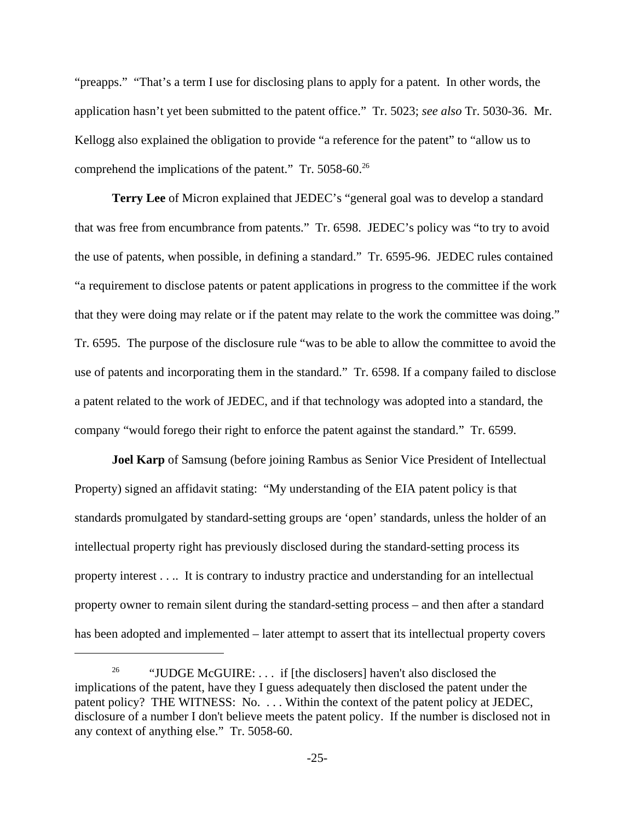"preapps." "That's a term I use for disclosing plans to apply for a patent. In other words, the application hasn't yet been submitted to the patent office." Tr. 5023; *see also* Tr. 5030-36. Mr. Kellogg also explained the obligation to provide "a reference for the patent" to "allow us to comprehend the implications of the patent." Tr. 5058-60.<sup>26</sup>

**Terry Lee** of Micron explained that JEDEC's "general goal was to develop a standard that was free from encumbrance from patents." Tr. 6598. JEDEC's policy was "to try to avoid the use of patents, when possible, in defining a standard." Tr. 6595-96. JEDEC rules contained "a requirement to disclose patents or patent applications in progress to the committee if the work that they were doing may relate or if the patent may relate to the work the committee was doing." Tr. 6595. The purpose of the disclosure rule "was to be able to allow the committee to avoid the use of patents and incorporating them in the standard." Tr. 6598. If a company failed to disclose a patent related to the work of JEDEC, and if that technology was adopted into a standard, the company "would forego their right to enforce the patent against the standard." Tr. 6599.

**Joel Karp** of Samsung (before joining Rambus as Senior Vice President of Intellectual Property) signed an affidavit stating: "My understanding of the EIA patent policy is that standards promulgated by standard-setting groups are 'open' standards, unless the holder of an intellectual property right has previously disclosed during the standard-setting process its property interest . . .. It is contrary to industry practice and understanding for an intellectual property owner to remain silent during the standard-setting process – and then after a standard has been adopted and implemented – later attempt to assert that its intellectual property covers

<sup>&</sup>lt;sup>26</sup> "JUDGE McGUIRE: . . . if [the disclosers] haven't also disclosed the implications of the patent, have they I guess adequately then disclosed the patent under the patent policy? THE WITNESS: No. . . . Within the context of the patent policy at JEDEC, disclosure of a number I don't believe meets the patent policy. If the number is disclosed not in any context of anything else." Tr. 5058-60.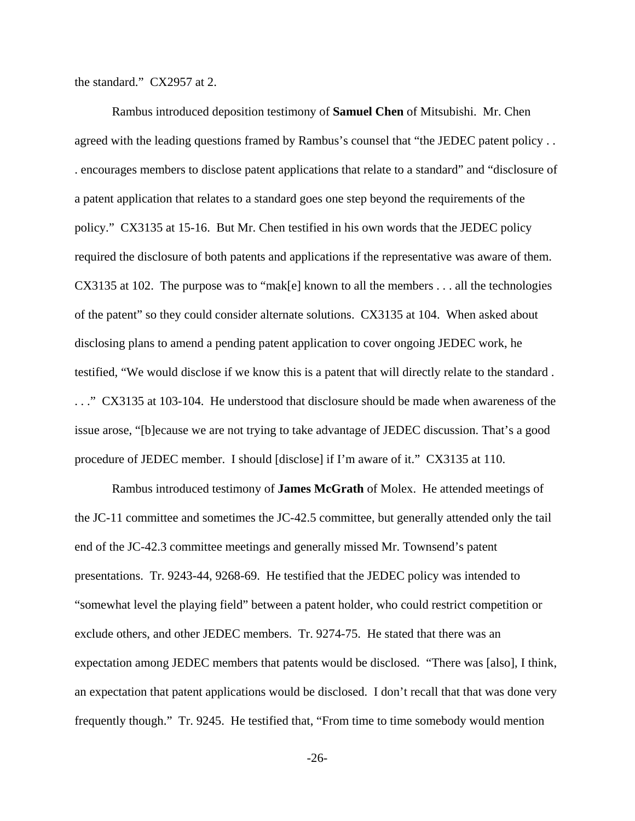the standard." CX2957 at 2.

Rambus introduced deposition testimony of **Samuel Chen** of Mitsubishi. Mr. Chen agreed with the leading questions framed by Rambus's counsel that "the JEDEC patent policy . . . encourages members to disclose patent applications that relate to a standard" and "disclosure of a patent application that relates to a standard goes one step beyond the requirements of the policy." CX3135 at 15-16. But Mr. Chen testified in his own words that the JEDEC policy required the disclosure of both patents and applications if the representative was aware of them. CX3135 at 102. The purpose was to "mak[e] known to all the members . . . all the technologies of the patent" so they could consider alternate solutions. CX3135 at 104. When asked about disclosing plans to amend a pending patent application to cover ongoing JEDEC work, he testified, "We would disclose if we know this is a patent that will directly relate to the standard . . . ." CX3135 at 103-104. He understood that disclosure should be made when awareness of the issue arose, "[b]ecause we are not trying to take advantage of JEDEC discussion. That's a good procedure of JEDEC member. I should [disclose] if I'm aware of it." CX3135 at 110.

Rambus introduced testimony of **James McGrath** of Molex. He attended meetings of the JC-11 committee and sometimes the JC-42.5 committee, but generally attended only the tail end of the JC-42.3 committee meetings and generally missed Mr. Townsend's patent presentations. Tr. 9243-44, 9268-69. He testified that the JEDEC policy was intended to "somewhat level the playing field" between a patent holder, who could restrict competition or exclude others, and other JEDEC members. Tr. 9274-75. He stated that there was an expectation among JEDEC members that patents would be disclosed. "There was [also], I think, an expectation that patent applications would be disclosed. I don't recall that that was done very frequently though." Tr. 9245. He testified that, "From time to time somebody would mention

-26-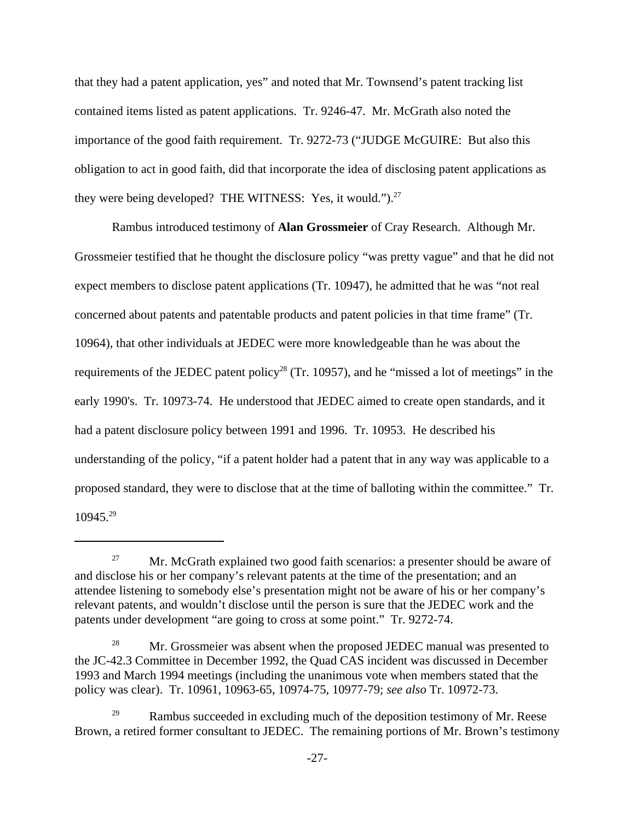that they had a patent application, yes" and noted that Mr. Townsend's patent tracking list contained items listed as patent applications. Tr. 9246-47. Mr. McGrath also noted the importance of the good faith requirement. Tr. 9272-73 ("JUDGE McGUIRE: But also this obligation to act in good faith, did that incorporate the idea of disclosing patent applications as they were being developed? THE WITNESS: Yes, it would.").<sup>27</sup>

Rambus introduced testimony of **Alan Grossmeier** of Cray Research. Although Mr. Grossmeier testified that he thought the disclosure policy "was pretty vague" and that he did not expect members to disclose patent applications (Tr. 10947), he admitted that he was "not real concerned about patents and patentable products and patent policies in that time frame" (Tr. 10964), that other individuals at JEDEC were more knowledgeable than he was about the requirements of the JEDEC patent policy<sup>28</sup> (Tr. 10957), and he "missed a lot of meetings" in the early 1990's. Tr. 10973-74. He understood that JEDEC aimed to create open standards, and it had a patent disclosure policy between 1991 and 1996. Tr. 10953. He described his understanding of the policy, "if a patent holder had a patent that in any way was applicable to a proposed standard, they were to disclose that at the time of balloting within the committee." Tr. 10945.29

<sup>&</sup>lt;sup>27</sup> Mr. McGrath explained two good faith scenarios: a presenter should be aware of and disclose his or her company's relevant patents at the time of the presentation; and an attendee listening to somebody else's presentation might not be aware of his or her company's relevant patents, and wouldn't disclose until the person is sure that the JEDEC work and the patents under development "are going to cross at some point." Tr. 9272-74.

<sup>&</sup>lt;sup>28</sup> Mr. Grossmeier was absent when the proposed JEDEC manual was presented to the JC-42.3 Committee in December 1992, the Quad CAS incident was discussed in December 1993 and March 1994 meetings (including the unanimous vote when members stated that the policy was clear). Tr. 10961, 10963-65, 10974-75, 10977-79; *see also* Tr. 10972-73.

 $29$  Rambus succeeded in excluding much of the deposition testimony of Mr. Reese Brown, a retired former consultant to JEDEC. The remaining portions of Mr. Brown's testimony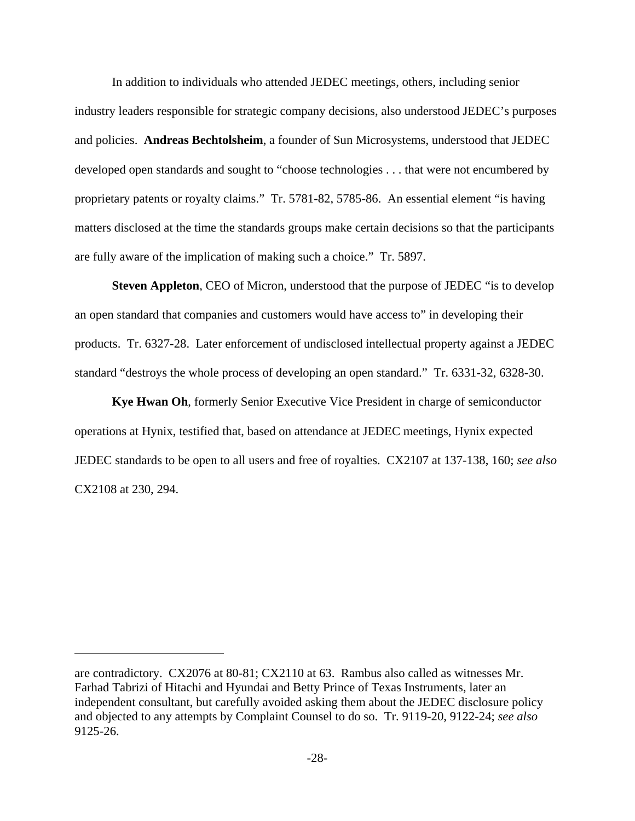In addition to individuals who attended JEDEC meetings, others, including senior industry leaders responsible for strategic company decisions, also understood JEDEC's purposes and policies. **Andreas Bechtolsheim**, a founder of Sun Microsystems, understood that JEDEC developed open standards and sought to "choose technologies . . . that were not encumbered by proprietary patents or royalty claims." Tr. 5781-82, 5785-86. An essential element "is having matters disclosed at the time the standards groups make certain decisions so that the participants are fully aware of the implication of making such a choice." Tr. 5897.

**Steven Appleton**, CEO of Micron, understood that the purpose of JEDEC "is to develop an open standard that companies and customers would have access to" in developing their products. Tr. 6327-28. Later enforcement of undisclosed intellectual property against a JEDEC standard "destroys the whole process of developing an open standard." Tr. 6331-32, 6328-30.

**Kye Hwan Oh**, formerly Senior Executive Vice President in charge of semiconductor operations at Hynix, testified that, based on attendance at JEDEC meetings, Hynix expected JEDEC standards to be open to all users and free of royalties. CX2107 at 137-138, 160; *see also* CX2108 at 230, 294.

are contradictory. CX2076 at 80-81; CX2110 at 63. Rambus also called as witnesses Mr. Farhad Tabrizi of Hitachi and Hyundai and Betty Prince of Texas Instruments, later an independent consultant, but carefully avoided asking them about the JEDEC disclosure policy and objected to any attempts by Complaint Counsel to do so. Tr. 9119-20, 9122-24; *see also* 9125-26.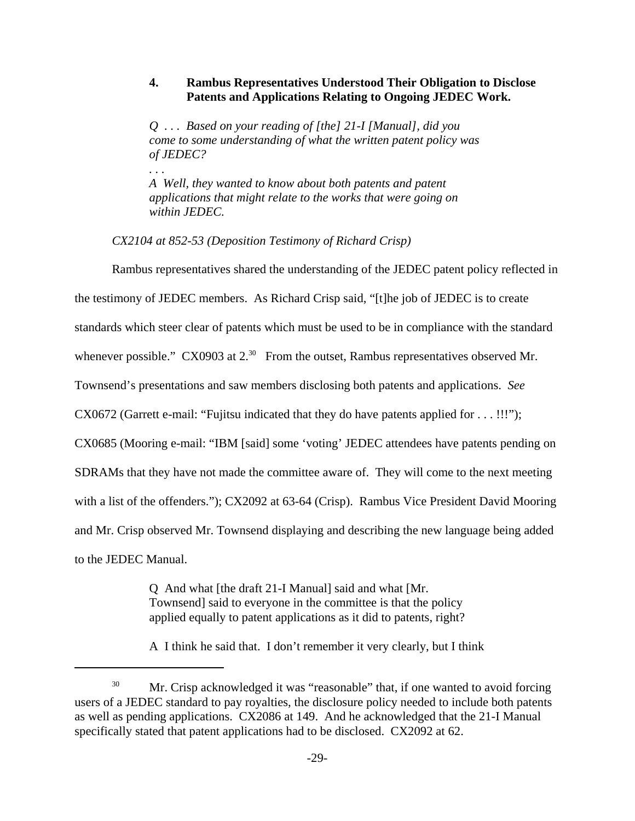### **4. Rambus Representatives Understood Their Obligation to Disclose Patents and Applications Relating to Ongoing JEDEC Work.**

*Q . . . Based on your reading of [the] 21-I [Manual], did you come to some understanding of what the written patent policy was of JEDEC?*

*A Well, they wanted to know about both patents and patent applications that might relate to the works that were going on within JEDEC.*

*CX2104 at 852-53 (Deposition Testimony of Richard Crisp)*

Rambus representatives shared the understanding of the JEDEC patent policy reflected in the testimony of JEDEC members. As Richard Crisp said, "[t]he job of JEDEC is to create

standards which steer clear of patents which must be used to be in compliance with the standard

whenever possible." CX0903 at 2.<sup>30</sup> From the outset, Rambus representatives observed Mr.

Townsend's presentations and saw members disclosing both patents and applications. *See*

CX0672 (Garrett e-mail: "Fujitsu indicated that they do have patents applied for . . . !!!");

CX0685 (Mooring e-mail: "IBM [said] some 'voting' JEDEC attendees have patents pending on

SDRAMs that they have not made the committee aware of. They will come to the next meeting

with a list of the offenders."); CX2092 at 63-64 (Crisp). Rambus Vice President David Mooring

and Mr. Crisp observed Mr. Townsend displaying and describing the new language being added

to the JEDEC Manual.

*. . .* 

Q And what [the draft 21-I Manual] said and what [Mr. Townsend] said to everyone in the committee is that the policy applied equally to patent applications as it did to patents, right?

A I think he said that. I don't remember it very clearly, but I think

<sup>&</sup>lt;sup>30</sup> Mr. Crisp acknowledged it was "reasonable" that, if one wanted to avoid forcing users of a JEDEC standard to pay royalties, the disclosure policy needed to include both patents as well as pending applications. CX2086 at 149. And he acknowledged that the 21-I Manual specifically stated that patent applications had to be disclosed. CX2092 at 62.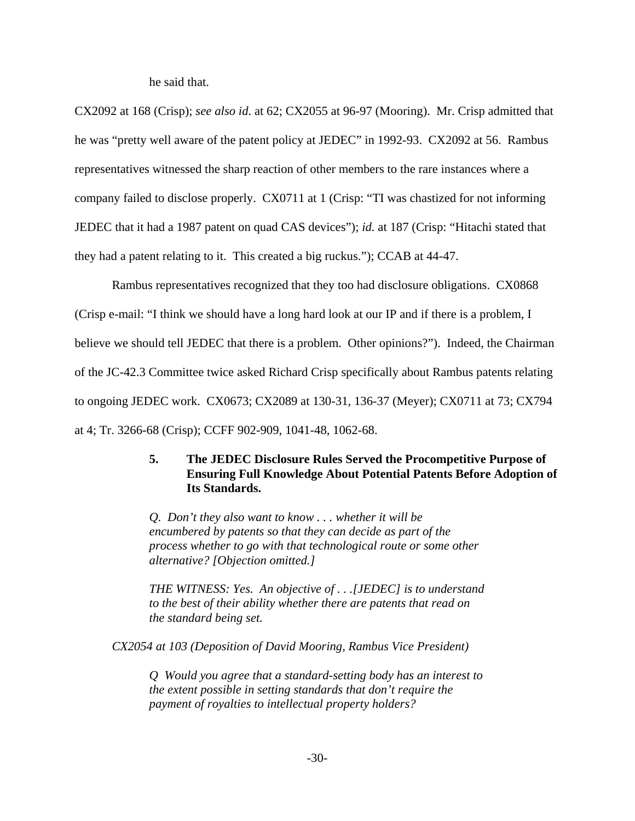he said that.

CX2092 at 168 (Crisp); *see also id*. at 62; CX2055 at 96-97 (Mooring). Mr. Crisp admitted that he was "pretty well aware of the patent policy at JEDEC" in 1992-93. CX2092 at 56. Rambus representatives witnessed the sharp reaction of other members to the rare instances where a company failed to disclose properly. CX0711 at 1 (Crisp: "TI was chastized for not informing JEDEC that it had a 1987 patent on quad CAS devices"); *id.* at 187 (Crisp: "Hitachi stated that they had a patent relating to it. This created a big ruckus."); CCAB at 44-47.

Rambus representatives recognized that they too had disclosure obligations. CX0868 (Crisp e-mail: "I think we should have a long hard look at our IP and if there is a problem, I believe we should tell JEDEC that there is a problem. Other opinions?"). Indeed, the Chairman of the JC-42.3 Committee twice asked Richard Crisp specifically about Rambus patents relating to ongoing JEDEC work. CX0673; CX2089 at 130-31, 136-37 (Meyer); CX0711 at 73; CX794 at 4; Tr. 3266-68 (Crisp); CCFF 902-909, 1041-48, 1062-68.

### **5. The JEDEC Disclosure Rules Served the Procompetitive Purpose of Ensuring Full Knowledge About Potential Patents Before Adoption of Its Standards.**

*Q. Don't they also want to know . . . whether it will be encumbered by patents so that they can decide as part of the process whether to go with that technological route or some other alternative? [Objection omitted.]*

*THE WITNESS: Yes. An objective of . . .[JEDEC] is to understand to the best of their ability whether there are patents that read on the standard being set.*

*CX2054 at 103 (Deposition of David Mooring, Rambus Vice President)*

*Q Would you agree that a standard-setting body has an interest to the extent possible in setting standards that don't require the payment of royalties to intellectual property holders?*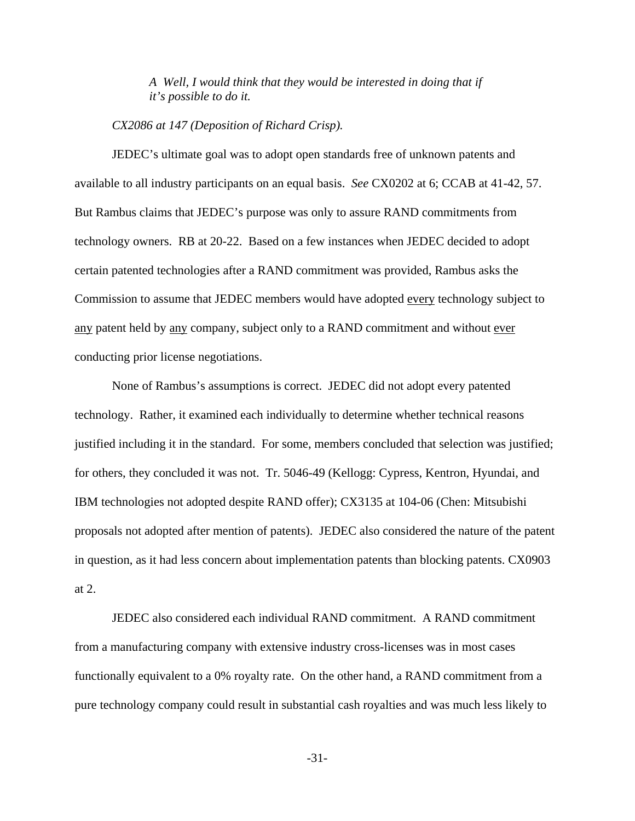*A Well, I would think that they would be interested in doing that if it's possible to do it.*

*CX2086 at 147 (Deposition of Richard Crisp).*

JEDEC's ultimate goal was to adopt open standards free of unknown patents and available to all industry participants on an equal basis. *See* CX0202 at 6; CCAB at 41-42, 57. But Rambus claims that JEDEC's purpose was only to assure RAND commitments from technology owners. RB at 20-22. Based on a few instances when JEDEC decided to adopt certain patented technologies after a RAND commitment was provided, Rambus asks the Commission to assume that JEDEC members would have adopted every technology subject to any patent held by any company, subject only to a RAND commitment and without ever conducting prior license negotiations.

None of Rambus's assumptions is correct. JEDEC did not adopt every patented technology. Rather, it examined each individually to determine whether technical reasons justified including it in the standard. For some, members concluded that selection was justified; for others, they concluded it was not. Tr. 5046-49 (Kellogg: Cypress, Kentron, Hyundai, and IBM technologies not adopted despite RAND offer); CX3135 at 104-06 (Chen: Mitsubishi proposals not adopted after mention of patents). JEDEC also considered the nature of the patent in question, as it had less concern about implementation patents than blocking patents. CX0903 at 2.

JEDEC also considered each individual RAND commitment. A RAND commitment from a manufacturing company with extensive industry cross-licenses was in most cases functionally equivalent to a 0% royalty rate. On the other hand, a RAND commitment from a pure technology company could result in substantial cash royalties and was much less likely to

-31-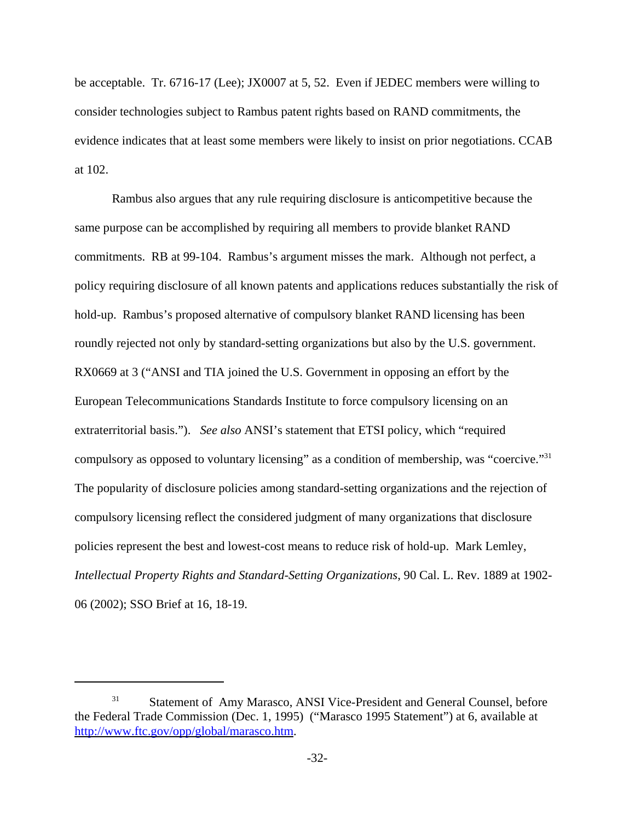be acceptable. Tr. 6716-17 (Lee); JX0007 at 5, 52. Even if JEDEC members were willing to consider technologies subject to Rambus patent rights based on RAND commitments, the evidence indicates that at least some members were likely to insist on prior negotiations. CCAB at 102.

Rambus also argues that any rule requiring disclosure is anticompetitive because the same purpose can be accomplished by requiring all members to provide blanket RAND commitments. RB at 99-104. Rambus's argument misses the mark. Although not perfect, a policy requiring disclosure of all known patents and applications reduces substantially the risk of hold-up. Rambus's proposed alternative of compulsory blanket RAND licensing has been roundly rejected not only by standard-setting organizations but also by the U.S. government. RX0669 at 3 ("ANSI and TIA joined the U.S. Government in opposing an effort by the European Telecommunications Standards Institute to force compulsory licensing on an extraterritorial basis."). *See also* ANSI's statement that ETSI policy, which "required compulsory as opposed to voluntary licensing" as a condition of membership, was "coercive."31 The popularity of disclosure policies among standard-setting organizations and the rejection of compulsory licensing reflect the considered judgment of many organizations that disclosure policies represent the best and lowest-cost means to reduce risk of hold-up. Mark Lemley, *Intellectual Property Rights and Standard-Setting Organizations*, 90 Cal. L. Rev. 1889 at 1902- 06 (2002); SSO Brief at 16, 18-19.

<sup>&</sup>lt;sup>31</sup> Statement of Amy Marasco, ANSI Vice-President and General Counsel, before the Federal Trade Commission (Dec. 1, 1995) ("Marasco 1995 Statement") at 6, available at http://www.ftc.gov/opp/global/marasco.htm.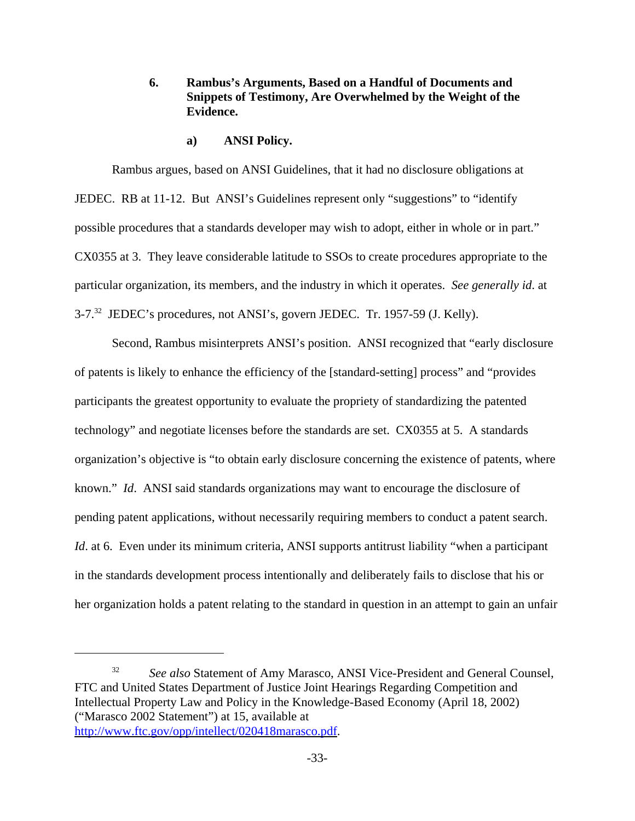# **6. Rambus's Arguments, Based on a Handful of Documents and Snippets of Testimony, Are Overwhelmed by the Weight of the Evidence.**

**a) ANSI Policy.**

Rambus argues, based on ANSI Guidelines, that it had no disclosure obligations at JEDEC. RB at 11-12. But ANSI's Guidelines represent only "suggestions" to "identify possible procedures that a standards developer may wish to adopt, either in whole or in part." CX0355 at 3. They leave considerable latitude to SSOs to create procedures appropriate to the particular organization, its members, and the industry in which it operates. *See generally id*. at 3-7.32 JEDEC's procedures, not ANSI's, govern JEDEC. Tr. 1957-59 (J. Kelly).

Second, Rambus misinterprets ANSI's position. ANSI recognized that "early disclosure of patents is likely to enhance the efficiency of the [standard-setting] process" and "provides participants the greatest opportunity to evaluate the propriety of standardizing the patented technology" and negotiate licenses before the standards are set. CX0355 at 5. A standards organization's objective is "to obtain early disclosure concerning the existence of patents, where known." *Id*. ANSI said standards organizations may want to encourage the disclosure of pending patent applications, without necessarily requiring members to conduct a patent search. *Id.* at 6. Even under its minimum criteria, ANSI supports antitrust liability "when a participant in the standards development process intentionally and deliberately fails to disclose that his or her organization holds a patent relating to the standard in question in an attempt to gain an unfair

<sup>&</sup>lt;sup>32</sup> *See also* Statement of Amy Marasco, ANSI Vice-President and General Counsel, FTC and United States Department of Justice Joint Hearings Regarding Competition and Intellectual Property Law and Policy in the Knowledge-Based Economy (April 18, 2002) ("Marasco 2002 Statement") at 15, available at http://www.ftc.gov/opp/intellect/020418marasco.pdf.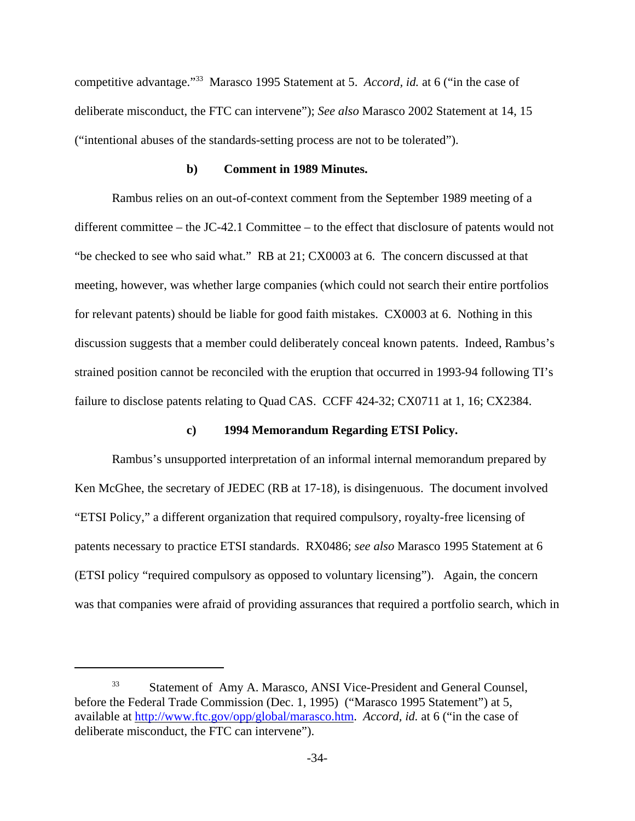competitive advantage."33 Marasco 1995 Statement at 5. *Accord, id.* at 6 ("in the case of deliberate misconduct, the FTC can intervene"); *See also* Marasco 2002 Statement at 14, 15 ("intentional abuses of the standards-setting process are not to be tolerated").

#### **b) Comment in 1989 Minutes.**

Rambus relies on an out-of-context comment from the September 1989 meeting of a different committee – the JC-42.1 Committee – to the effect that disclosure of patents would not "be checked to see who said what." RB at 21; CX0003 at 6. The concern discussed at that meeting, however, was whether large companies (which could not search their entire portfolios for relevant patents) should be liable for good faith mistakes. CX0003 at 6. Nothing in this discussion suggests that a member could deliberately conceal known patents. Indeed, Rambus's strained position cannot be reconciled with the eruption that occurred in 1993-94 following TI's failure to disclose patents relating to Quad CAS. CCFF 424-32; CX0711 at 1, 16; CX2384.

#### **c) 1994 Memorandum Regarding ETSI Policy.**

Rambus's unsupported interpretation of an informal internal memorandum prepared by Ken McGhee, the secretary of JEDEC (RB at 17-18), is disingenuous. The document involved "ETSI Policy," a different organization that required compulsory, royalty-free licensing of patents necessary to practice ETSI standards. RX0486; *see also* Marasco 1995 Statement at 6 (ETSI policy "required compulsory as opposed to voluntary licensing"). Again, the concern was that companies were afraid of providing assurances that required a portfolio search, which in

<sup>33</sup> Statement of Amy A. Marasco, ANSI Vice-President and General Counsel, before the Federal Trade Commission (Dec. 1, 1995) ("Marasco 1995 Statement") at 5, available at http://www.ftc.gov/opp/global/marasco.htm. *Accord, id.* at 6 ("in the case of deliberate misconduct, the FTC can intervene").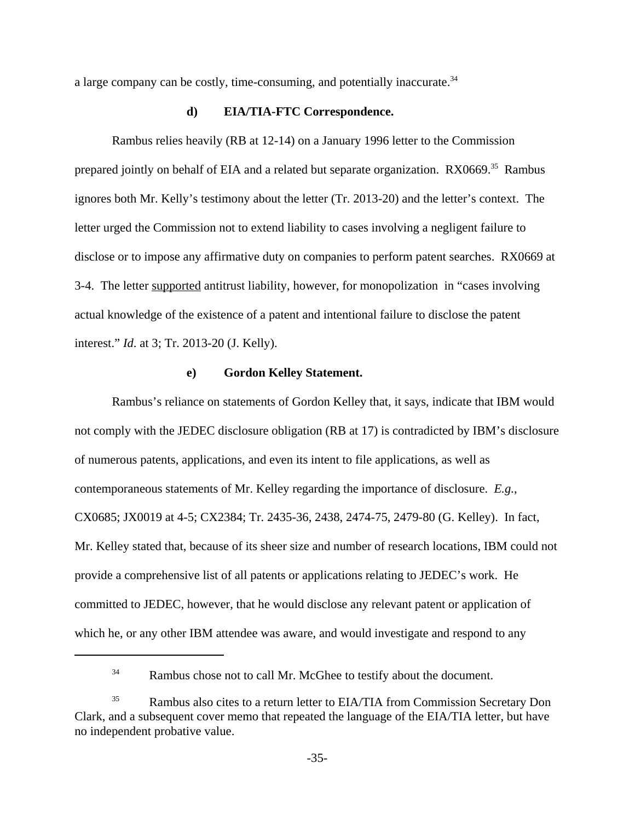a large company can be costly, time-consuming, and potentially inaccurate.<sup>34</sup>

#### **d) EIA/TIA-FTC Correspondence.**

Rambus relies heavily (RB at 12-14) on a January 1996 letter to the Commission prepared jointly on behalf of EIA and a related but separate organization. RX0669.<sup>35</sup> Rambus ignores both Mr. Kelly's testimony about the letter (Tr. 2013-20) and the letter's context. The letter urged the Commission not to extend liability to cases involving a negligent failure to disclose or to impose any affirmative duty on companies to perform patent searches. RX0669 at 3-4. The letter supported antitrust liability, however, for monopolization in "cases involving actual knowledge of the existence of a patent and intentional failure to disclose the patent interest." *Id*. at 3; Tr. 2013-20 (J. Kelly).

#### **e) Gordon Kelley Statement.**

Rambus's reliance on statements of Gordon Kelley that, it says, indicate that IBM would not comply with the JEDEC disclosure obligation (RB at 17) is contradicted by IBM's disclosure of numerous patents, applications, and even its intent to file applications, as well as contemporaneous statements of Mr. Kelley regarding the importance of disclosure. *E.g.*, CX0685; JX0019 at 4-5; CX2384; Tr. 2435-36, 2438, 2474-75, 2479-80 (G. Kelley). In fact, Mr. Kelley stated that, because of its sheer size and number of research locations, IBM could not provide a comprehensive list of all patents or applications relating to JEDEC's work. He committed to JEDEC, however, that he would disclose any relevant patent or application of which he, or any other IBM attendee was aware, and would investigate and respond to any

<sup>&</sup>lt;sup>34</sup> Rambus chose not to call Mr. McGhee to testify about the document.

<sup>&</sup>lt;sup>35</sup> Rambus also cites to a return letter to EIA/TIA from Commission Secretary Don Clark, and a subsequent cover memo that repeated the language of the EIA/TIA letter, but have no independent probative value.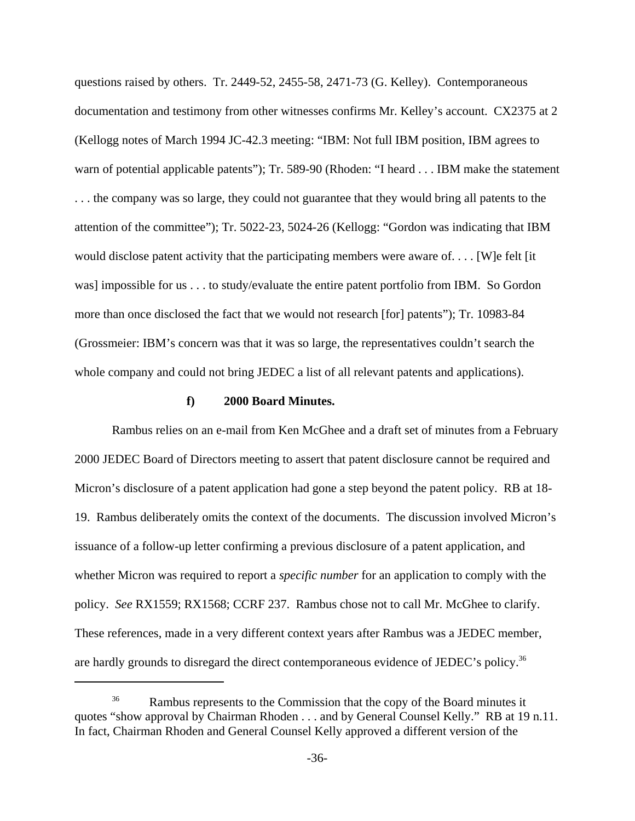questions raised by others. Tr. 2449-52, 2455-58, 2471-73 (G. Kelley). Contemporaneous documentation and testimony from other witnesses confirms Mr. Kelley's account. CX2375 at 2 (Kellogg notes of March 1994 JC-42.3 meeting: "IBM: Not full IBM position, IBM agrees to warn of potential applicable patents"); Tr. 589-90 (Rhoden: "I heard . . . IBM make the statement . . . the company was so large, they could not guarantee that they would bring all patents to the attention of the committee"); Tr. 5022-23, 5024-26 (Kellogg: "Gordon was indicating that IBM would disclose patent activity that the participating members were aware of. . . . [W]e felt [it was] impossible for us . . . to study/evaluate the entire patent portfolio from IBM. So Gordon more than once disclosed the fact that we would not research [for] patents"); Tr. 10983-84 (Grossmeier: IBM's concern was that it was so large, the representatives couldn't search the whole company and could not bring JEDEC a list of all relevant patents and applications).

# **f) 2000 Board Minutes.**

Rambus relies on an e-mail from Ken McGhee and a draft set of minutes from a February 2000 JEDEC Board of Directors meeting to assert that patent disclosure cannot be required and Micron's disclosure of a patent application had gone a step beyond the patent policy. RB at 18- 19. Rambus deliberately omits the context of the documents. The discussion involved Micron's issuance of a follow-up letter confirming a previous disclosure of a patent application, and whether Micron was required to report a *specific number* for an application to comply with the policy. *See* RX1559; RX1568; CCRF 237. Rambus chose not to call Mr. McGhee to clarify. These references, made in a very different context years after Rambus was a JEDEC member, are hardly grounds to disregard the direct contemporaneous evidence of JEDEC's policy.<sup>36</sup>

<sup>&</sup>lt;sup>36</sup> Rambus represents to the Commission that the copy of the Board minutes it quotes "show approval by Chairman Rhoden . . . and by General Counsel Kelly." RB at 19 n.11. In fact, Chairman Rhoden and General Counsel Kelly approved a different version of the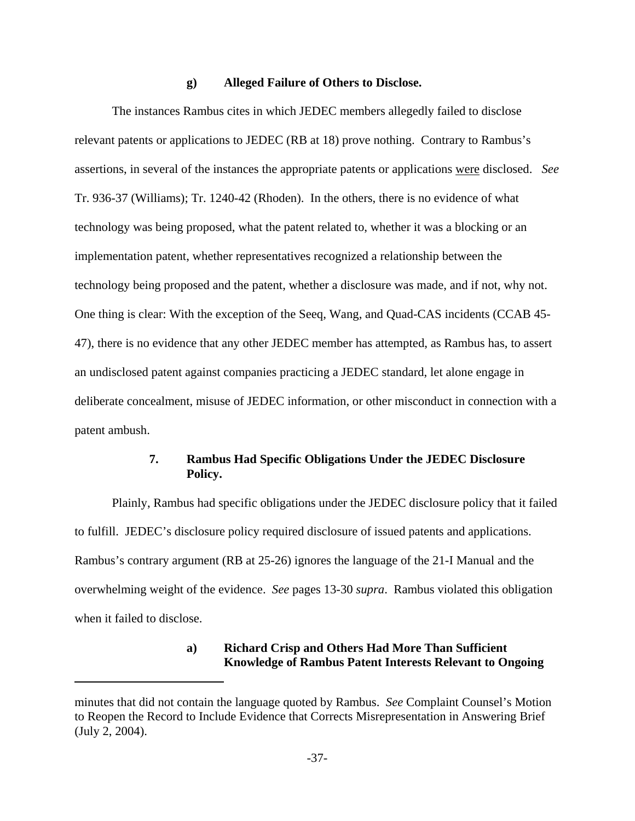#### **g) Alleged Failure of Others to Disclose.**

The instances Rambus cites in which JEDEC members allegedly failed to disclose relevant patents or applications to JEDEC (RB at 18) prove nothing. Contrary to Rambus's assertions, in several of the instances the appropriate patents or applications were disclosed. *See* Tr. 936-37 (Williams); Tr. 1240-42 (Rhoden). In the others, there is no evidence of what technology was being proposed, what the patent related to, whether it was a blocking or an implementation patent, whether representatives recognized a relationship between the technology being proposed and the patent, whether a disclosure was made, and if not, why not. One thing is clear: With the exception of the Seeq, Wang, and Quad-CAS incidents (CCAB 45- 47), there is no evidence that any other JEDEC member has attempted, as Rambus has, to assert an undisclosed patent against companies practicing a JEDEC standard, let alone engage in deliberate concealment, misuse of JEDEC information, or other misconduct in connection with a patent ambush.

### **7. Rambus Had Specific Obligations Under the JEDEC Disclosure Policy.**

Plainly, Rambus had specific obligations under the JEDEC disclosure policy that it failed to fulfill. JEDEC's disclosure policy required disclosure of issued patents and applications. Rambus's contrary argument (RB at 25-26) ignores the language of the 21-I Manual and the overwhelming weight of the evidence. *See* pages 13-30 *supra*. Rambus violated this obligation when it failed to disclose.

### **a) Richard Crisp and Others Had More Than Sufficient Knowledge of Rambus Patent Interests Relevant to Ongoing**

minutes that did not contain the language quoted by Rambus. *See* Complaint Counsel's Motion to Reopen the Record to Include Evidence that Corrects Misrepresentation in Answering Brief (July 2, 2004).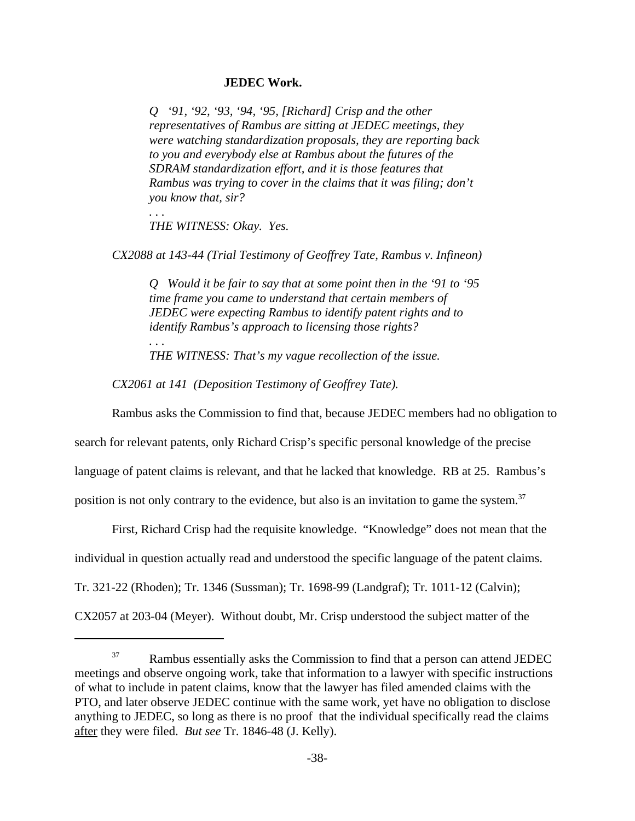#### **JEDEC Work.**

*Q '91, '92, '93, '94, '95, [Richard] Crisp and the other representatives of Rambus are sitting at JEDEC meetings, they were watching standardization proposals, they are reporting back to you and everybody else at Rambus about the futures of the SDRAM standardization effort, and it is those features that Rambus was trying to cover in the claims that it was filing; don't you know that, sir?*

*. . . THE WITNESS: Okay. Yes.*

*. . .*

*CX2088 at 143-44 (Trial Testimony of Geoffrey Tate, Rambus v. Infineon)*

*Q Would it be fair to say that at some point then in the '91 to '95 time frame you came to understand that certain members of JEDEC were expecting Rambus to identify patent rights and to identify Rambus's approach to licensing those rights?*

*THE WITNESS: That's my vague recollection of the issue.*

*CX2061 at 141 (Deposition Testimony of Geoffrey Tate).*

Rambus asks the Commission to find that, because JEDEC members had no obligation to

search for relevant patents, only Richard Crisp's specific personal knowledge of the precise

language of patent claims is relevant, and that he lacked that knowledge. RB at 25. Rambus's

position is not only contrary to the evidence, but also is an invitation to game the system.<sup>37</sup>

First, Richard Crisp had the requisite knowledge. "Knowledge" does not mean that the

individual in question actually read and understood the specific language of the patent claims.

Tr. 321-22 (Rhoden); Tr. 1346 (Sussman); Tr. 1698-99 (Landgraf); Tr. 1011-12 (Calvin);

CX2057 at 203-04 (Meyer). Without doubt, Mr. Crisp understood the subject matter of the

<sup>&</sup>lt;sup>37</sup> Rambus essentially asks the Commission to find that a person can attend JEDEC meetings and observe ongoing work, take that information to a lawyer with specific instructions of what to include in patent claims, know that the lawyer has filed amended claims with the PTO, and later observe JEDEC continue with the same work, yet have no obligation to disclose anything to JEDEC, so long as there is no proof that the individual specifically read the claims after they were filed. *But see* Tr. 1846-48 (J. Kelly).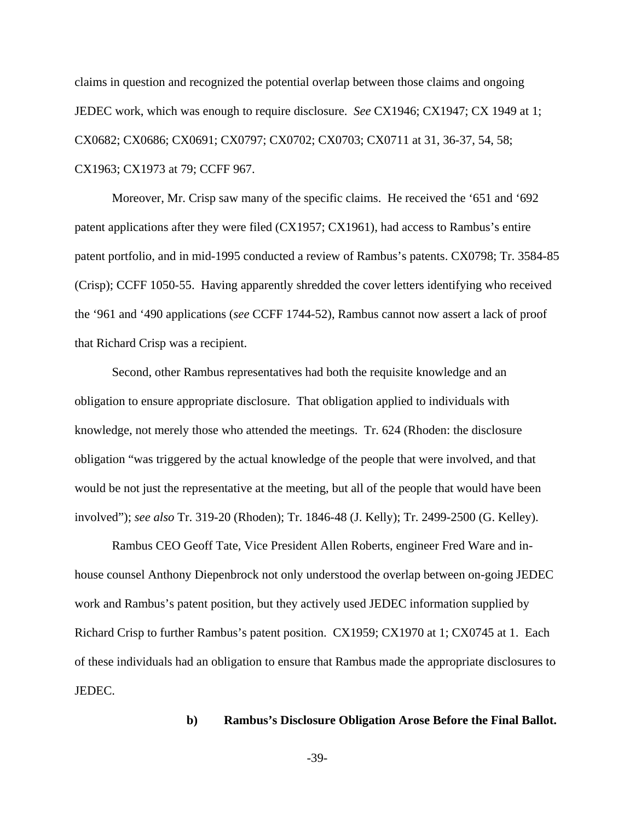claims in question and recognized the potential overlap between those claims and ongoing JEDEC work, which was enough to require disclosure. *See* CX1946; CX1947; CX 1949 at 1; CX0682; CX0686; CX0691; CX0797; CX0702; CX0703; CX0711 at 31, 36-37, 54, 58; CX1963; CX1973 at 79; CCFF 967.

Moreover, Mr. Crisp saw many of the specific claims. He received the '651 and '692 patent applications after they were filed (CX1957; CX1961), had access to Rambus's entire patent portfolio, and in mid-1995 conducted a review of Rambus's patents. CX0798; Tr. 3584-85 (Crisp); CCFF 1050-55. Having apparently shredded the cover letters identifying who received the '961 and '490 applications (*see* CCFF 1744-52), Rambus cannot now assert a lack of proof that Richard Crisp was a recipient.

Second, other Rambus representatives had both the requisite knowledge and an obligation to ensure appropriate disclosure. That obligation applied to individuals with knowledge, not merely those who attended the meetings. Tr. 624 (Rhoden: the disclosure obligation "was triggered by the actual knowledge of the people that were involved, and that would be not just the representative at the meeting, but all of the people that would have been involved"); *see also* Tr. 319-20 (Rhoden); Tr. 1846-48 (J. Kelly); Tr. 2499-2500 (G. Kelley).

Rambus CEO Geoff Tate, Vice President Allen Roberts, engineer Fred Ware and inhouse counsel Anthony Diepenbrock not only understood the overlap between on-going JEDEC work and Rambus's patent position, but they actively used JEDEC information supplied by Richard Crisp to further Rambus's patent position. CX1959; CX1970 at 1; CX0745 at 1. Each of these individuals had an obligation to ensure that Rambus made the appropriate disclosures to JEDEC.

#### **b) Rambus's Disclosure Obligation Arose Before the Final Ballot.**

-39-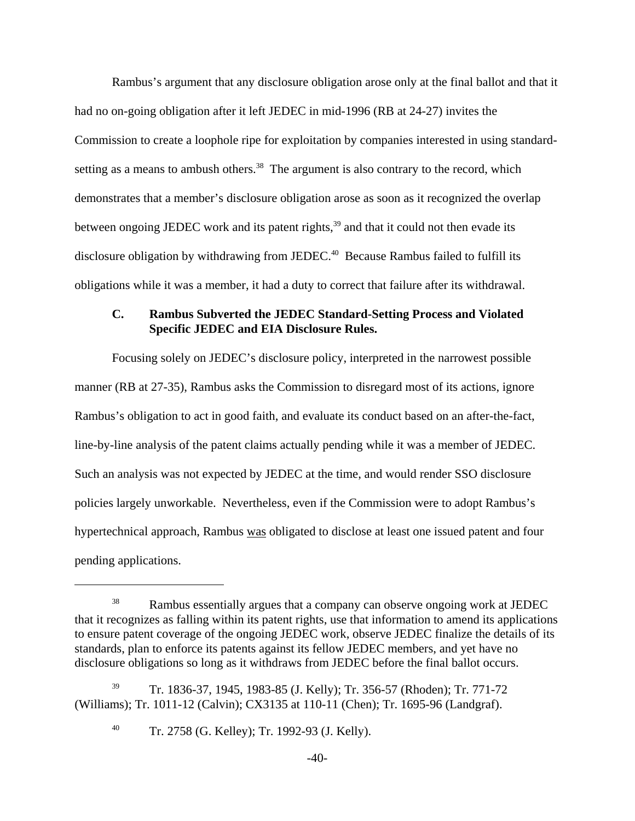Rambus's argument that any disclosure obligation arose only at the final ballot and that it had no on-going obligation after it left JEDEC in mid-1996 (RB at 24-27) invites the Commission to create a loophole ripe for exploitation by companies interested in using standardsetting as a means to ambush others.<sup>38</sup> The argument is also contrary to the record, which demonstrates that a member's disclosure obligation arose as soon as it recognized the overlap between ongoing JEDEC work and its patent rights, $39$  and that it could not then evade its disclosure obligation by withdrawing from JEDEC.<sup>40</sup> Because Rambus failed to fulfill its obligations while it was a member, it had a duty to correct that failure after its withdrawal.

### **C. Rambus Subverted the JEDEC Standard-Setting Process and Violated Specific JEDEC and EIA Disclosure Rules.**

Focusing solely on JEDEC's disclosure policy, interpreted in the narrowest possible manner (RB at 27-35), Rambus asks the Commission to disregard most of its actions, ignore Rambus's obligation to act in good faith, and evaluate its conduct based on an after-the-fact, line-by-line analysis of the patent claims actually pending while it was a member of JEDEC. Such an analysis was not expected by JEDEC at the time, and would render SSO disclosure policies largely unworkable. Nevertheless, even if the Commission were to adopt Rambus's hypertechnical approach, Rambus was obligated to disclose at least one issued patent and four pending applications.

<sup>&</sup>lt;sup>38</sup> Rambus essentially argues that a company can observe ongoing work at JEDEC that it recognizes as falling within its patent rights, use that information to amend its applications to ensure patent coverage of the ongoing JEDEC work, observe JEDEC finalize the details of its standards, plan to enforce its patents against its fellow JEDEC members, and yet have no disclosure obligations so long as it withdraws from JEDEC before the final ballot occurs.

<sup>39</sup> Tr. 1836-37, 1945, 1983-85 (J. Kelly); Tr. 356-57 (Rhoden); Tr. 771-72 (Williams); Tr. 1011-12 (Calvin); CX3135 at 110-11 (Chen); Tr. 1695-96 (Landgraf).

<sup>40</sup> Tr. 2758 (G. Kelley); Tr. 1992-93 (J. Kelly).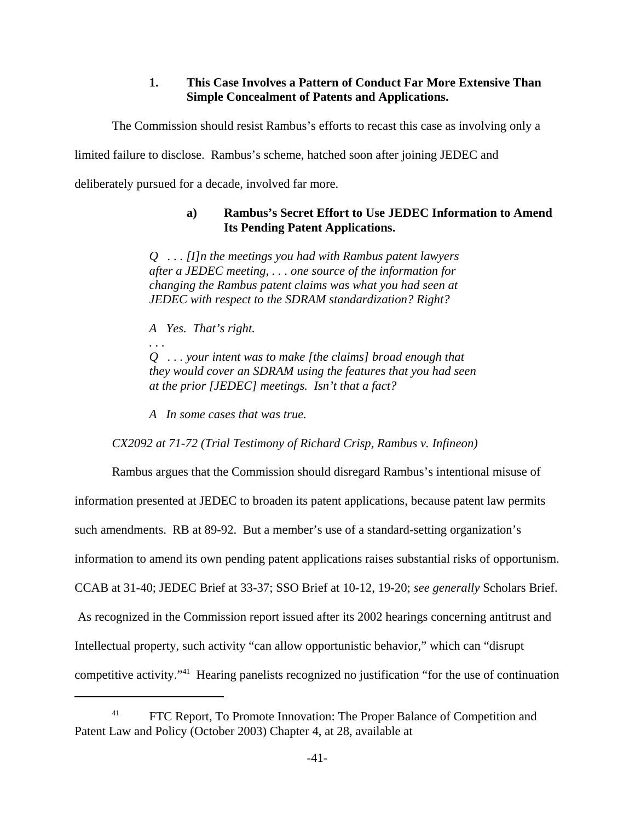# **1. This Case Involves a Pattern of Conduct Far More Extensive Than Simple Concealment of Patents and Applications.**

The Commission should resist Rambus's efforts to recast this case as involving only a

limited failure to disclose. Rambus's scheme, hatched soon after joining JEDEC and

deliberately pursued for a decade, involved far more.

# **a) Rambus's Secret Effort to Use JEDEC Information to Amend Its Pending Patent Applications.**

*Q . . . [I]n the meetings you had with Rambus patent lawyers after a JEDEC meeting, . . . one source of the information for changing the Rambus patent claims was what you had seen at JEDEC with respect to the SDRAM standardization? Right?*

*A Yes. That's right.*

*Q . . . your intent was to make [the claims] broad enough that they would cover an SDRAM using the features that you had seen at the prior [JEDEC] meetings. Isn't that a fact?*

*A In some cases that was true.*

*CX2092 at 71-72 (Trial Testimony of Richard Crisp, Rambus v. Infineon)*

Rambus argues that the Commission should disregard Rambus's intentional misuse of information presented at JEDEC to broaden its patent applications, because patent law permits such amendments. RB at 89-92. But a member's use of a standard-setting organization's information to amend its own pending patent applications raises substantial risks of opportunism. CCAB at 31-40; JEDEC Brief at 33-37; SSO Brief at 10-12, 19-20; *see generally* Scholars Brief. As recognized in the Commission report issued after its 2002 hearings concerning antitrust and Intellectual property, such activity "can allow opportunistic behavior," which can "disrupt competitive activity."41 Hearing panelists recognized no justification "for the use of continuation

<sup>&</sup>lt;sup>41</sup> FTC Report, To Promote Innovation: The Proper Balance of Competition and Patent Law and Policy (October 2003) Chapter 4, at 28, available at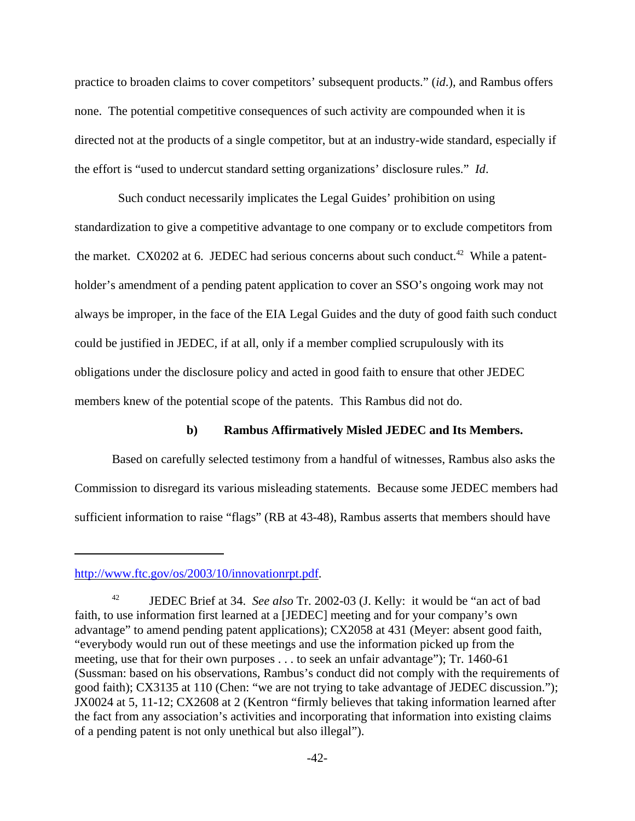practice to broaden claims to cover competitors' subsequent products." (*id*.), and Rambus offers none. The potential competitive consequences of such activity are compounded when it is directed not at the products of a single competitor, but at an industry-wide standard, especially if the effort is "used to undercut standard setting organizations' disclosure rules." *Id*.

 Such conduct necessarily implicates the Legal Guides' prohibition on using standardization to give a competitive advantage to one company or to exclude competitors from the market. CX0202 at 6. JEDEC had serious concerns about such conduct.<sup>42</sup> While a patentholder's amendment of a pending patent application to cover an SSO's ongoing work may not always be improper, in the face of the EIA Legal Guides and the duty of good faith such conduct could be justified in JEDEC, if at all, only if a member complied scrupulously with its obligations under the disclosure policy and acted in good faith to ensure that other JEDEC members knew of the potential scope of the patents. This Rambus did not do.

#### **b) Rambus Affirmatively Misled JEDEC and Its Members.**

Based on carefully selected testimony from a handful of witnesses, Rambus also asks the Commission to disregard its various misleading statements. Because some JEDEC members had sufficient information to raise "flags" (RB at 43-48), Rambus asserts that members should have

http://www.ftc.gov/os/2003/10/innovationrpt.pdf.

<sup>42</sup> JEDEC Brief at 34. *See also* Tr. 2002-03 (J. Kelly: it would be "an act of bad faith, to use information first learned at a [JEDEC] meeting and for your company's own advantage" to amend pending patent applications); CX2058 at 431 (Meyer: absent good faith, "everybody would run out of these meetings and use the information picked up from the meeting, use that for their own purposes . . . to seek an unfair advantage"); Tr. 1460-61 (Sussman: based on his observations, Rambus's conduct did not comply with the requirements of good faith); CX3135 at 110 (Chen: "we are not trying to take advantage of JEDEC discussion."); JX0024 at 5, 11-12; CX2608 at 2 (Kentron "firmly believes that taking information learned after the fact from any association's activities and incorporating that information into existing claims of a pending patent is not only unethical but also illegal").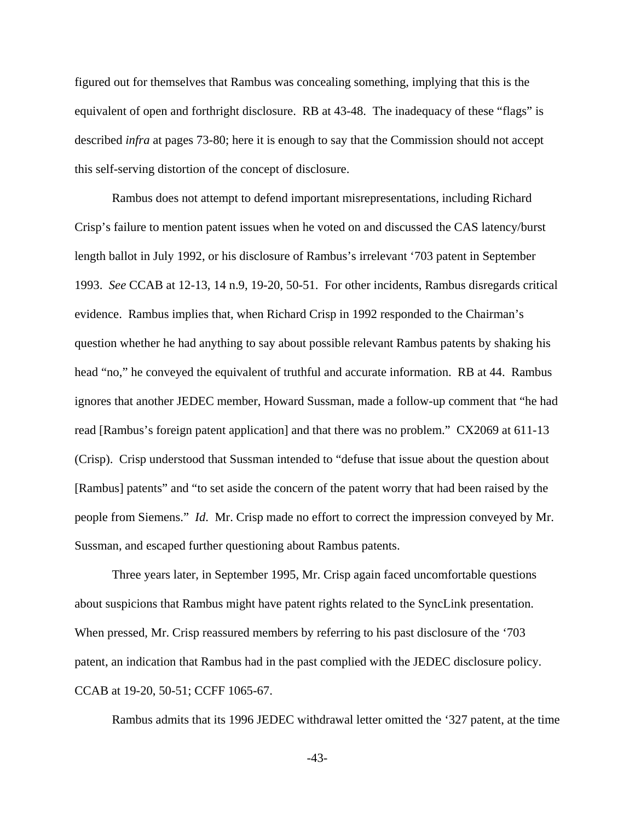figured out for themselves that Rambus was concealing something, implying that this is the equivalent of open and forthright disclosure. RB at 43-48. The inadequacy of these "flags" is described *infra* at pages 73-80; here it is enough to say that the Commission should not accept this self-serving distortion of the concept of disclosure.

Rambus does not attempt to defend important misrepresentations, including Richard Crisp's failure to mention patent issues when he voted on and discussed the CAS latency/burst length ballot in July 1992, or his disclosure of Rambus's irrelevant '703 patent in September 1993. *See* CCAB at 12-13, 14 n.9, 19-20, 50-51. For other incidents, Rambus disregards critical evidence. Rambus implies that, when Richard Crisp in 1992 responded to the Chairman's question whether he had anything to say about possible relevant Rambus patents by shaking his head "no," he conveyed the equivalent of truthful and accurate information. RB at 44. Rambus ignores that another JEDEC member, Howard Sussman, made a follow-up comment that "he had read [Rambus's foreign patent application] and that there was no problem." CX2069 at 611-13 (Crisp). Crisp understood that Sussman intended to "defuse that issue about the question about [Rambus] patents" and "to set aside the concern of the patent worry that had been raised by the people from Siemens." *Id*. Mr. Crisp made no effort to correct the impression conveyed by Mr. Sussman, and escaped further questioning about Rambus patents.

Three years later, in September 1995, Mr. Crisp again faced uncomfortable questions about suspicions that Rambus might have patent rights related to the SyncLink presentation. When pressed, Mr. Crisp reassured members by referring to his past disclosure of the '703 patent, an indication that Rambus had in the past complied with the JEDEC disclosure policy. CCAB at 19-20, 50-51; CCFF 1065-67.

Rambus admits that its 1996 JEDEC withdrawal letter omitted the '327 patent, at the time

-43-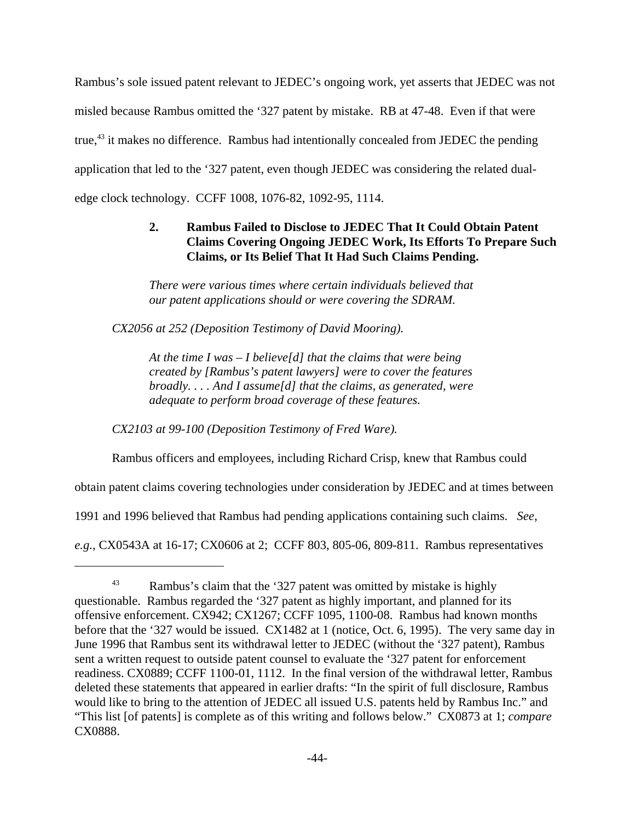Rambus's sole issued patent relevant to JEDEC's ongoing work, yet asserts that JEDEC was not misled because Rambus omitted the '327 patent by mistake. RB at 47-48. Even if that were true, $43$  it makes no difference. Rambus had intentionally concealed from JEDEC the pending application that led to the '327 patent, even though JEDEC was considering the related dualedge clock technology. CCFF 1008, 1076-82, 1092-95, 1114.

# **2. Rambus Failed to Disclose to JEDEC That It Could Obtain Patent Claims Covering Ongoing JEDEC Work, Its Efforts To Prepare Such Claims, or Its Belief That It Had Such Claims Pending.**

*There were various times where certain individuals believed that our patent applications should or were covering the SDRAM.*

*CX2056 at 252 (Deposition Testimony of David Mooring).*

*At the time I was – I believe[d] that the claims that were being created by [Rambus's patent lawyers] were to cover the features broadly. . . . And I assume[d] that the claims, as generated, were adequate to perform broad coverage of these features.* 

*CX2103 at 99-100 (Deposition Testimony of Fred Ware).*

Rambus officers and employees, including Richard Crisp, knew that Rambus could

obtain patent claims covering technologies under consideration by JEDEC and at times between

1991 and 1996 believed that Rambus had pending applications containing such claims. *See,*

*e.g.,* CX0543A at 16-17; CX0606 at 2; CCFF 803, 805-06, 809-811. Rambus representatives

<sup>&</sup>lt;sup>43</sup> Rambus's claim that the '327 patent was omitted by mistake is highly questionable. Rambus regarded the '327 patent as highly important, and planned for its offensive enforcement. CX942; CX1267; CCFF 1095, 1100-08. Rambus had known months before that the '327 would be issued. CX1482 at 1 (notice, Oct. 6, 1995). The very same day in June 1996 that Rambus sent its withdrawal letter to JEDEC (without the '327 patent), Rambus sent a written request to outside patent counsel to evaluate the '327 patent for enforcement readiness. CX0889; CCFF 1100-01, 1112. In the final version of the withdrawal letter, Rambus deleted these statements that appeared in earlier drafts: "In the spirit of full disclosure, Rambus would like to bring to the attention of JEDEC all issued U.S. patents held by Rambus Inc." and "This list [of patents] is complete as of this writing and follows below." CX0873 at 1; *compare* CX0888.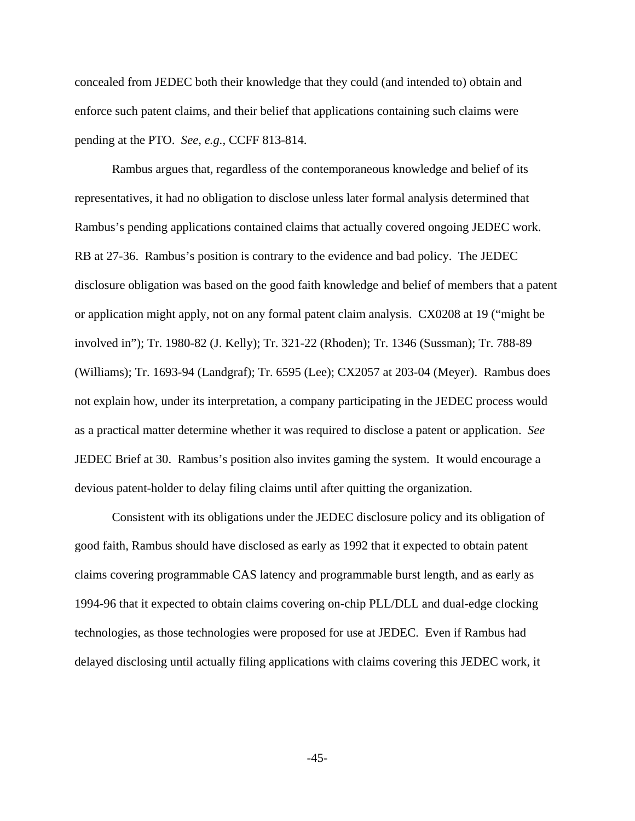concealed from JEDEC both their knowledge that they could (and intended to) obtain and enforce such patent claims, and their belief that applications containing such claims were pending at the PTO. *See, e.g.,* CCFF 813-814.

Rambus argues that, regardless of the contemporaneous knowledge and belief of its representatives, it had no obligation to disclose unless later formal analysis determined that Rambus's pending applications contained claims that actually covered ongoing JEDEC work. RB at 27-36. Rambus's position is contrary to the evidence and bad policy. The JEDEC disclosure obligation was based on the good faith knowledge and belief of members that a patent or application might apply, not on any formal patent claim analysis. CX0208 at 19 ("might be involved in"); Tr. 1980-82 (J. Kelly); Tr. 321-22 (Rhoden); Tr. 1346 (Sussman); Tr. 788-89 (Williams); Tr. 1693-94 (Landgraf); Tr. 6595 (Lee); CX2057 at 203-04 (Meyer). Rambus does not explain how, under its interpretation, a company participating in the JEDEC process would as a practical matter determine whether it was required to disclose a patent or application. *See* JEDEC Brief at 30. Rambus's position also invites gaming the system. It would encourage a devious patent-holder to delay filing claims until after quitting the organization.

Consistent with its obligations under the JEDEC disclosure policy and its obligation of good faith, Rambus should have disclosed as early as 1992 that it expected to obtain patent claims covering programmable CAS latency and programmable burst length, and as early as 1994-96 that it expected to obtain claims covering on-chip PLL/DLL and dual-edge clocking technologies, as those technologies were proposed for use at JEDEC. Even if Rambus had delayed disclosing until actually filing applications with claims covering this JEDEC work, it

-45-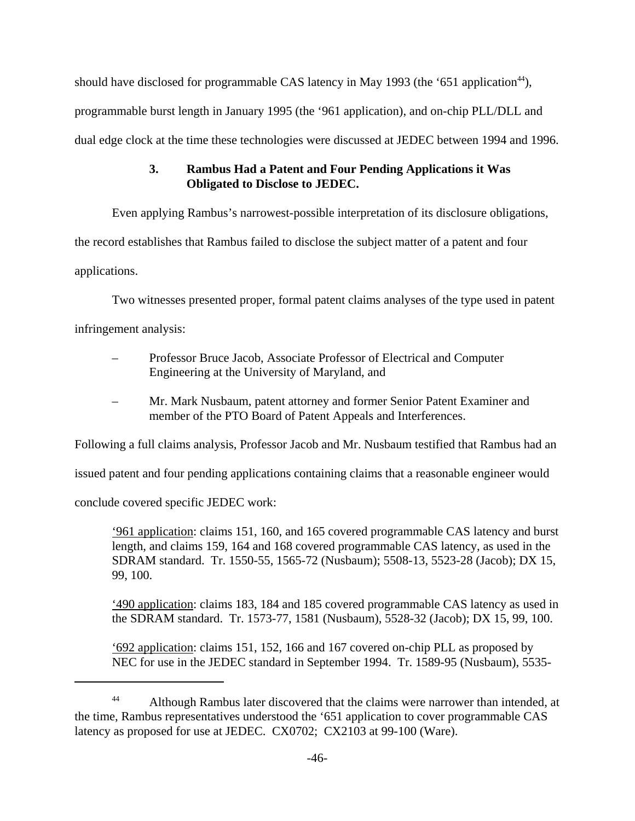should have disclosed for programmable CAS latency in May 1993 (the '651 application<sup>44</sup>), programmable burst length in January 1995 (the '961 application), and on-chip PLL/DLL and dual edge clock at the time these technologies were discussed at JEDEC between 1994 and 1996.

# **3. Rambus Had a Patent and Four Pending Applications it Was Obligated to Disclose to JEDEC.**

Even applying Rambus's narrowest-possible interpretation of its disclosure obligations,

the record establishes that Rambus failed to disclose the subject matter of a patent and four

applications.

Two witnesses presented proper, formal patent claims analyses of the type used in patent

infringement analysis:

- Professor Bruce Jacob, Associate Professor of Electrical and Computer Engineering at the University of Maryland, and
- Mr. Mark Nusbaum, patent attorney and former Senior Patent Examiner and member of the PTO Board of Patent Appeals and Interferences.

Following a full claims analysis, Professor Jacob and Mr. Nusbaum testified that Rambus had an

issued patent and four pending applications containing claims that a reasonable engineer would

conclude covered specific JEDEC work:

'961 application: claims 151, 160, and 165 covered programmable CAS latency and burst length, and claims 159, 164 and 168 covered programmable CAS latency, as used in the SDRAM standard. Tr. 1550-55, 1565-72 (Nusbaum); 5508-13, 5523-28 (Jacob); DX 15, 99, 100.

'490 application: claims 183, 184 and 185 covered programmable CAS latency as used in the SDRAM standard. Tr. 1573-77, 1581 (Nusbaum), 5528-32 (Jacob); DX 15, 99, 100.

'692 application: claims 151, 152, 166 and 167 covered on-chip PLL as proposed by NEC for use in the JEDEC standard in September 1994. Tr. 1589-95 (Nusbaum), 5535-

<sup>&</sup>lt;sup>44</sup> Although Rambus later discovered that the claims were narrower than intended, at the time, Rambus representatives understood the '651 application to cover programmable CAS latency as proposed for use at JEDEC. CX0702; CX2103 at 99-100 (Ware).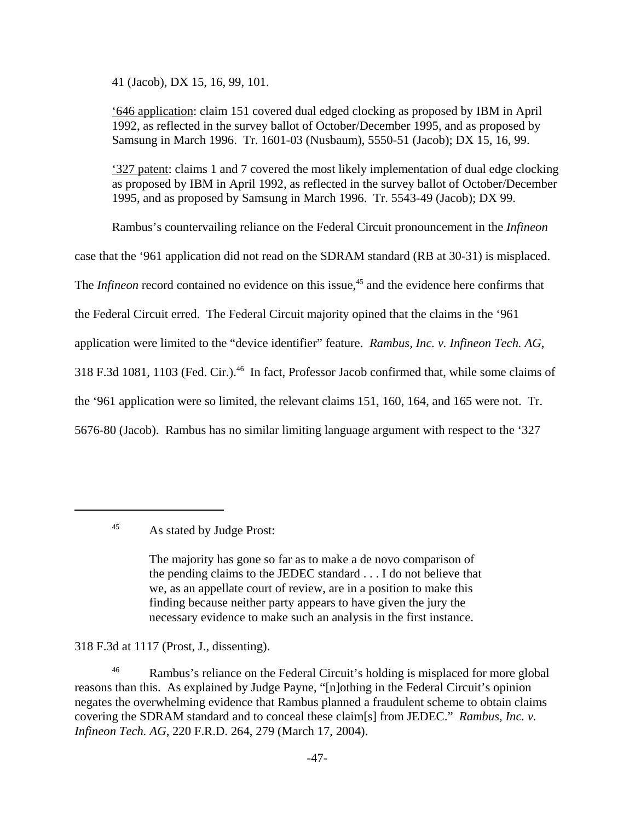41 (Jacob), DX 15, 16, 99, 101.

'646 application: claim 151 covered dual edged clocking as proposed by IBM in April 1992, as reflected in the survey ballot of October/December 1995, and as proposed by Samsung in March 1996. Tr. 1601-03 (Nusbaum), 5550-51 (Jacob); DX 15, 16, 99.

'327 patent: claims 1 and 7 covered the most likely implementation of dual edge clocking as proposed by IBM in April 1992, as reflected in the survey ballot of October/December 1995, and as proposed by Samsung in March 1996. Tr. 5543-49 (Jacob); DX 99.

Rambus's countervailing reliance on the Federal Circuit pronouncement in the *Infineon*

case that the '961 application did not read on the SDRAM standard (RB at 30-31) is misplaced.

The *Infineon* record contained no evidence on this issue,<sup>45</sup> and the evidence here confirms that

the Federal Circuit erred. The Federal Circuit majority opined that the claims in the '961

application were limited to the "device identifier" feature. *Rambus, Inc. v. Infineon Tech. AG*,

318 F.3d 1081, 1103 (Fed. Cir.).<sup>46</sup> In fact, Professor Jacob confirmed that, while some claims of

the '961 application were so limited, the relevant claims 151, 160, 164, and 165 were not. Tr.

5676-80 (Jacob). Rambus has no similar limiting language argument with respect to the '327

The majority has gone so far as to make a de novo comparison of the pending claims to the JEDEC standard . . . I do not believe that we, as an appellate court of review, are in a position to make this finding because neither party appears to have given the jury the necessary evidence to make such an analysis in the first instance.

318 F.3d at 1117 (Prost, J., dissenting).

<sup>46</sup> Rambus's reliance on the Federal Circuit's holding is misplaced for more global reasons than this. As explained by Judge Payne, "[n]othing in the Federal Circuit's opinion negates the overwhelming evidence that Rambus planned a fraudulent scheme to obtain claims covering the SDRAM standard and to conceal these claim[s] from JEDEC." *Rambus, Inc. v. Infineon Tech. AG*, 220 F.R.D. 264, 279 (March 17, 2004).

<sup>45</sup> As stated by Judge Prost: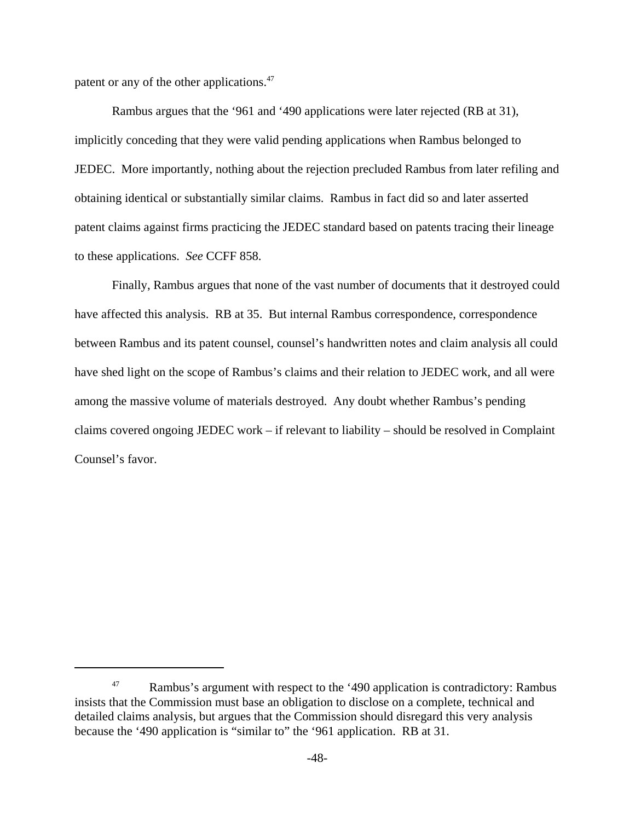patent or any of the other applications.<sup>47</sup>

Rambus argues that the '961 and '490 applications were later rejected (RB at 31), implicitly conceding that they were valid pending applications when Rambus belonged to JEDEC. More importantly, nothing about the rejection precluded Rambus from later refiling and obtaining identical or substantially similar claims. Rambus in fact did so and later asserted patent claims against firms practicing the JEDEC standard based on patents tracing their lineage to these applications. *See* CCFF 858.

Finally, Rambus argues that none of the vast number of documents that it destroyed could have affected this analysis. RB at 35. But internal Rambus correspondence, correspondence between Rambus and its patent counsel, counsel's handwritten notes and claim analysis all could have shed light on the scope of Rambus's claims and their relation to JEDEC work, and all were among the massive volume of materials destroyed. Any doubt whether Rambus's pending claims covered ongoing JEDEC work – if relevant to liability – should be resolved in Complaint Counsel's favor.

<sup>&</sup>lt;sup>47</sup> Rambus's argument with respect to the '490 application is contradictory: Rambus insists that the Commission must base an obligation to disclose on a complete, technical and detailed claims analysis, but argues that the Commission should disregard this very analysis because the '490 application is "similar to" the '961 application. RB at 31.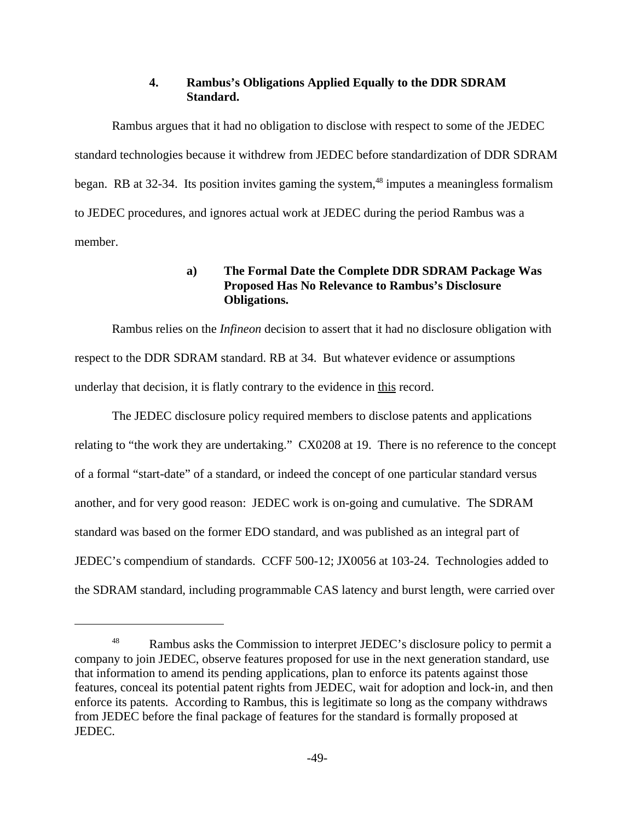# **4. Rambus's Obligations Applied Equally to the DDR SDRAM Standard.**

Rambus argues that it had no obligation to disclose with respect to some of the JEDEC standard technologies because it withdrew from JEDEC before standardization of DDR SDRAM began. RB at  $32-34$ . Its position invites gaming the system, <sup>48</sup> imputes a meaningless formalism to JEDEC procedures, and ignores actual work at JEDEC during the period Rambus was a member.

# **a) The Formal Date the Complete DDR SDRAM Package Was Proposed Has No Relevance to Rambus's Disclosure Obligations.**

Rambus relies on the *Infineon* decision to assert that it had no disclosure obligation with respect to the DDR SDRAM standard. RB at 34. But whatever evidence or assumptions underlay that decision, it is flatly contrary to the evidence in this record.

The JEDEC disclosure policy required members to disclose patents and applications relating to "the work they are undertaking." CX0208 at 19. There is no reference to the concept of a formal "start-date" of a standard, or indeed the concept of one particular standard versus another, and for very good reason: JEDEC work is on-going and cumulative. The SDRAM standard was based on the former EDO standard, and was published as an integral part of JEDEC's compendium of standards. CCFF 500-12; JX0056 at 103-24. Technologies added to the SDRAM standard, including programmable CAS latency and burst length, were carried over

<sup>&</sup>lt;sup>48</sup> Rambus asks the Commission to interpret JEDEC's disclosure policy to permit a company to join JEDEC, observe features proposed for use in the next generation standard, use that information to amend its pending applications, plan to enforce its patents against those features, conceal its potential patent rights from JEDEC, wait for adoption and lock-in, and then enforce its patents. According to Rambus, this is legitimate so long as the company withdraws from JEDEC before the final package of features for the standard is formally proposed at JEDEC.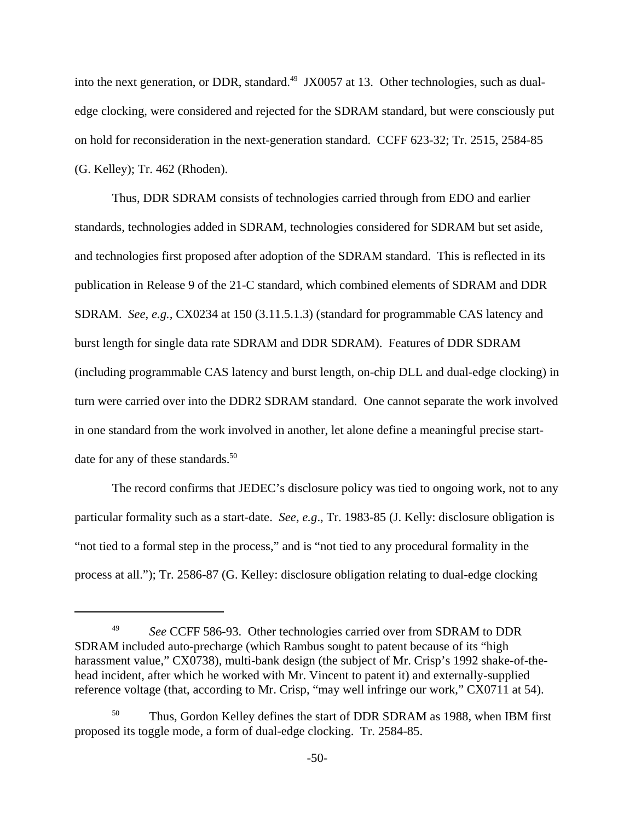into the next generation, or DDR, standard.<sup>49</sup> JX0057 at 13. Other technologies, such as dualedge clocking, were considered and rejected for the SDRAM standard, but were consciously put on hold for reconsideration in the next-generation standard. CCFF 623-32; Tr. 2515, 2584-85 (G. Kelley); Tr. 462 (Rhoden).

Thus, DDR SDRAM consists of technologies carried through from EDO and earlier standards, technologies added in SDRAM, technologies considered for SDRAM but set aside, and technologies first proposed after adoption of the SDRAM standard. This is reflected in its publication in Release 9 of the 21-C standard, which combined elements of SDRAM and DDR SDRAM. *See, e.g.,* CX0234 at 150 (3.11.5.1.3) (standard for programmable CAS latency and burst length for single data rate SDRAM and DDR SDRAM). Features of DDR SDRAM (including programmable CAS latency and burst length, on-chip DLL and dual-edge clocking) in turn were carried over into the DDR2 SDRAM standard. One cannot separate the work involved in one standard from the work involved in another, let alone define a meaningful precise startdate for any of these standards.<sup>50</sup>

The record confirms that JEDEC's disclosure policy was tied to ongoing work, not to any particular formality such as a start-date. *See, e.g*., Tr. 1983-85 (J. Kelly: disclosure obligation is "not tied to a formal step in the process," and is "not tied to any procedural formality in the process at all."); Tr. 2586-87 (G. Kelley: disclosure obligation relating to dual-edge clocking

<sup>&</sup>lt;sup>49</sup> *See* CCFF 586-93. Other technologies carried over from SDRAM to DDR SDRAM included auto-precharge (which Rambus sought to patent because of its "high harassment value," CX0738), multi-bank design (the subject of Mr. Crisp's 1992 shake-of-thehead incident, after which he worked with Mr. Vincent to patent it) and externally-supplied reference voltage (that, according to Mr. Crisp, "may well infringe our work," CX0711 at 54).

<sup>&</sup>lt;sup>50</sup> Thus, Gordon Kelley defines the start of DDR SDRAM as 1988, when IBM first proposed its toggle mode, a form of dual-edge clocking. Tr. 2584-85.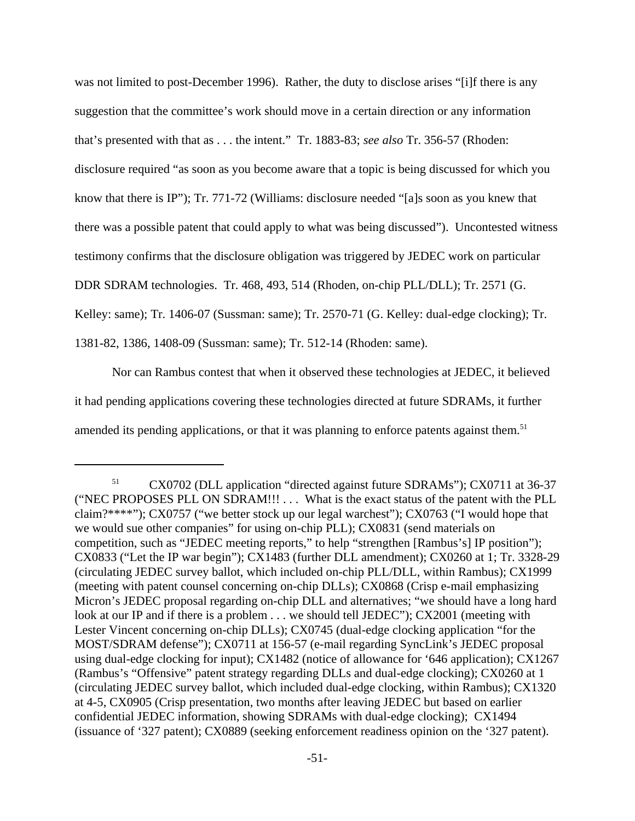was not limited to post-December 1996). Rather, the duty to disclose arises "[i]f there is any suggestion that the committee's work should move in a certain direction or any information that's presented with that as . . . the intent." Tr. 1883-83; *see also* Tr. 356-57 (Rhoden: disclosure required "as soon as you become aware that a topic is being discussed for which you know that there is IP"); Tr. 771-72 (Williams: disclosure needed "[a]s soon as you knew that there was a possible patent that could apply to what was being discussed"). Uncontested witness testimony confirms that the disclosure obligation was triggered by JEDEC work on particular DDR SDRAM technologies. Tr. 468, 493, 514 (Rhoden, on-chip PLL/DLL); Tr. 2571 (G. Kelley: same); Tr. 1406-07 (Sussman: same); Tr. 2570-71 (G. Kelley: dual-edge clocking); Tr. 1381-82, 1386, 1408-09 (Sussman: same); Tr. 512-14 (Rhoden: same).

Nor can Rambus contest that when it observed these technologies at JEDEC, it believed it had pending applications covering these technologies directed at future SDRAMs, it further amended its pending applications, or that it was planning to enforce patents against them.<sup>51</sup>

<sup>51</sup> CX0702 (DLL application "directed against future SDRAMs"); CX0711 at 36-37 ("NEC PROPOSES PLL ON SDRAM!!! . . . What is the exact status of the patent with the PLL claim?\*\*\*\*"); CX0757 ("we better stock up our legal warchest"); CX0763 ("I would hope that we would sue other companies" for using on-chip PLL); CX0831 (send materials on competition, such as "JEDEC meeting reports," to help "strengthen [Rambus's] IP position"); CX0833 ("Let the IP war begin"); CX1483 (further DLL amendment); CX0260 at 1; Tr. 3328-29 (circulating JEDEC survey ballot, which included on-chip PLL/DLL, within Rambus); CX1999 (meeting with patent counsel concerning on-chip DLLs); CX0868 (Crisp e-mail emphasizing Micron's JEDEC proposal regarding on-chip DLL and alternatives; "we should have a long hard look at our IP and if there is a problem . . . we should tell JEDEC"); CX2001 (meeting with Lester Vincent concerning on-chip DLLs); CX0745 (dual-edge clocking application "for the MOST/SDRAM defense"); CX0711 at 156-57 (e-mail regarding SyncLink's JEDEC proposal using dual-edge clocking for input); CX1482 (notice of allowance for '646 application); CX1267 (Rambus's "Offensive" patent strategy regarding DLLs and dual-edge clocking); CX0260 at 1 (circulating JEDEC survey ballot, which included dual-edge clocking, within Rambus); CX1320 at 4-5, CX0905 (Crisp presentation, two months after leaving JEDEC but based on earlier confidential JEDEC information, showing SDRAMs with dual-edge clocking); CX1494 (issuance of '327 patent); CX0889 (seeking enforcement readiness opinion on the '327 patent).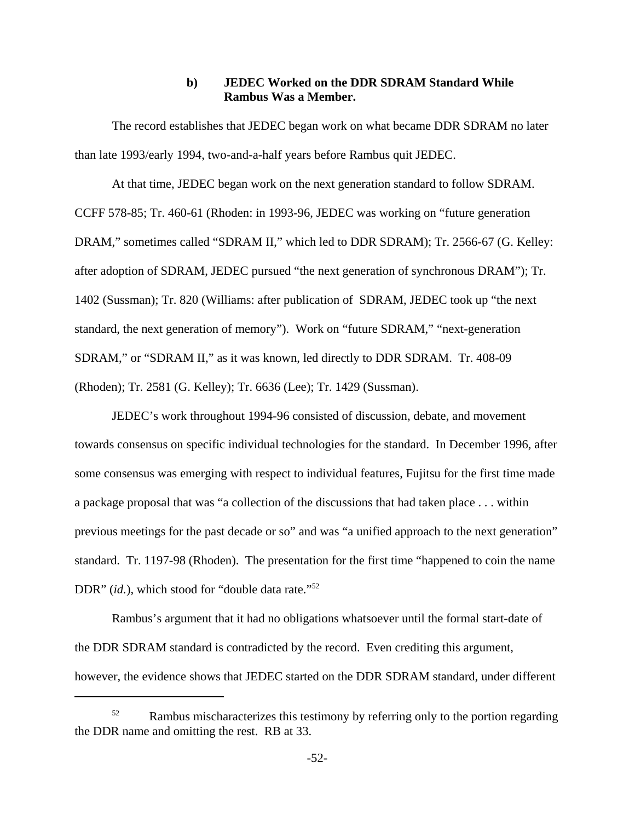### **b) JEDEC Worked on the DDR SDRAM Standard While Rambus Was a Member.**

The record establishes that JEDEC began work on what became DDR SDRAM no later than late 1993/early 1994, two-and-a-half years before Rambus quit JEDEC.

At that time, JEDEC began work on the next generation standard to follow SDRAM. CCFF 578-85; Tr. 460-61 (Rhoden: in 1993-96, JEDEC was working on "future generation DRAM," sometimes called "SDRAM II," which led to DDR SDRAM); Tr. 2566-67 (G. Kelley: after adoption of SDRAM, JEDEC pursued "the next generation of synchronous DRAM"); Tr. 1402 (Sussman); Tr. 820 (Williams: after publication of SDRAM, JEDEC took up "the next standard, the next generation of memory"). Work on "future SDRAM," "next-generation SDRAM," or "SDRAM II," as it was known, led directly to DDR SDRAM. Tr. 408-09 (Rhoden); Tr. 2581 (G. Kelley); Tr. 6636 (Lee); Tr. 1429 (Sussman).

JEDEC's work throughout 1994-96 consisted of discussion, debate, and movement towards consensus on specific individual technologies for the standard. In December 1996, after some consensus was emerging with respect to individual features, Fujitsu for the first time made a package proposal that was "a collection of the discussions that had taken place . . . within previous meetings for the past decade or so" and was "a unified approach to the next generation" standard. Tr. 1197-98 (Rhoden). The presentation for the first time "happened to coin the name DDR" (*id.*), which stood for "double data rate."<sup>52</sup>

Rambus's argument that it had no obligations whatsoever until the formal start-date of the DDR SDRAM standard is contradicted by the record. Even crediting this argument, however, the evidence shows that JEDEC started on the DDR SDRAM standard, under different

 $52$  Rambus mischaracterizes this testimony by referring only to the portion regarding the DDR name and omitting the rest. RB at 33.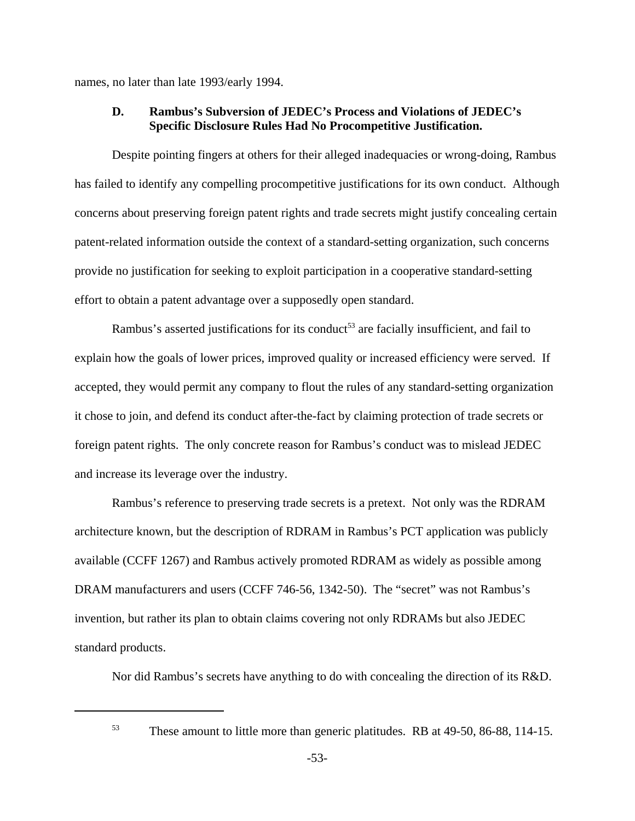names, no later than late 1993/early 1994.

#### **D. Rambus's Subversion of JEDEC's Process and Violations of JEDEC's Specific Disclosure Rules Had No Procompetitive Justification.**

Despite pointing fingers at others for their alleged inadequacies or wrong-doing, Rambus has failed to identify any compelling procompetitive justifications for its own conduct. Although concerns about preserving foreign patent rights and trade secrets might justify concealing certain patent-related information outside the context of a standard-setting organization, such concerns provide no justification for seeking to exploit participation in a cooperative standard-setting effort to obtain a patent advantage over a supposedly open standard.

Rambus's asserted justifications for its conduct<sup>53</sup> are facially insufficient, and fail to explain how the goals of lower prices, improved quality or increased efficiency were served. If accepted, they would permit any company to flout the rules of any standard-setting organization it chose to join, and defend its conduct after-the-fact by claiming protection of trade secrets or foreign patent rights. The only concrete reason for Rambus's conduct was to mislead JEDEC and increase its leverage over the industry.

Rambus's reference to preserving trade secrets is a pretext. Not only was the RDRAM architecture known, but the description of RDRAM in Rambus's PCT application was publicly available (CCFF 1267) and Rambus actively promoted RDRAM as widely as possible among DRAM manufacturers and users (CCFF 746-56, 1342-50). The "secret" was not Rambus's invention, but rather its plan to obtain claims covering not only RDRAMs but also JEDEC standard products.

Nor did Rambus's secrets have anything to do with concealing the direction of its R&D.

<sup>53</sup> These amount to little more than generic platitudes. RB at 49-50, 86-88, 114-15.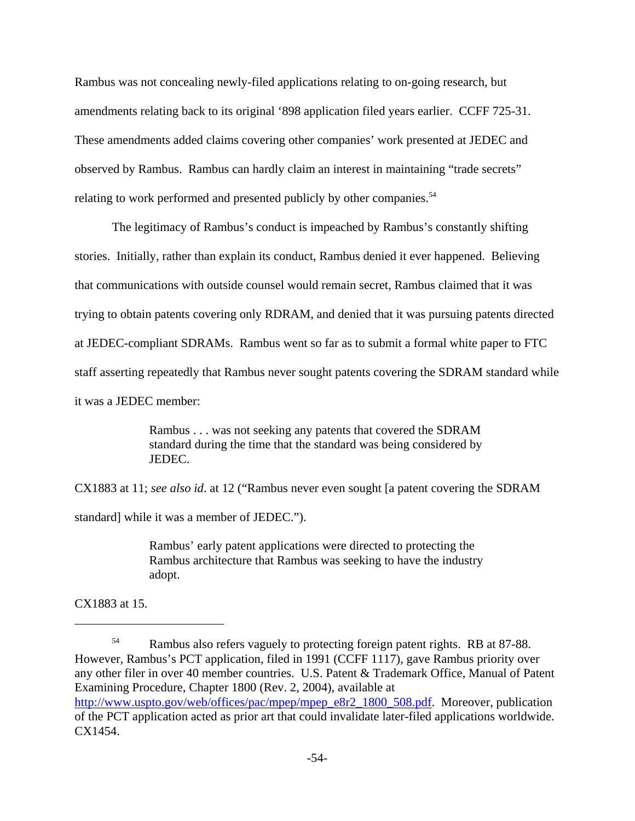Rambus was not concealing newly-filed applications relating to on-going research, but amendments relating back to its original '898 application filed years earlier. CCFF 725-31. These amendments added claims covering other companies' work presented at JEDEC and observed by Rambus. Rambus can hardly claim an interest in maintaining "trade secrets" relating to work performed and presented publicly by other companies.<sup>54</sup>

The legitimacy of Rambus's conduct is impeached by Rambus's constantly shifting stories. Initially, rather than explain its conduct, Rambus denied it ever happened. Believing that communications with outside counsel would remain secret, Rambus claimed that it was trying to obtain patents covering only RDRAM, and denied that it was pursuing patents directed at JEDEC-compliant SDRAMs. Rambus went so far as to submit a formal white paper to FTC staff asserting repeatedly that Rambus never sought patents covering the SDRAM standard while it was a JEDEC member:

> Rambus . . . was not seeking any patents that covered the SDRAM standard during the time that the standard was being considered by JEDEC.

CX1883 at 11; *see also id*. at 12 ("Rambus never even sought [a patent covering the SDRAM

standard] while it was a member of JEDEC.").

Rambus' early patent applications were directed to protecting the Rambus architecture that Rambus was seeking to have the industry adopt.

CX1883 at 15.

<sup>&</sup>lt;sup>54</sup> Rambus also refers vaguely to protecting foreign patent rights. RB at 87-88. However, Rambus's PCT application, filed in 1991 (CCFF 1117), gave Rambus priority over any other filer in over 40 member countries. U.S. Patent & Trademark Office, Manual of Patent Examining Procedure, Chapter 1800 (Rev. 2, 2004), available at http://www.uspto.gov/web/offices/pac/mpep/mpep\_e8r2\_1800\_508.pdf. Moreover, publication of the PCT application acted as prior art that could invalidate later-filed applications worldwide. CX1454.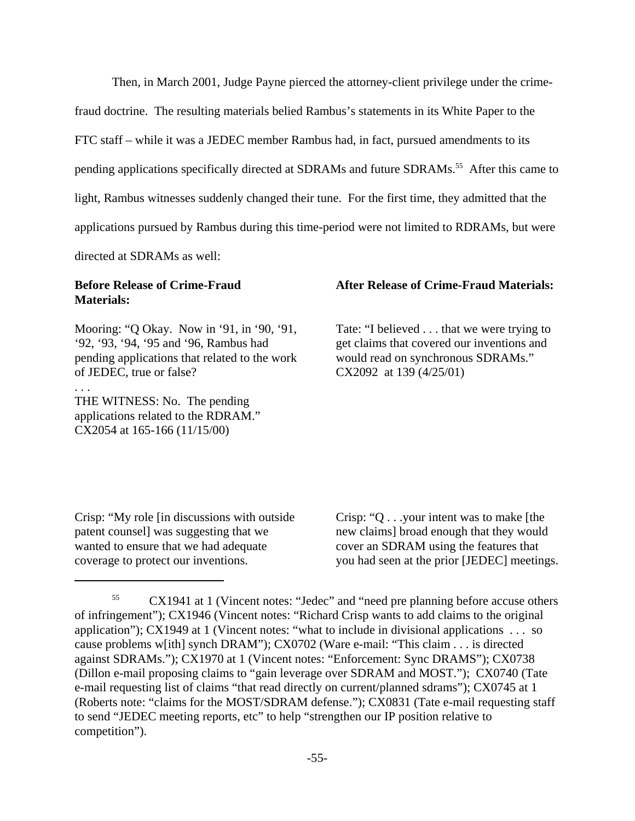Then, in March 2001, Judge Payne pierced the attorney-client privilege under the crime-

fraud doctrine. The resulting materials belied Rambus's statements in its White Paper to the

FTC staff – while it was a JEDEC member Rambus had, in fact, pursued amendments to its

pending applications specifically directed at SDRAMs and future SDRAMs.<sup>55</sup> After this came to

light, Rambus witnesses suddenly changed their tune. For the first time, they admitted that the

applications pursued by Rambus during this time-period were not limited to RDRAMs, but were

directed at SDRAMs as well:

# **Before Release of Crime-Fraud Materials:**

Mooring: "Q Okay. Now in '91, in '90, '91, '92, '93, '94, '95 and '96, Rambus had pending applications that related to the work of JEDEC, true or false?

# . . .

THE WITNESS: No. The pending applications related to the RDRAM." CX2054 at 165-166 (11/15/00)

#### **After Release of Crime-Fraud Materials:**

Tate: "I believed . . . that we were trying to get claims that covered our inventions and would read on synchronous SDRAMs." CX2092 at 139 (4/25/01)

Crisp: "My role [in discussions with outside patent counsel] was suggesting that we wanted to ensure that we had adequate coverage to protect our inventions.

Crisp: "Q . . .your intent was to make [the new claims] broad enough that they would cover an SDRAM using the features that you had seen at the prior [JEDEC] meetings.

<sup>55</sup> CX1941 at 1 (Vincent notes: "Jedec" and "need pre planning before accuse others of infringement"); CX1946 (Vincent notes: "Richard Crisp wants to add claims to the original application"); CX1949 at 1 (Vincent notes: "what to include in divisional applications . . . so cause problems w[ith] synch DRAM"); CX0702 (Ware e-mail: "This claim . . . is directed against SDRAMs."); CX1970 at 1 (Vincent notes: "Enforcement: Sync DRAMS"); CX0738 (Dillon e-mail proposing claims to "gain leverage over SDRAM and MOST."); CX0740 (Tate e-mail requesting list of claims "that read directly on current/planned sdrams"); CX0745 at 1 (Roberts note: "claims for the MOST/SDRAM defense."); CX0831 (Tate e-mail requesting staff to send "JEDEC meeting reports, etc" to help "strengthen our IP position relative to competition").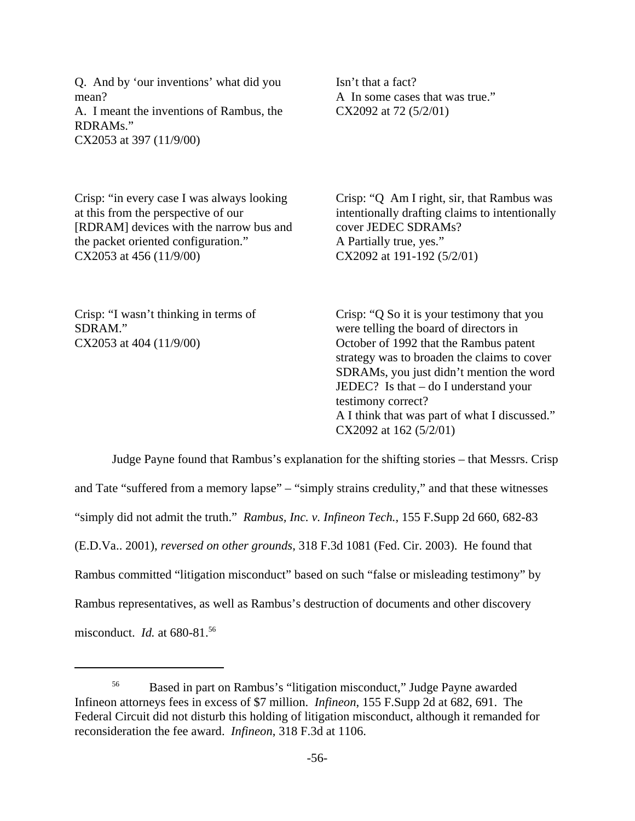Q. And by 'our inventions' what did you mean? A. I meant the inventions of Rambus, the RDRAMs." CX2053 at 397 (11/9/00)

Isn't that a fact? A In some cases that was true." CX2092 at 72 (5/2/01)

Crisp: "in every case I was always looking at this from the perspective of our [RDRAM] devices with the narrow bus and the packet oriented configuration." CX2053 at 456 (11/9/00)

Crisp: "Q Am I right, sir, that Rambus was intentionally drafting claims to intentionally cover JEDEC SDRAMs? A Partially true, yes." CX2092 at 191-192 (5/2/01)

Crisp: "I wasn't thinking in terms of SDRAM." CX2053 at 404 (11/9/00)

Crisp: "Q So it is your testimony that you were telling the board of directors in October of 1992 that the Rambus patent strategy was to broaden the claims to cover SDRAMs, you just didn't mention the word JEDEC? Is that – do I understand your testimony correct? A I think that was part of what I discussed." CX2092 at 162 (5/2/01)

Judge Payne found that Rambus's explanation for the shifting stories – that Messrs. Crisp and Tate "suffered from a memory lapse" – "simply strains credulity," and that these witnesses "simply did not admit the truth." *Rambus, Inc. v. Infineon Tech.*, 155 F.Supp 2d 660, 682-83 (E.D.Va.. 2001), *reversed on other grounds*, 318 F.3d 1081 (Fed. Cir. 2003). He found that Rambus committed "litigation misconduct" based on such "false or misleading testimony" by Rambus representatives, as well as Rambus's destruction of documents and other discovery misconduct. *Id.* at 680-81.56

<sup>56</sup> Based in part on Rambus's "litigation misconduct," Judge Payne awarded Infineon attorneys fees in excess of \$7 million. *Infineon*, 155 F.Supp 2d at 682, 691. The Federal Circuit did not disturb this holding of litigation misconduct, although it remanded for reconsideration the fee award. *Infineon*, 318 F.3d at 1106.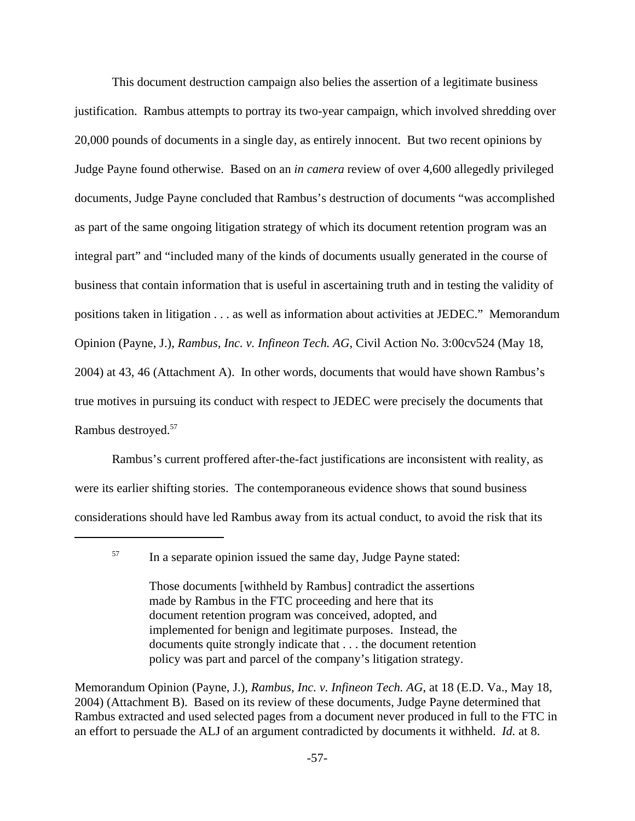This document destruction campaign also belies the assertion of a legitimate business justification. Rambus attempts to portray its two-year campaign, which involved shredding over 20,000 pounds of documents in a single day, as entirely innocent. But two recent opinions by Judge Payne found otherwise. Based on an *in camera* review of over 4,600 allegedly privileged documents, Judge Payne concluded that Rambus's destruction of documents "was accomplished as part of the same ongoing litigation strategy of which its document retention program was an integral part" and "included many of the kinds of documents usually generated in the course of business that contain information that is useful in ascertaining truth and in testing the validity of positions taken in litigation . . . as well as information about activities at JEDEC." Memorandum Opinion (Payne, J.), *Rambus, Inc. v. Infineon Tech. AG*, Civil Action No. 3:00cv524 (May 18, 2004) at 43, 46 (Attachment A). In other words, documents that would have shown Rambus's true motives in pursuing its conduct with respect to JEDEC were precisely the documents that Rambus destroyed.57

Rambus's current proffered after-the-fact justifications are inconsistent with reality, as were its earlier shifting stories. The contemporaneous evidence shows that sound business considerations should have led Rambus away from its actual conduct, to avoid the risk that its

Memorandum Opinion (Payne, J.), *Rambus, Inc. v. Infineon Tech. AG*, at 18 (E.D. Va., May 18, 2004) (Attachment B). Based on its review of these documents, Judge Payne determined that Rambus extracted and used selected pages from a document never produced in full to the FTC in an effort to persuade the ALJ of an argument contradicted by documents it withheld. *Id.* at 8.

<sup>&</sup>lt;sup>57</sup> In a separate opinion issued the same day, Judge Payne stated:

Those documents [withheld by Rambus] contradict the assertions made by Rambus in the FTC proceeding and here that its document retention program was conceived, adopted, and implemented for benign and legitimate purposes. Instead, the documents quite strongly indicate that . . . the document retention policy was part and parcel of the company's litigation strategy.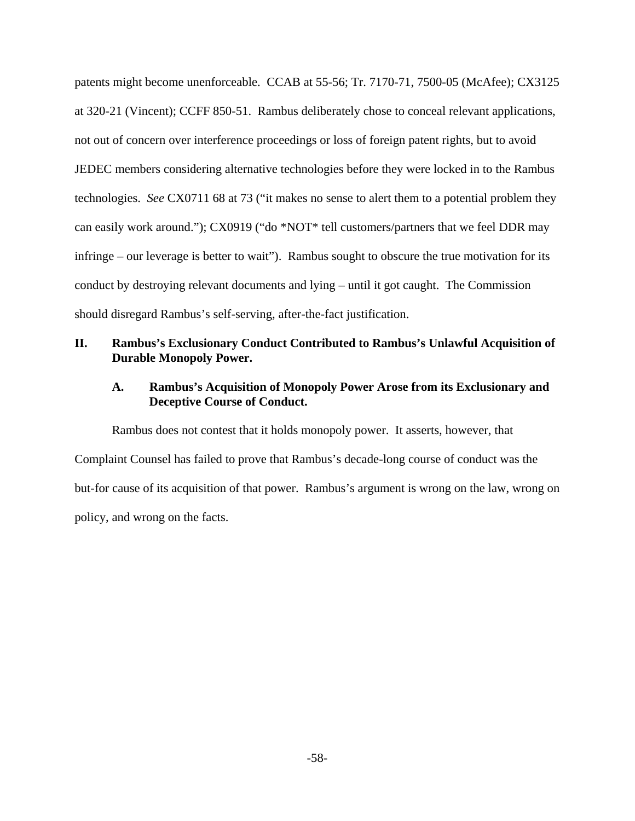patents might become unenforceable. CCAB at 55-56; Tr. 7170-71, 7500-05 (McAfee); CX3125 at 320-21 (Vincent); CCFF 850-51. Rambus deliberately chose to conceal relevant applications, not out of concern over interference proceedings or loss of foreign patent rights, but to avoid JEDEC members considering alternative technologies before they were locked in to the Rambus technologies. *See* CX0711 68 at 73 ("it makes no sense to alert them to a potential problem they can easily work around."); CX0919 ("do \*NOT\* tell customers/partners that we feel DDR may infringe – our leverage is better to wait"). Rambus sought to obscure the true motivation for its conduct by destroying relevant documents and lying – until it got caught. The Commission should disregard Rambus's self-serving, after-the-fact justification.

# **II. Rambus's Exclusionary Conduct Contributed to Rambus's Unlawful Acquisition of Durable Monopoly Power.**

### **A. Rambus's Acquisition of Monopoly Power Arose from its Exclusionary and Deceptive Course of Conduct.**

Rambus does not contest that it holds monopoly power. It asserts, however, that Complaint Counsel has failed to prove that Rambus's decade-long course of conduct was the but-for cause of its acquisition of that power. Rambus's argument is wrong on the law, wrong on policy, and wrong on the facts.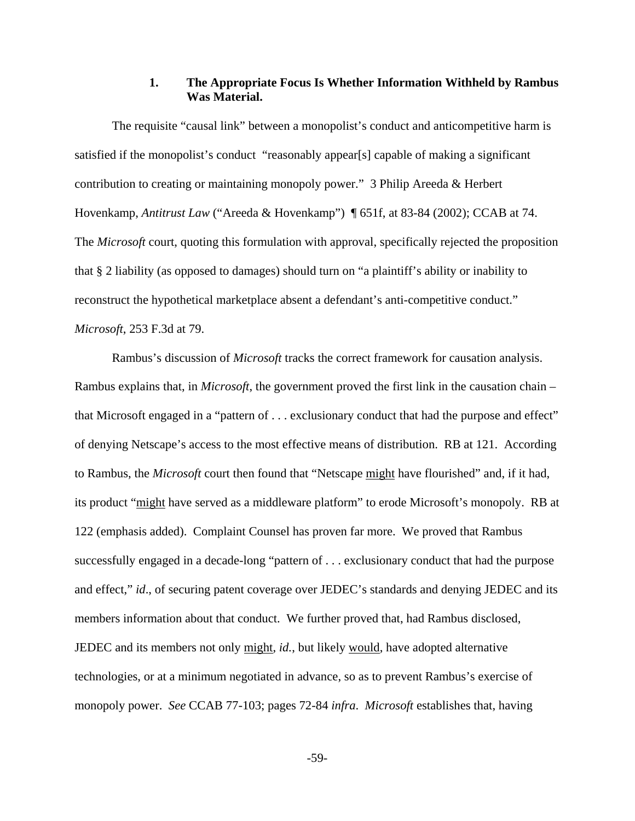### **1. The Appropriate Focus Is Whether Information Withheld by Rambus Was Material.**

The requisite "causal link" between a monopolist's conduct and anticompetitive harm is satisfied if the monopolist's conduct "reasonably appear[s] capable of making a significant contribution to creating or maintaining monopoly power." 3 Philip Areeda & Herbert Hovenkamp, *Antitrust Law* ("Areeda & Hovenkamp") ¶ 651f, at 83-84 (2002); CCAB at 74. The *Microsoft* court, quoting this formulation with approval, specifically rejected the proposition that § 2 liability (as opposed to damages) should turn on "a plaintiff's ability or inability to reconstruct the hypothetical marketplace absent a defendant's anti-competitive conduct." *Microsoft*, 253 F.3d at 79.

Rambus's discussion of *Microsoft* tracks the correct framework for causation analysis. Rambus explains that, in *Microsoft*, the government proved the first link in the causation chain – that Microsoft engaged in a "pattern of . . . exclusionary conduct that had the purpose and effect" of denying Netscape's access to the most effective means of distribution. RB at 121. According to Rambus, the *Microsoft* court then found that "Netscape might have flourished" and, if it had, its product "might have served as a middleware platform" to erode Microsoft's monopoly. RB at 122 (emphasis added). Complaint Counsel has proven far more. We proved that Rambus successfully engaged in a decade-long "pattern of . . . exclusionary conduct that had the purpose and effect," *id*., of securing patent coverage over JEDEC's standards and denying JEDEC and its members information about that conduct. We further proved that, had Rambus disclosed, JEDEC and its members not only might, *id.*, but likely would, have adopted alternative technologies, or at a minimum negotiated in advance, so as to prevent Rambus's exercise of monopoly power. *See* CCAB 77-103; pages 72-84 *infra*. *Microsoft* establishes that, having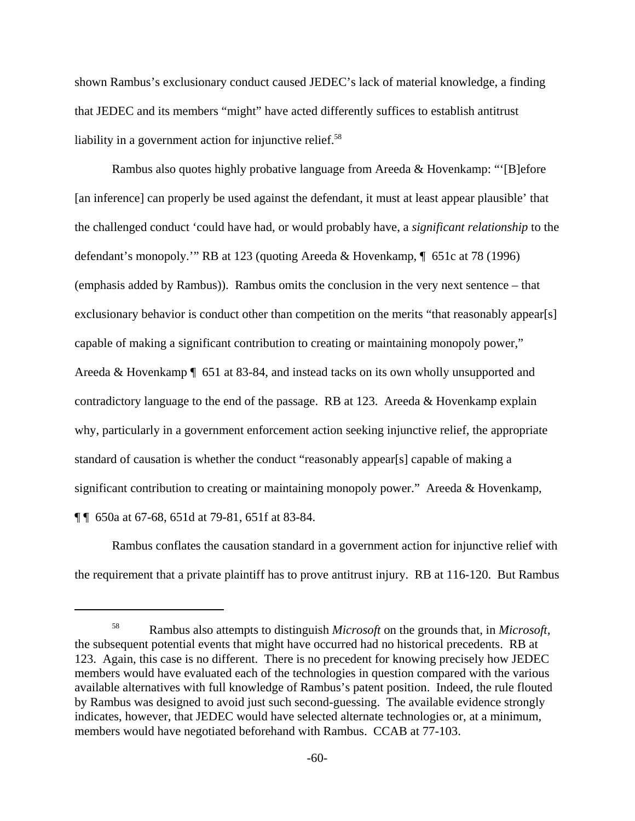shown Rambus's exclusionary conduct caused JEDEC's lack of material knowledge, a finding that JEDEC and its members "might" have acted differently suffices to establish antitrust liability in a government action for injunctive relief.<sup>58</sup>

Rambus also quotes highly probative language from Areeda & Hovenkamp: "'[B]efore [an inference] can properly be used against the defendant, it must at least appear plausible' that the challenged conduct 'could have had, or would probably have, a *significant relationship* to the defendant's monopoly.'" RB at 123 (quoting Areeda & Hovenkamp, ¶ 651c at 78 (1996) (emphasis added by Rambus)). Rambus omits the conclusion in the very next sentence – that exclusionary behavior is conduct other than competition on the merits "that reasonably appear[s] capable of making a significant contribution to creating or maintaining monopoly power," Areeda & Hovenkamp ¶ 651 at 83-84, and instead tacks on its own wholly unsupported and contradictory language to the end of the passage. RB at 123. Areeda & Hovenkamp explain why, particularly in a government enforcement action seeking injunctive relief, the appropriate standard of causation is whether the conduct "reasonably appear[s] capable of making a significant contribution to creating or maintaining monopoly power." Areeda & Hovenkamp, ¶ ¶ 650a at 67-68, 651d at 79-81, 651f at 83-84.

Rambus conflates the causation standard in a government action for injunctive relief with the requirement that a private plaintiff has to prove antitrust injury. RB at 116-120. But Rambus

<sup>58</sup> Rambus also attempts to distinguish *Microsoft* on the grounds that, in *Microsoft,* the subsequent potential events that might have occurred had no historical precedents. RB at 123. Again, this case is no different. There is no precedent for knowing precisely how JEDEC members would have evaluated each of the technologies in question compared with the various available alternatives with full knowledge of Rambus's patent position. Indeed, the rule flouted by Rambus was designed to avoid just such second-guessing. The available evidence strongly indicates, however, that JEDEC would have selected alternate technologies or, at a minimum, members would have negotiated beforehand with Rambus. CCAB at 77-103.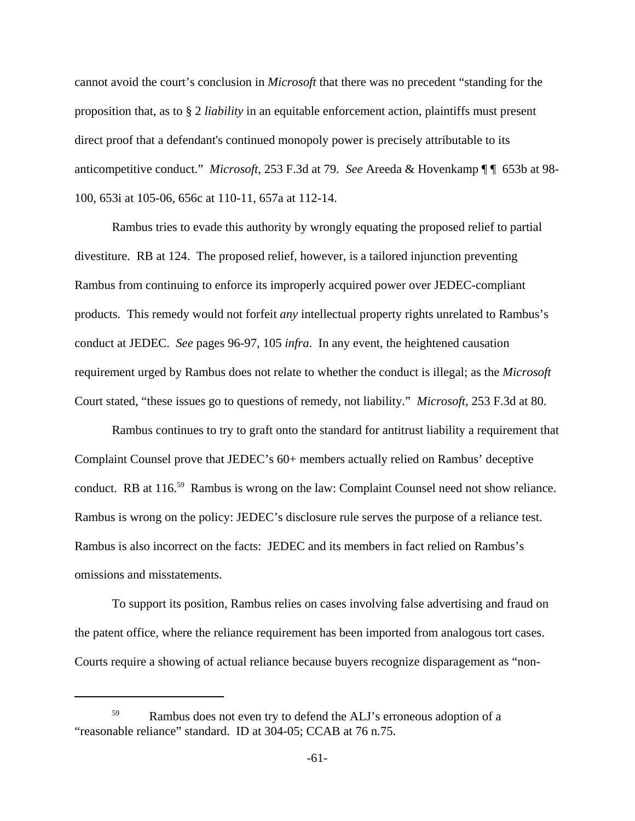cannot avoid the court's conclusion in *Microsoft* that there was no precedent "standing for the proposition that, as to § 2 *liability* in an equitable enforcement action, plaintiffs must present direct proof that a defendant's continued monopoly power is precisely attributable to its anticompetitive conduct." *Microsoft*, 253 F.3d at 79. *See* Areeda & Hovenkamp ¶ ¶ 653b at 98- 100, 653i at 105-06, 656c at 110-11, 657a at 112-14.

Rambus tries to evade this authority by wrongly equating the proposed relief to partial divestiture. RB at 124. The proposed relief, however, is a tailored injunction preventing Rambus from continuing to enforce its improperly acquired power over JEDEC-compliant products. This remedy would not forfeit *any* intellectual property rights unrelated to Rambus's conduct at JEDEC. *See* pages 96-97, 105 *infra*. In any event, the heightened causation requirement urged by Rambus does not relate to whether the conduct is illegal; as the *Microsoft* Court stated, "these issues go to questions of remedy, not liability." *Microsoft*, 253 F.3d at 80.

Rambus continues to try to graft onto the standard for antitrust liability a requirement that Complaint Counsel prove that JEDEC's 60+ members actually relied on Rambus' deceptive conduct. RB at 116.<sup>59</sup> Rambus is wrong on the law: Complaint Counsel need not show reliance. Rambus is wrong on the policy: JEDEC's disclosure rule serves the purpose of a reliance test. Rambus is also incorrect on the facts: JEDEC and its members in fact relied on Rambus's omissions and misstatements.

To support its position, Rambus relies on cases involving false advertising and fraud on the patent office, where the reliance requirement has been imported from analogous tort cases. Courts require a showing of actual reliance because buyers recognize disparagement as "non-

<sup>&</sup>lt;sup>59</sup> Rambus does not even try to defend the ALJ's erroneous adoption of a "reasonable reliance" standard. ID at 304-05; CCAB at 76 n.75.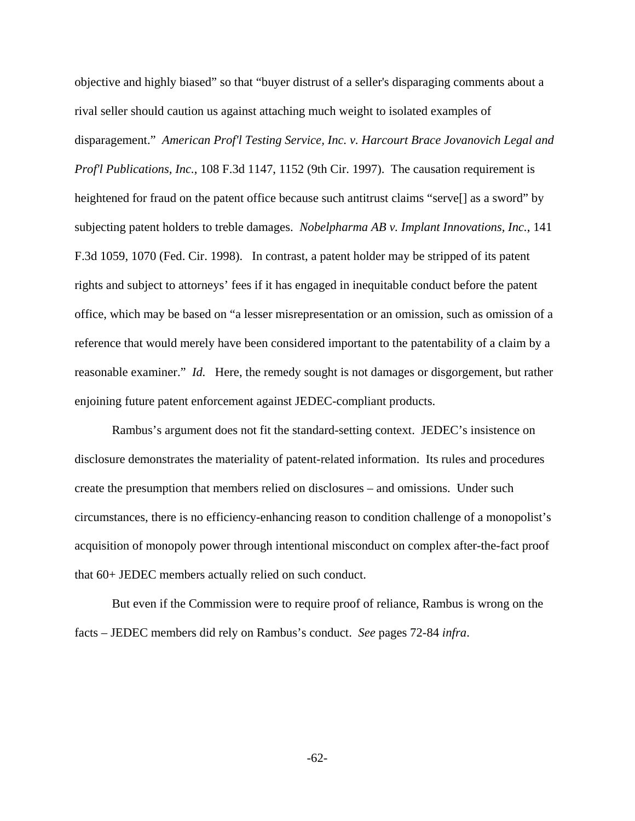objective and highly biased" so that "buyer distrust of a seller's disparaging comments about a rival seller should caution us against attaching much weight to isolated examples of disparagement." *American Prof'l Testing Service, Inc. v. Harcourt Brace Jovanovich Legal and Prof'l Publications, Inc.*, 108 F.3d 1147, 1152 (9th Cir. 1997). The causation requirement is heightened for fraud on the patent office because such antitrust claims "servel" as a sword" by subjecting patent holders to treble damages. *Nobelpharma AB v. Implant Innovations, Inc.*, 141 F.3d 1059, 1070 (Fed. Cir. 1998). In contrast, a patent holder may be stripped of its patent rights and subject to attorneys' fees if it has engaged in inequitable conduct before the patent office, which may be based on "a lesser misrepresentation or an omission, such as omission of a reference that would merely have been considered important to the patentability of a claim by a reasonable examiner." *Id.* Here, the remedy sought is not damages or disgorgement, but rather enjoining future patent enforcement against JEDEC-compliant products.

Rambus's argument does not fit the standard-setting context. JEDEC's insistence on disclosure demonstrates the materiality of patent-related information. Its rules and procedures create the presumption that members relied on disclosures – and omissions. Under such circumstances, there is no efficiency-enhancing reason to condition challenge of a monopolist's acquisition of monopoly power through intentional misconduct on complex after-the-fact proof that 60+ JEDEC members actually relied on such conduct.

But even if the Commission were to require proof of reliance, Rambus is wrong on the facts – JEDEC members did rely on Rambus's conduct. *See* pages 72-84 *infra*.

-62-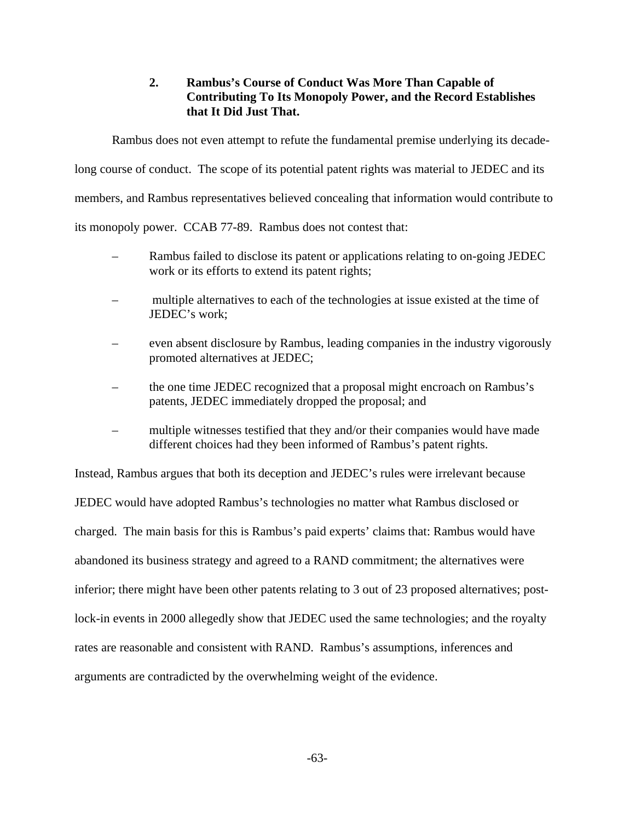# **2. Rambus's Course of Conduct Was More Than Capable of Contributing To Its Monopoly Power, and the Record Establishes that It Did Just That.**

Rambus does not even attempt to refute the fundamental premise underlying its decade-

long course of conduct. The scope of its potential patent rights was material to JEDEC and its

members, and Rambus representatives believed concealing that information would contribute to

its monopoly power. CCAB 77-89. Rambus does not contest that:

- Rambus failed to disclose its patent or applications relating to on-going JEDEC work or its efforts to extend its patent rights;
- multiple alternatives to each of the technologies at issue existed at the time of JEDEC's work;
- even absent disclosure by Rambus, leading companies in the industry vigorously promoted alternatives at JEDEC;
- the one time JEDEC recognized that a proposal might encroach on Rambus's patents, JEDEC immediately dropped the proposal; and
- multiple witnesses testified that they and/or their companies would have made different choices had they been informed of Rambus's patent rights.

Instead, Rambus argues that both its deception and JEDEC's rules were irrelevant because JEDEC would have adopted Rambus's technologies no matter what Rambus disclosed or charged. The main basis for this is Rambus's paid experts' claims that: Rambus would have abandoned its business strategy and agreed to a RAND commitment; the alternatives were inferior; there might have been other patents relating to 3 out of 23 proposed alternatives; postlock-in events in 2000 allegedly show that JEDEC used the same technologies; and the royalty rates are reasonable and consistent with RAND. Rambus's assumptions, inferences and arguments are contradicted by the overwhelming weight of the evidence.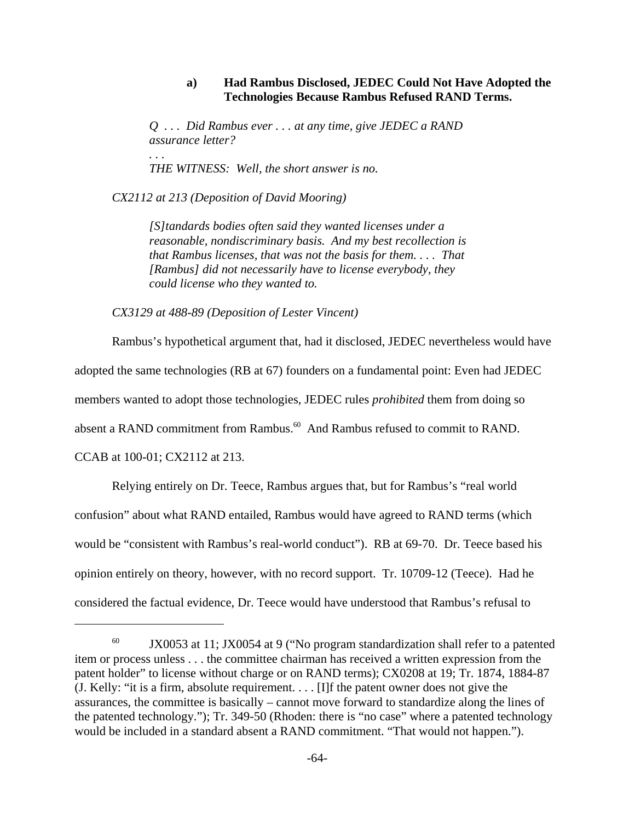# **a) Had Rambus Disclosed, JEDEC Could Not Have Adopted the Technologies Because Rambus Refused RAND Terms.**

*Q . . . Did Rambus ever . . . at any time, give JEDEC a RAND assurance letter? . . .*

*THE WITNESS: Well, the short answer is no.*

*CX2112 at 213 (Deposition of David Mooring)*

*[S]tandards bodies often said they wanted licenses under a reasonable, nondiscriminary basis. And my best recollection is that Rambus licenses, that was not the basis for them. . . . That [Rambus] did not necessarily have to license everybody, they could license who they wanted to.*

*CX3129 at 488-89 (Deposition of Lester Vincent)* 

Rambus's hypothetical argument that, had it disclosed, JEDEC nevertheless would have adopted the same technologies (RB at 67) founders on a fundamental point: Even had JEDEC members wanted to adopt those technologies, JEDEC rules *prohibited* them from doing so absent a RAND commitment from Rambus.<sup>60</sup> And Rambus refused to commit to RAND. CCAB at 100-01; CX2112 at 213.

Relying entirely on Dr. Teece, Rambus argues that, but for Rambus's "real world confusion" about what RAND entailed, Rambus would have agreed to RAND terms (which would be "consistent with Rambus's real-world conduct"). RB at 69-70. Dr. Teece based his opinion entirely on theory, however, with no record support. Tr. 10709-12 (Teece).Had he considered the factual evidence, Dr. Teece would have understood that Rambus's refusal to

<sup>&</sup>lt;sup>60</sup> JX0053 at 11; JX0054 at 9 ("No program standardization shall refer to a patented item or process unless . . . the committee chairman has received a written expression from the patent holder" to license without charge or on RAND terms); CX0208 at 19; Tr. 1874, 1884-87 (J. Kelly: "it is a firm, absolute requirement. . . . [I]f the patent owner does not give the assurances, the committee is basically – cannot move forward to standardize along the lines of the patented technology."); Tr. 349-50 (Rhoden: there is "no case" where a patented technology would be included in a standard absent a RAND commitment. "That would not happen.").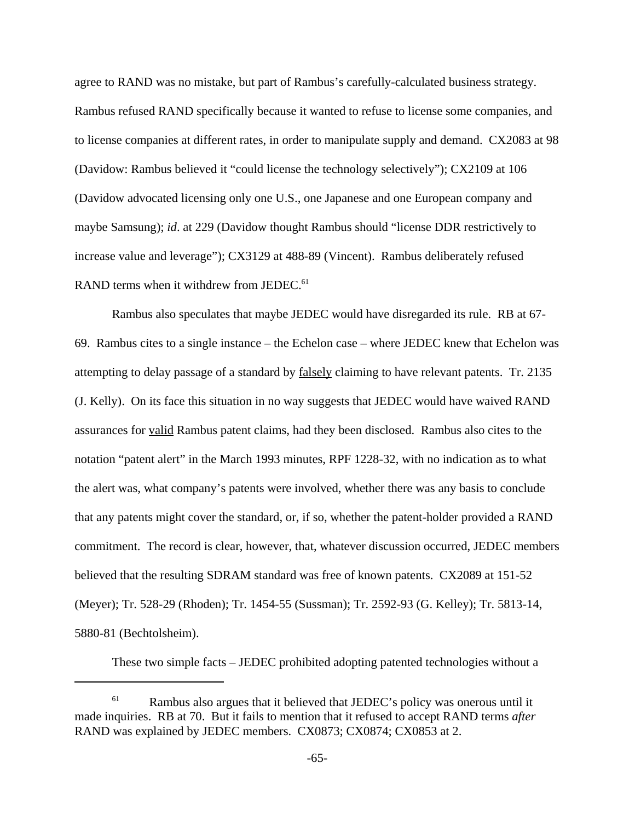agree to RAND was no mistake, but part of Rambus's carefully-calculated business strategy. Rambus refused RAND specifically because it wanted to refuse to license some companies, and to license companies at different rates, in order to manipulate supply and demand. CX2083 at 98 (Davidow: Rambus believed it "could license the technology selectively"); CX2109 at 106 (Davidow advocated licensing only one U.S., one Japanese and one European company and maybe Samsung); *id*. at 229 (Davidow thought Rambus should "license DDR restrictively to increase value and leverage"); CX3129 at 488-89 (Vincent). Rambus deliberately refused RAND terms when it withdrew from JEDEC.<sup>61</sup>

Rambus also speculates that maybe JEDEC would have disregarded its rule. RB at 67- 69. Rambus cites to a single instance – the Echelon case – where JEDEC knew that Echelon was attempting to delay passage of a standard by falsely claiming to have relevant patents. Tr. 2135 (J. Kelly). On its face this situation in no way suggests that JEDEC would have waived RAND assurances for valid Rambus patent claims, had they been disclosed. Rambus also cites to the notation "patent alert" in the March 1993 minutes, RPF 1228-32, with no indication as to what the alert was, what company's patents were involved, whether there was any basis to conclude that any patents might cover the standard, or, if so, whether the patent-holder provided a RAND commitment. The record is clear, however, that, whatever discussion occurred, JEDEC members believed that the resulting SDRAM standard was free of known patents. CX2089 at 151-52 (Meyer); Tr. 528-29 (Rhoden); Tr. 1454-55 (Sussman); Tr. 2592-93 (G. Kelley); Tr. 5813-14, 5880-81 (Bechtolsheim).

These two simple facts – JEDEC prohibited adopting patented technologies without a

 $61$  Rambus also argues that it believed that JEDEC's policy was onerous until it made inquiries. RB at 70. But it fails to mention that it refused to accept RAND terms *after* RAND was explained by JEDEC members. CX0873; CX0874; CX0853 at 2.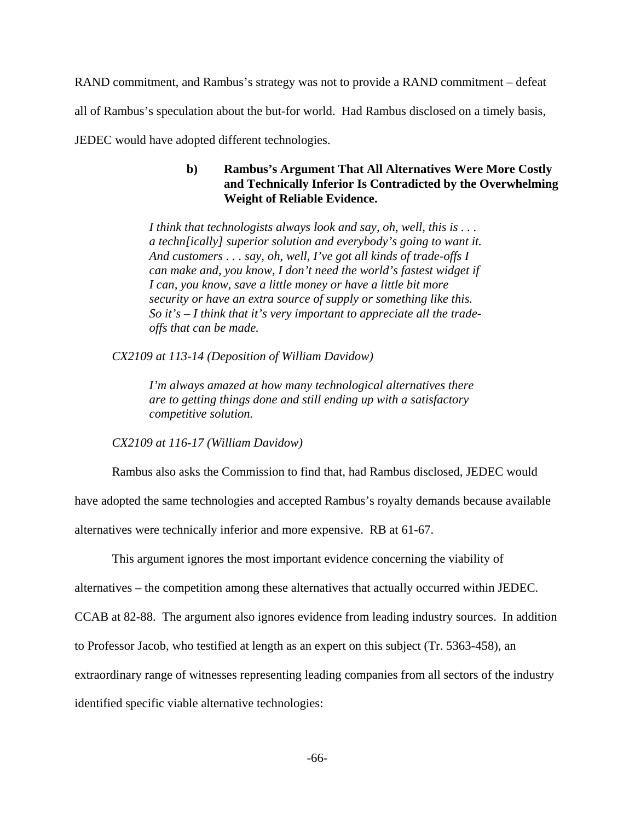RAND commitment, and Rambus's strategy was not to provide a RAND commitment – defeat

all of Rambus's speculation about the but-for world. Had Rambus disclosed on a timely basis,

JEDEC would have adopted different technologies.

# **b) Rambus's Argument That All Alternatives Were More Costly and Technically Inferior Is Contradicted by the Overwhelming Weight of Reliable Evidence.**

*I think that technologists always look and say, oh, well, this is . . . a techn[ically] superior solution and everybody's going to want it. And customers . . . say, oh, well, I've got all kinds of trade-offs I can make and, you know, I don't need the world's fastest widget if I can, you know, save a little money or have a little bit more security or have an extra source of supply or something like this. So it's – I think that it's very important to appreciate all the tradeoffs that can be made.*

*CX2109 at 113-14 (Deposition of William Davidow)*

*I'm always amazed at how many technological alternatives there are to getting things done and still ending up with a satisfactory competitive solution.*

*CX2109 at 116-17 (William Davidow)* 

Rambus also asks the Commission to find that, had Rambus disclosed, JEDEC would

have adopted the same technologies and accepted Rambus's royalty demands because available

alternatives were technically inferior and more expensive. RB at 61-67.

This argument ignores the most important evidence concerning the viability of

alternatives – the competition among these alternatives that actually occurred within JEDEC.

CCAB at 82-88. The argument also ignores evidence from leading industry sources. In addition

to Professor Jacob, who testified at length as an expert on this subject (Tr. 5363-458), an

extraordinary range of witnesses representing leading companies from all sectors of the industry

identified specific viable alternative technologies: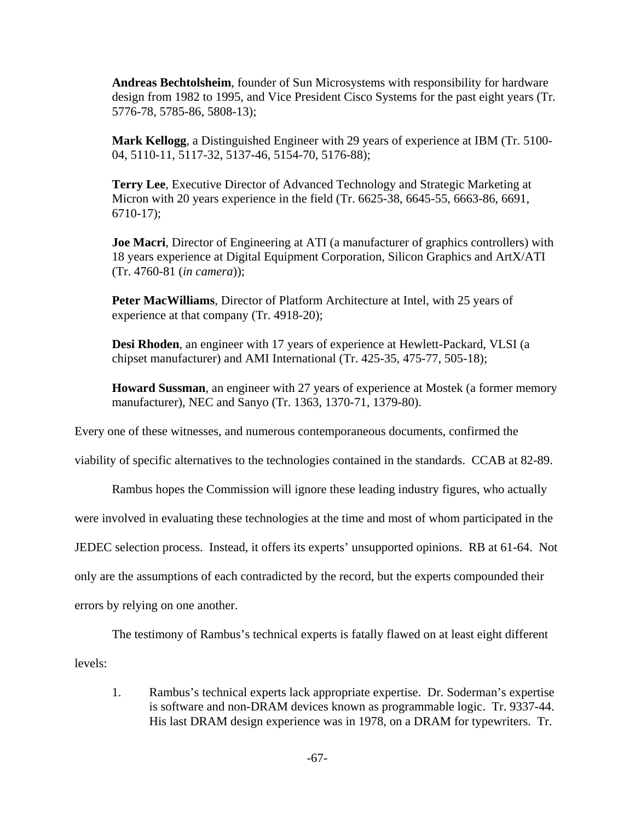**Andreas Bechtolsheim**, founder of Sun Microsystems with responsibility for hardware design from 1982 to 1995, and Vice President Cisco Systems for the past eight years (Tr. 5776-78, 5785-86, 5808-13);

**Mark Kellogg**, a Distinguished Engineer with 29 years of experience at IBM (Tr. 5100- 04, 5110-11, 5117-32, 5137-46, 5154-70, 5176-88);

**Terry Lee**, Executive Director of Advanced Technology and Strategic Marketing at Micron with 20 years experience in the field (Tr. 6625-38, 6645-55, 6663-86, 6691, 6710-17);

**Joe Macri**, Director of Engineering at ATI (a manufacturer of graphics controllers) with 18 years experience at Digital Equipment Corporation, Silicon Graphics and ArtX/ATI (Tr. 4760-81 (*in camera*));

**Peter MacWilliams**, Director of Platform Architecture at Intel, with 25 years of experience at that company (Tr. 4918-20);

**Desi Rhoden**, an engineer with 17 years of experience at Hewlett-Packard, VLSI (a chipset manufacturer) and AMI International (Tr. 425-35, 475-77, 505-18);

**Howard Sussman**, an engineer with 27 years of experience at Mostek (a former memory manufacturer), NEC and Sanyo (Tr. 1363, 1370-71, 1379-80).

Every one of these witnesses, and numerous contemporaneous documents, confirmed the

viability of specific alternatives to the technologies contained in the standards. CCAB at 82-89.

Rambus hopes the Commission will ignore these leading industry figures, who actually

were involved in evaluating these technologies at the time and most of whom participated in the

JEDEC selection process. Instead, it offers its experts' unsupported opinions. RB at 61-64. Not

only are the assumptions of each contradicted by the record, but the experts compounded their

errors by relying on one another.

The testimony of Rambus's technical experts is fatally flawed on at least eight different

levels:

1. Rambus's technical experts lack appropriate expertise. Dr. Soderman's expertise is software and non-DRAM devices known as programmable logic. Tr. 9337-44. His last DRAM design experience was in 1978, on a DRAM for typewriters. Tr.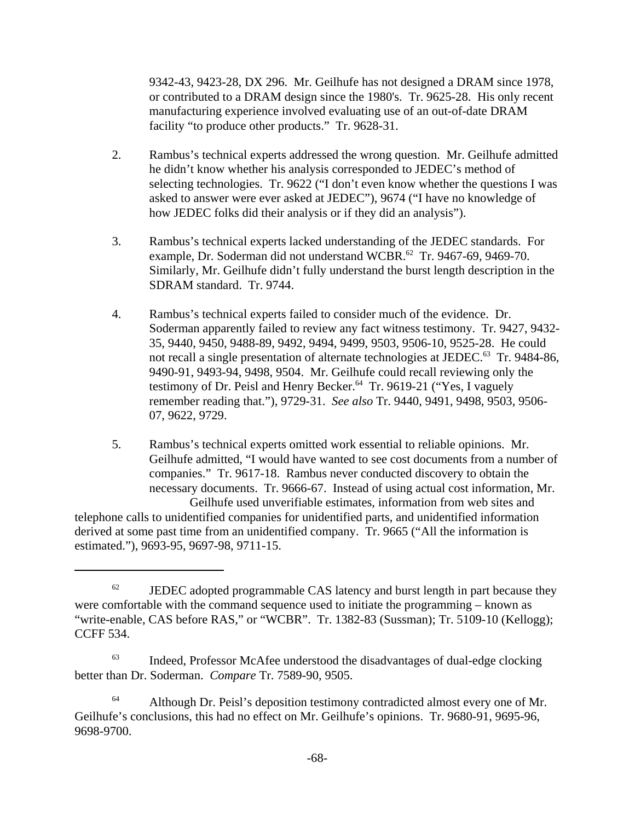9342-43, 9423-28, DX 296. Mr. Geilhufe has not designed a DRAM since 1978, or contributed to a DRAM design since the 1980's. Tr. 9625-28. His only recent manufacturing experience involved evaluating use of an out-of-date DRAM facility "to produce other products." Tr. 9628-31.

- 2. Rambus's technical experts addressed the wrong question. Mr. Geilhufe admitted he didn't know whether his analysis corresponded to JEDEC's method of selecting technologies. Tr. 9622 ("I don't even know whether the questions I was asked to answer were ever asked at JEDEC"), 9674 ("I have no knowledge of how JEDEC folks did their analysis or if they did an analysis").
- 3. Rambus's technical experts lacked understanding of the JEDEC standards. For example, Dr. Soderman did not understand WCBR.<sup>62</sup> Tr. 9467-69, 9469-70. Similarly, Mr. Geilhufe didn't fully understand the burst length description in the SDRAM standard. Tr. 9744.
- 4. Rambus's technical experts failed to consider much of the evidence. Dr. Soderman apparently failed to review any fact witness testimony. Tr. 9427, 9432- 35, 9440, 9450, 9488-89, 9492, 9494, 9499, 9503, 9506-10, 9525-28. He could not recall a single presentation of alternate technologies at JEDEC.<sup>63</sup> Tr. 9484-86, 9490-91, 9493-94, 9498, 9504. Mr. Geilhufe could recall reviewing only the testimony of Dr. Peisl and Henry Becker.<sup>64</sup> Tr. 9619-21 ("Yes, I vaguely remember reading that."), 9729-31. *See also* Tr. 9440, 9491, 9498, 9503, 9506- 07, 9622, 9729.

5. Rambus's technical experts omitted work essential to reliable opinions. Mr. Geilhufe admitted, "I would have wanted to see cost documents from a number of companies." Tr. 9617-18. Rambus never conducted discovery to obtain the necessary documents. Tr. 9666-67. Instead of using actual cost information, Mr. Geilhufe used unverifiable estimates, information from web sites and telephone calls to unidentified companies for unidentified parts, and unidentified information derived at some past time from an unidentified company. Tr. 9665 ("All the information is estimated."), 9693-95, 9697-98, 9711-15.

 $62$  JEDEC adopted programmable CAS latency and burst length in part because they were comfortable with the command sequence used to initiate the programming – known as "write-enable, CAS before RAS," or "WCBR". Tr. 1382-83 (Sussman); Tr. 5109-10 (Kellogg); CCFF 534.

<sup>&</sup>lt;sup>63</sup> Indeed, Professor McAfee understood the disadvantages of dual-edge clocking better than Dr. Soderman. *Compare* Tr. 7589-90, 9505.

<sup>&</sup>lt;sup>64</sup> Although Dr. Peisl's deposition testimony contradicted almost every one of Mr. Geilhufe's conclusions, this had no effect on Mr. Geilhufe's opinions. Tr. 9680-91, 9695-96, 9698-9700.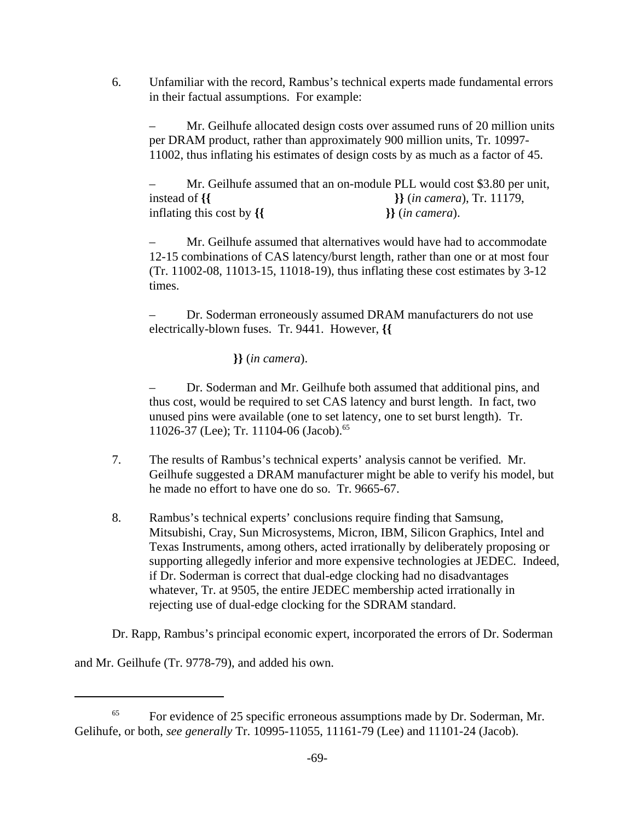6. Unfamiliar with the record, Rambus's technical experts made fundamental errors in their factual assumptions. For example:

– Mr. Geilhufe allocated design costs over assumed runs of 20 million units per DRAM product, rather than approximately 900 million units, Tr. 10997- 11002, thus inflating his estimates of design costs by as much as a factor of 45.

– Mr. Geilhufe assumed that an on-module PLL would cost \$3.80 per unit, instead of **{{ }}** (*in camera*), Tr. 11179, inflating this cost by **{{ }}** (*in camera*).

– Mr. Geilhufe assumed that alternatives would have had to accommodate 12-15 combinations of CAS latency/burst length, rather than one or at most four (Tr. 11002-08, 11013-15, 11018-19), thus inflating these cost estimates by 3-12 times.

– Dr. Soderman erroneously assumed DRAM manufacturers do not use electrically-blown fuses. Tr. 9441. However, **{{** 

 **}}** (*in camera*).

– Dr. Soderman and Mr. Geilhufe both assumed that additional pins, and thus cost, would be required to set CAS latency and burst length. In fact, two unused pins were available (one to set latency, one to set burst length). Tr. 11026-37 (Lee); Tr. 11104-06 (Jacob).<sup>65</sup>

- 7. The results of Rambus's technical experts' analysis cannot be verified. Mr. Geilhufe suggested a DRAM manufacturer might be able to verify his model, but he made no effort to have one do so. Tr. 9665-67.
- 8. Rambus's technical experts' conclusions require finding that Samsung, Mitsubishi, Cray, Sun Microsystems, Micron, IBM, Silicon Graphics, Intel and Texas Instruments, among others, acted irrationally by deliberately proposing or supporting allegedly inferior and more expensive technologies at JEDEC. Indeed, if Dr. Soderman is correct that dual-edge clocking had no disadvantages whatever, Tr. at 9505, the entire JEDEC membership acted irrationally in rejecting use of dual-edge clocking for the SDRAM standard.

Dr. Rapp, Rambus's principal economic expert, incorporated the errors of Dr. Soderman

and Mr. Geilhufe (Tr. 9778-79), and added his own.

<sup>&</sup>lt;sup>65</sup> For evidence of 25 specific erroneous assumptions made by Dr. Soderman, Mr. Gelihufe, or both, *see generally* Tr. 10995-11055, 11161-79 (Lee) and 11101-24 (Jacob).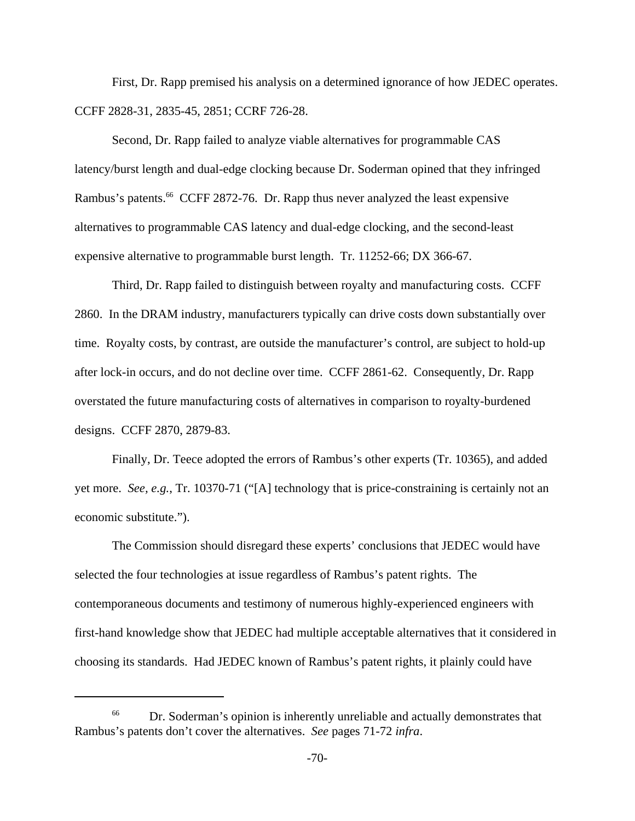First, Dr. Rapp premised his analysis on a determined ignorance of how JEDEC operates. CCFF 2828-31, 2835-45, 2851; CCRF 726-28.

Second, Dr. Rapp failed to analyze viable alternatives for programmable CAS latency/burst length and dual-edge clocking because Dr. Soderman opined that they infringed Rambus's patents.<sup>66</sup> CCFF 2872-76. Dr. Rapp thus never analyzed the least expensive alternatives to programmable CAS latency and dual-edge clocking, and the second-least expensive alternative to programmable burst length. Tr. 11252-66; DX 366-67.

Third, Dr. Rapp failed to distinguish between royalty and manufacturing costs. CCFF 2860. In the DRAM industry, manufacturers typically can drive costs down substantially over time. Royalty costs, by contrast, are outside the manufacturer's control, are subject to hold-up after lock-in occurs, and do not decline over time. CCFF 2861-62. Consequently, Dr. Rapp overstated the future manufacturing costs of alternatives in comparison to royalty-burdened designs. CCFF 2870, 2879-83.

Finally, Dr. Teece adopted the errors of Rambus's other experts (Tr. 10365), and added yet more. *See, e.g.*, Tr. 10370-71 ("[A] technology that is price-constraining is certainly not an economic substitute.").

The Commission should disregard these experts' conclusions that JEDEC would have selected the four technologies at issue regardless of Rambus's patent rights. The contemporaneous documents and testimony of numerous highly-experienced engineers with first-hand knowledge show that JEDEC had multiple acceptable alternatives that it considered in choosing its standards. Had JEDEC known of Rambus's patent rights, it plainly could have

<sup>&</sup>lt;sup>66</sup> Dr. Soderman's opinion is inherently unreliable and actually demonstrates that Rambus's patents don't cover the alternatives. *See* pages 71-72 *infra*.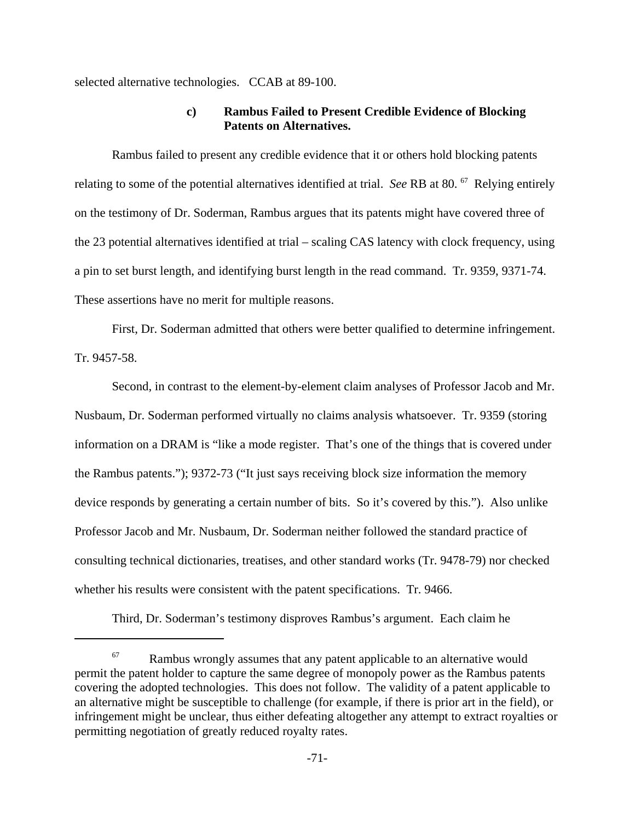selected alternative technologies. CCAB at 89-100.

## **c) Rambus Failed to Present Credible Evidence of Blocking Patents on Alternatives.**

Rambus failed to present any credible evidence that it or others hold blocking patents relating to some of the potential alternatives identified at trial. *See* RB at 80. 67 Relying entirely on the testimony of Dr. Soderman, Rambus argues that its patents might have covered three of the 23 potential alternatives identified at trial – scaling CAS latency with clock frequency, using a pin to set burst length, and identifying burst length in the read command. Tr. 9359, 9371-74. These assertions have no merit for multiple reasons.

First, Dr. Soderman admitted that others were better qualified to determine infringement. Tr. 9457-58.

Second, in contrast to the element-by-element claim analyses of Professor Jacob and Mr. Nusbaum, Dr. Soderman performed virtually no claims analysis whatsoever. Tr. 9359 (storing information on a DRAM is "like a mode register. That's one of the things that is covered under the Rambus patents."); 9372-73 ("It just says receiving block size information the memory device responds by generating a certain number of bits. So it's covered by this."). Also unlike Professor Jacob and Mr. Nusbaum, Dr. Soderman neither followed the standard practice of consulting technical dictionaries, treatises, and other standard works (Tr. 9478-79) nor checked whether his results were consistent with the patent specifications. Tr. 9466.

Third, Dr. Soderman's testimony disproves Rambus's argument. Each claim he

 $67$  Rambus wrongly assumes that any patent applicable to an alternative would permit the patent holder to capture the same degree of monopoly power as the Rambus patents covering the adopted technologies. This does not follow. The validity of a patent applicable to an alternative might be susceptible to challenge (for example, if there is prior art in the field), or infringement might be unclear, thus either defeating altogether any attempt to extract royalties or permitting negotiation of greatly reduced royalty rates.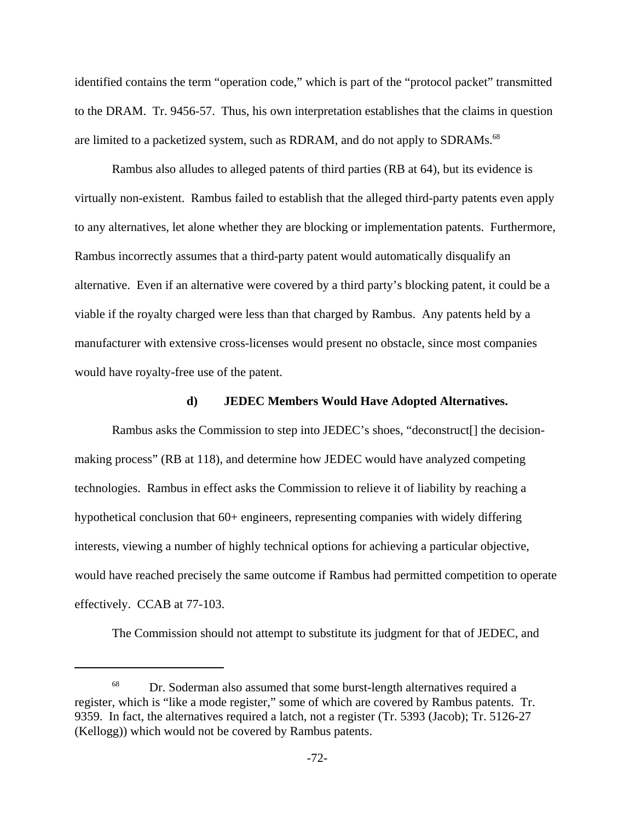identified contains the term "operation code," which is part of the "protocol packet" transmitted to the DRAM. Tr. 9456-57. Thus, his own interpretation establishes that the claims in question are limited to a packetized system, such as RDRAM, and do not apply to SDRAMs.<sup>68</sup>

Rambus also alludes to alleged patents of third parties (RB at 64), but its evidence is virtually non-existent. Rambus failed to establish that the alleged third-party patents even apply to any alternatives, let alone whether they are blocking or implementation patents. Furthermore, Rambus incorrectly assumes that a third-party patent would automatically disqualify an alternative. Even if an alternative were covered by a third party's blocking patent, it could be a viable if the royalty charged were less than that charged by Rambus. Any patents held by a manufacturer with extensive cross-licenses would present no obstacle, since most companies would have royalty-free use of the patent.

#### **d) JEDEC Members Would Have Adopted Alternatives.**

Rambus asks the Commission to step into JEDEC's shoes, "deconstruct[] the decisionmaking process" (RB at 118), and determine how JEDEC would have analyzed competing technologies. Rambus in effect asks the Commission to relieve it of liability by reaching a hypothetical conclusion that 60+ engineers, representing companies with widely differing interests, viewing a number of highly technical options for achieving a particular objective, would have reached precisely the same outcome if Rambus had permitted competition to operate effectively. CCAB at 77-103.

The Commission should not attempt to substitute its judgment for that of JEDEC, and

<sup>&</sup>lt;sup>68</sup> Dr. Soderman also assumed that some burst-length alternatives required a register, which is "like a mode register," some of which are covered by Rambus patents. Tr. 9359. In fact, the alternatives required a latch, not a register (Tr. 5393 (Jacob); Tr. 5126-27 (Kellogg)) which would not be covered by Rambus patents.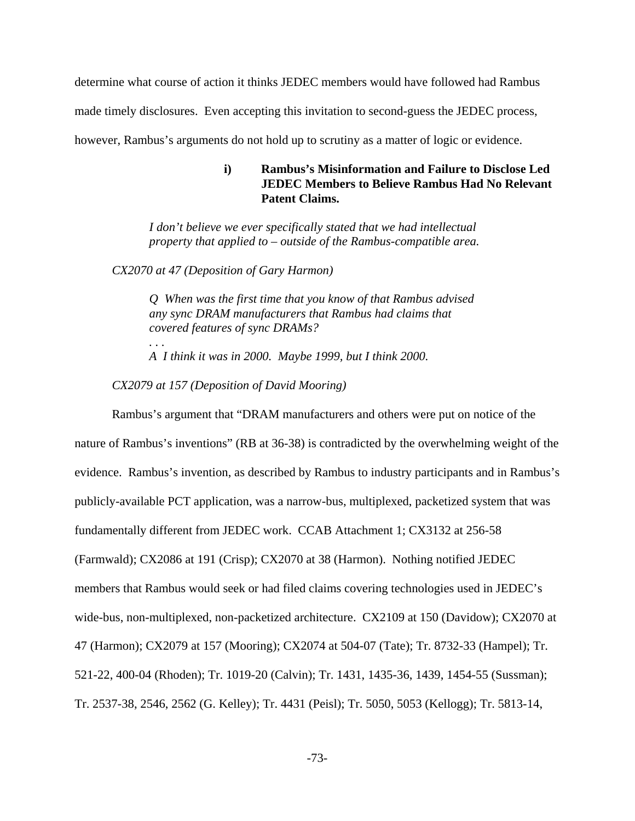determine what course of action it thinks JEDEC members would have followed had Rambus made timely disclosures. Even accepting this invitation to second-guess the JEDEC process, however, Rambus's arguments do not hold up to scrutiny as a matter of logic or evidence.

# **i) Rambus's Misinformation and Failure to Disclose Led JEDEC Members to Believe Rambus Had No Relevant Patent Claims.**

*I don't believe we ever specifically stated that we had intellectual property that applied to – outside of the Rambus-compatible area.*

*CX2070 at 47 (Deposition of Gary Harmon)*

*. . .*

*Q When was the first time that you know of that Rambus advised any sync DRAM manufacturers that Rambus had claims that covered features of sync DRAMs?*

*A I think it was in 2000. Maybe 1999, but I think 2000.*

*CX2079 at 157 (Deposition of David Mooring)*

Rambus's argument that "DRAM manufacturers and others were put on notice of the nature of Rambus's inventions" (RB at 36-38) is contradicted by the overwhelming weight of the evidence. Rambus's invention, as described by Rambus to industry participants and in Rambus's publicly-available PCT application, was a narrow-bus, multiplexed, packetized system that was fundamentally different from JEDEC work. CCAB Attachment 1; CX3132 at 256-58 (Farmwald); CX2086 at 191 (Crisp); CX2070 at 38 (Harmon). Nothing notified JEDEC members that Rambus would seek or had filed claims covering technologies used in JEDEC's wide-bus, non-multiplexed, non-packetized architecture. CX2109 at 150 (Davidow); CX2070 at 47 (Harmon); CX2079 at 157 (Mooring); CX2074 at 504-07 (Tate); Tr. 8732-33 (Hampel); Tr. 521-22, 400-04 (Rhoden); Tr. 1019-20 (Calvin); Tr. 1431, 1435-36, 1439, 1454-55 (Sussman); Tr. 2537-38, 2546, 2562 (G. Kelley); Tr. 4431 (Peisl); Tr. 5050, 5053 (Kellogg); Tr. 5813-14,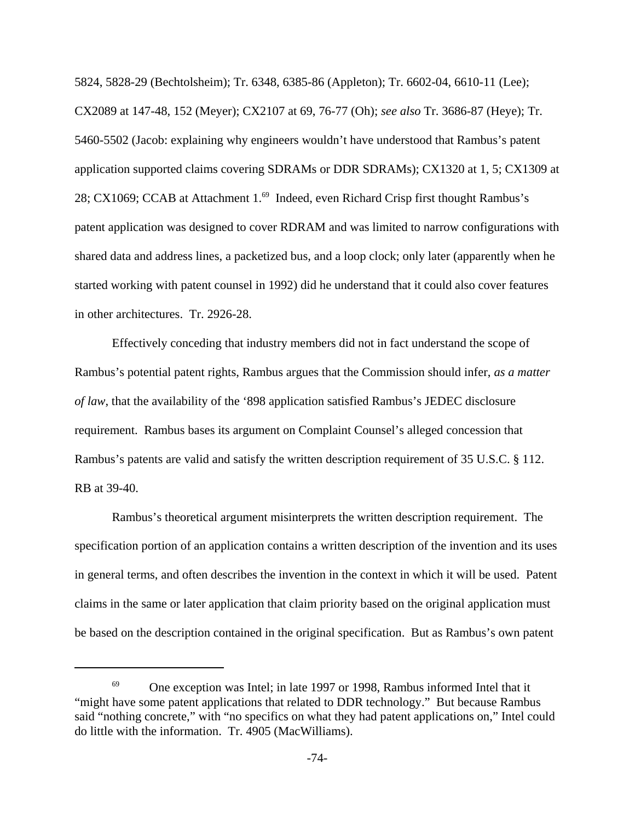5824, 5828-29 (Bechtolsheim); Tr. 6348, 6385-86 (Appleton); Tr. 6602-04, 6610-11 (Lee); CX2089 at 147-48, 152 (Meyer); CX2107 at 69, 76-77 (Oh); *see also* Tr. 3686-87 (Heye); Tr. 5460-5502 (Jacob: explaining why engineers wouldn't have understood that Rambus's patent application supported claims covering SDRAMs or DDR SDRAMs); CX1320 at 1, 5; CX1309 at 28; CX1069; CCAB at Attachment 1.<sup>69</sup> Indeed, even Richard Crisp first thought Rambus's patent application was designed to cover RDRAM and was limited to narrow configurations with shared data and address lines, a packetized bus, and a loop clock; only later (apparently when he started working with patent counsel in 1992) did he understand that it could also cover features in other architectures. Tr. 2926-28.

Effectively conceding that industry members did not in fact understand the scope of Rambus's potential patent rights, Rambus argues that the Commission should infer, *as a matter of law*, that the availability of the '898 application satisfied Rambus's JEDEC disclosure requirement. Rambus bases its argument on Complaint Counsel's alleged concession that Rambus's patents are valid and satisfy the written description requirement of 35 U.S.C. § 112. RB at 39-40.

Rambus's theoretical argument misinterprets the written description requirement. The specification portion of an application contains a written description of the invention and its uses in general terms, and often describes the invention in the context in which it will be used. Patent claims in the same or later application that claim priority based on the original application must be based on the description contained in the original specification. But as Rambus's own patent

 $69$  One exception was Intel; in late 1997 or 1998, Rambus informed Intel that it "might have some patent applications that related to DDR technology." But because Rambus said "nothing concrete," with "no specifics on what they had patent applications on," Intel could do little with the information. Tr. 4905 (MacWilliams).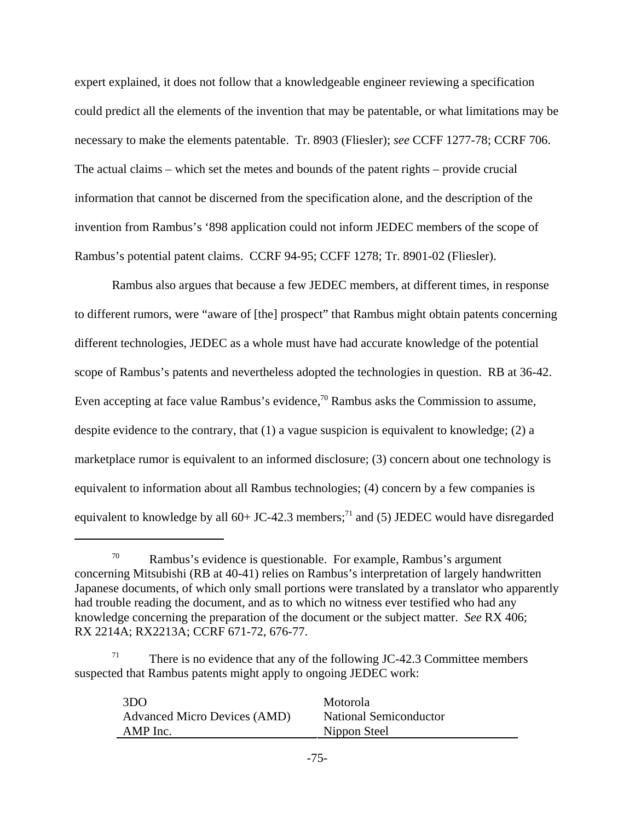expert explained, it does not follow that a knowledgeable engineer reviewing a specification could predict all the elements of the invention that may be patentable, or what limitations may be necessary to make the elements patentable. Tr. 8903 (Fliesler); *see* CCFF 1277-78; CCRF 706. The actual claims – which set the metes and bounds of the patent rights – provide crucial information that cannot be discerned from the specification alone, and the description of the invention from Rambus's '898 application could not inform JEDEC members of the scope of Rambus's potential patent claims. CCRF 94-95; CCFF 1278; Tr. 8901-02 (Fliesler).

Rambus also argues that because a few JEDEC members, at different times, in response to different rumors, were "aware of [the] prospect" that Rambus might obtain patents concerning different technologies, JEDEC as a whole must have had accurate knowledge of the potential scope of Rambus's patents and nevertheless adopted the technologies in question. RB at 36-42. Even accepting at face value Rambus's evidence,<sup>70</sup> Rambus asks the Commission to assume, despite evidence to the contrary, that (1) a vague suspicion is equivalent to knowledge; (2) a marketplace rumor is equivalent to an informed disclosure; (3) concern about one technology is equivalent to information about all Rambus technologies; (4) concern by a few companies is equivalent to knowledge by all  $60+$  JC-42.3 members;<sup>71</sup> and (5) JEDEC would have disregarded

There is no evidence that any of the following JC-42.3 Committee members suspected that Rambus patents might apply to ongoing JEDEC work:

| 3D <sub>O</sub>                     | Motorola               |
|-------------------------------------|------------------------|
| <b>Advanced Micro Devices (AMD)</b> | National Semiconductor |
| AMP Inc.                            | Nippon Steel           |
|                                     |                        |

 $70$  Rambus's evidence is questionable. For example, Rambus's argument concerning Mitsubishi (RB at 40-41) relies on Rambus's interpretation of largely handwritten Japanese documents, of which only small portions were translated by a translator who apparently had trouble reading the document, and as to which no witness ever testified who had any knowledge concerning the preparation of the document or the subject matter. *See* RX 406; RX 2214A; RX2213A; CCRF 671-72, 676-77.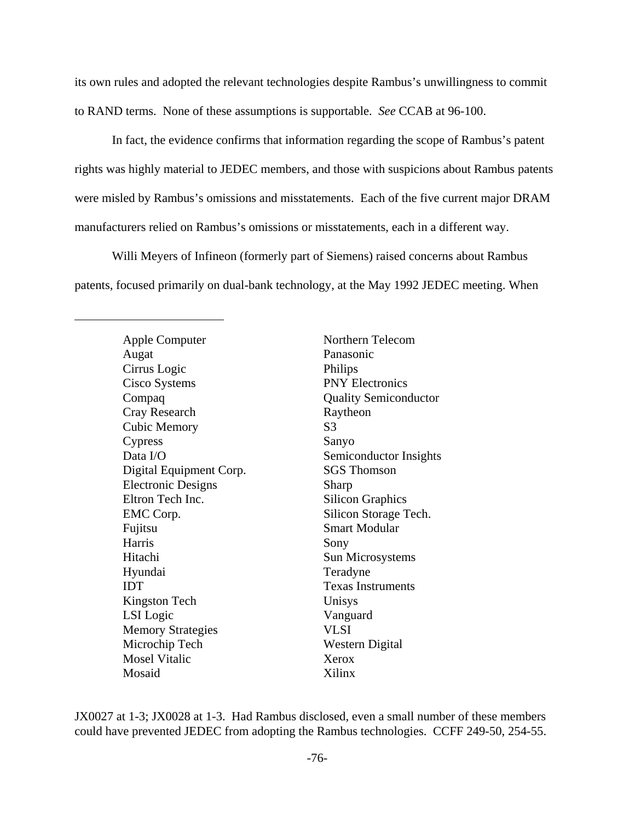its own rules and adopted the relevant technologies despite Rambus's unwillingness to commit to RAND terms. None of these assumptions is supportable. *See* CCAB at 96-100.

In fact, the evidence confirms that information regarding the scope of Rambus's patent rights was highly material to JEDEC members, and those with suspicions about Rambus patents were misled by Rambus's omissions and misstatements. Each of the five current major DRAM manufacturers relied on Rambus's omissions or misstatements, each in a different way.

Willi Meyers of Infineon (formerly part of Siemens) raised concerns about Rambus patents, focused primarily on dual-bank technology, at the May 1992 JEDEC meeting. When

> Apple Computer Northern Telecom Augat Panasonic Cirrus Logic Philips Cisco Systems PNY Electronics Compaq Quality Semiconductor Cray Research Raytheon Cubic Memory S3 Cypress Sanyo Data I/O Semiconductor Insights Digital Equipment Corp. SGS Thomson Electronic Designs Sharp Eltron Tech Inc. Silicon Graphics EMC Corp. Silicon Storage Tech. Fujitsu Smart Modular Harris Sony Hitachi Sun Microsystems Hyundai Teradyne **IDT** Texas Instruments Kingston Tech Unisys LSI Logic Vanguard Memory Strategies VLSI Microchip Tech Western Digital Mosel Vitalic Xerox Mosaid Xilinx

JX0027 at 1-3; JX0028 at 1-3. Had Rambus disclosed, even a small number of these members could have prevented JEDEC from adopting the Rambus technologies. CCFF 249-50, 254-55.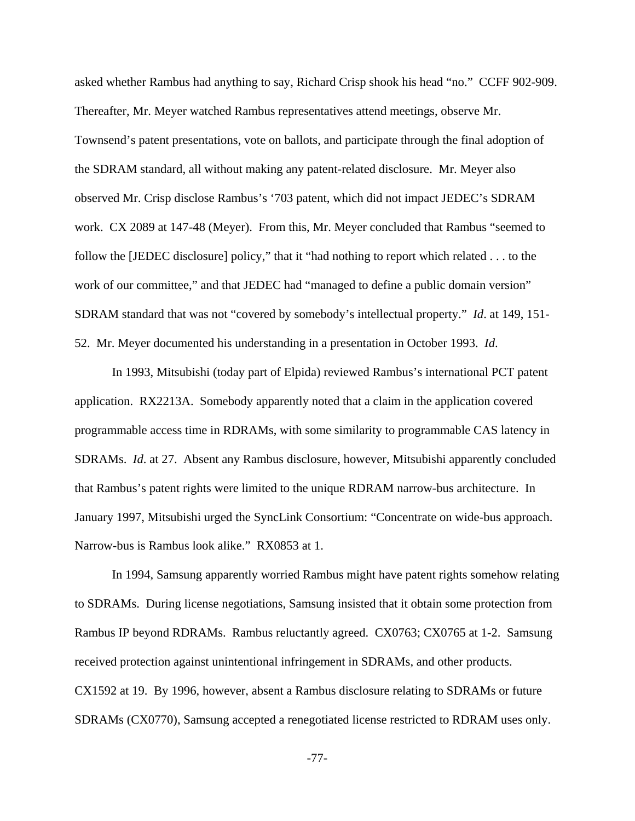asked whether Rambus had anything to say, Richard Crisp shook his head "no." CCFF 902-909. Thereafter, Mr. Meyer watched Rambus representatives attend meetings, observe Mr. Townsend's patent presentations, vote on ballots, and participate through the final adoption of the SDRAM standard, all without making any patent-related disclosure. Mr. Meyer also observed Mr. Crisp disclose Rambus's '703 patent, which did not impact JEDEC's SDRAM work. CX 2089 at 147-48 (Meyer). From this, Mr. Meyer concluded that Rambus "seemed to follow the [JEDEC disclosure] policy," that it "had nothing to report which related . . . to the work of our committee," and that JEDEC had "managed to define a public domain version" SDRAM standard that was not "covered by somebody's intellectual property." *Id*. at 149, 151- 52. Mr. Meyer documented his understanding in a presentation in October 1993. *Id*.

In 1993, Mitsubishi (today part of Elpida) reviewed Rambus's international PCT patent application. RX2213A. Somebody apparently noted that a claim in the application covered programmable access time in RDRAMs, with some similarity to programmable CAS latency in SDRAMs. *Id*. at 27. Absent any Rambus disclosure, however, Mitsubishi apparently concluded that Rambus's patent rights were limited to the unique RDRAM narrow-bus architecture. In January 1997, Mitsubishi urged the SyncLink Consortium: "Concentrate on wide-bus approach. Narrow-bus is Rambus look alike." RX0853 at 1.

In 1994, Samsung apparently worried Rambus might have patent rights somehow relating to SDRAMs. During license negotiations, Samsung insisted that it obtain some protection from Rambus IP beyond RDRAMs. Rambus reluctantly agreed. CX0763; CX0765 at 1-2. Samsung received protection against unintentional infringement in SDRAMs, and other products. CX1592 at 19. By 1996, however, absent a Rambus disclosure relating to SDRAMs or future SDRAMs (CX0770), Samsung accepted a renegotiated license restricted to RDRAM uses only.

-77-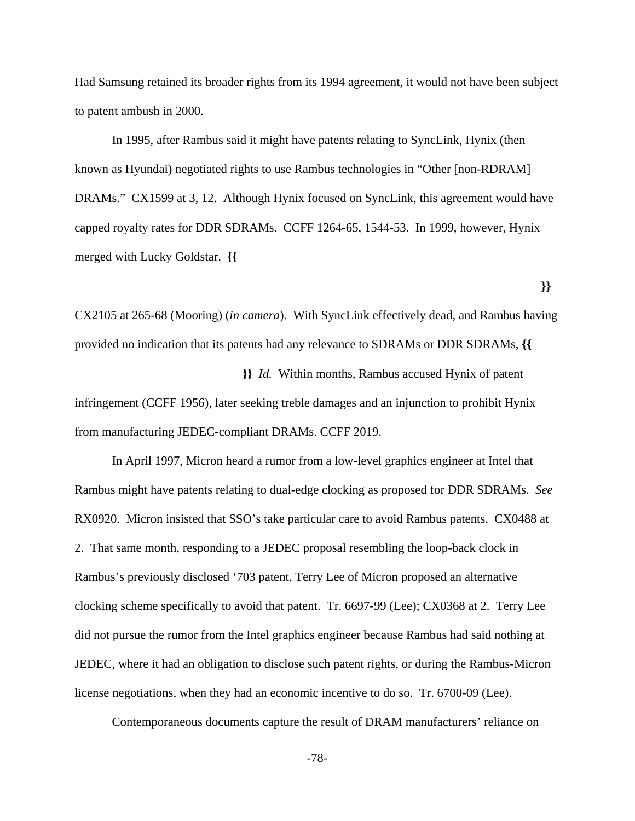Had Samsung retained its broader rights from its 1994 agreement, it would not have been subject to patent ambush in 2000.

In 1995, after Rambus said it might have patents relating to SyncLink, Hynix (then known as Hyundai) negotiated rights to use Rambus technologies in "Other [non-RDRAM] DRAMs." CX1599 at 3, 12. Although Hynix focused on SyncLink, this agreement would have capped royalty rates for DDR SDRAMs. CCFF 1264-65, 1544-53. In 1999, however, Hynix merged with Lucky Goldstar. **{{** 

CX2105 at 265-68 (Mooring) (*in camera*). With SyncLink effectively dead, and Rambus having provided no indication that its patents had any relevance to SDRAMs or DDR SDRAMs, **{{** 

 **}}**

 **}}** *Id.* Within months, Rambus accused Hynix of patent infringement (CCFF 1956), later seeking treble damages and an injunction to prohibit Hynix from manufacturing JEDEC-compliant DRAMs. CCFF 2019.

In April 1997, Micron heard a rumor from a low-level graphics engineer at Intel that Rambus might have patents relating to dual-edge clocking as proposed for DDR SDRAMs. *See* RX0920. Micron insisted that SSO's take particular care to avoid Rambus patents. CX0488 at 2. That same month, responding to a JEDEC proposal resembling the loop-back clock in Rambus's previously disclosed '703 patent, Terry Lee of Micron proposed an alternative clocking scheme specifically to avoid that patent. Tr. 6697-99 (Lee); CX0368 at 2. Terry Lee did not pursue the rumor from the Intel graphics engineer because Rambus had said nothing at JEDEC, where it had an obligation to disclose such patent rights, or during the Rambus-Micron license negotiations, when they had an economic incentive to do so. Tr. 6700-09 (Lee).

Contemporaneous documents capture the result of DRAM manufacturers' reliance on

-78-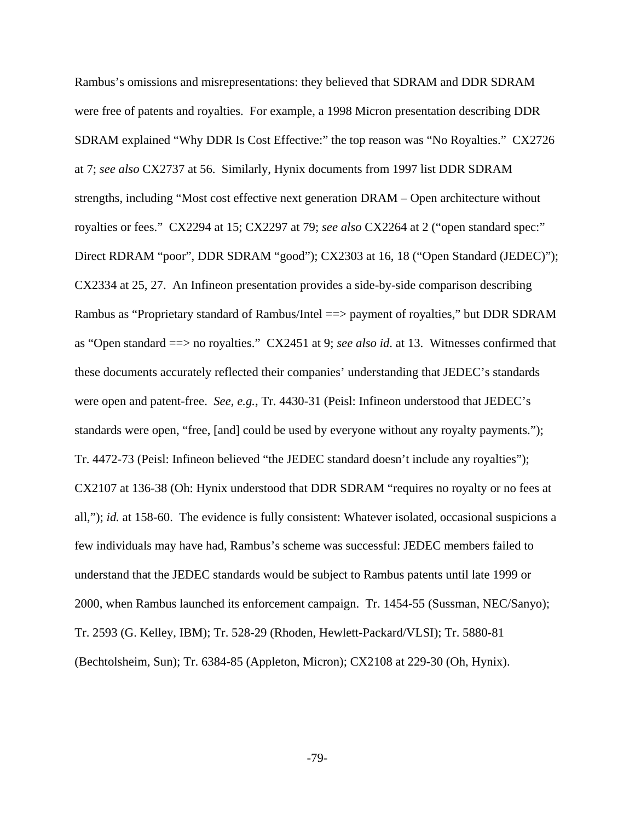Rambus's omissions and misrepresentations: they believed that SDRAM and DDR SDRAM were free of patents and royalties. For example, a 1998 Micron presentation describing DDR SDRAM explained "Why DDR Is Cost Effective:" the top reason was "No Royalties." CX2726 at 7; *see also* CX2737 at 56. Similarly, Hynix documents from 1997 list DDR SDRAM strengths, including "Most cost effective next generation DRAM – Open architecture without royalties or fees." CX2294 at 15; CX2297 at 79; *see also* CX2264 at 2 ("open standard spec:" Direct RDRAM "poor", DDR SDRAM "good"); CX2303 at 16, 18 ("Open Standard (JEDEC)"); CX2334 at 25, 27. An Infineon presentation provides a side-by-side comparison describing Rambus as "Proprietary standard of Rambus/Intel ==> payment of royalties," but DDR SDRAM as "Open standard ==> no royalties." CX2451 at 9; *see also id*. at 13. Witnesses confirmed that these documents accurately reflected their companies' understanding that JEDEC's standards were open and patent-free. *See, e.g.*, Tr. 4430-31 (Peisl: Infineon understood that JEDEC's standards were open, "free, [and] could be used by everyone without any royalty payments."); Tr. 4472-73 (Peisl: Infineon believed "the JEDEC standard doesn't include any royalties"); CX2107 at 136-38 (Oh: Hynix understood that DDR SDRAM "requires no royalty or no fees at all,"); *id.* at 158-60. The evidence is fully consistent: Whatever isolated, occasional suspicions a few individuals may have had, Rambus's scheme was successful: JEDEC members failed to understand that the JEDEC standards would be subject to Rambus patents until late 1999 or 2000, when Rambus launched its enforcement campaign. Tr. 1454-55 (Sussman, NEC/Sanyo); Tr. 2593 (G. Kelley, IBM); Tr. 528-29 (Rhoden, Hewlett-Packard/VLSI); Tr. 5880-81 (Bechtolsheim, Sun); Tr. 6384-85 (Appleton, Micron); CX2108 at 229-30 (Oh, Hynix).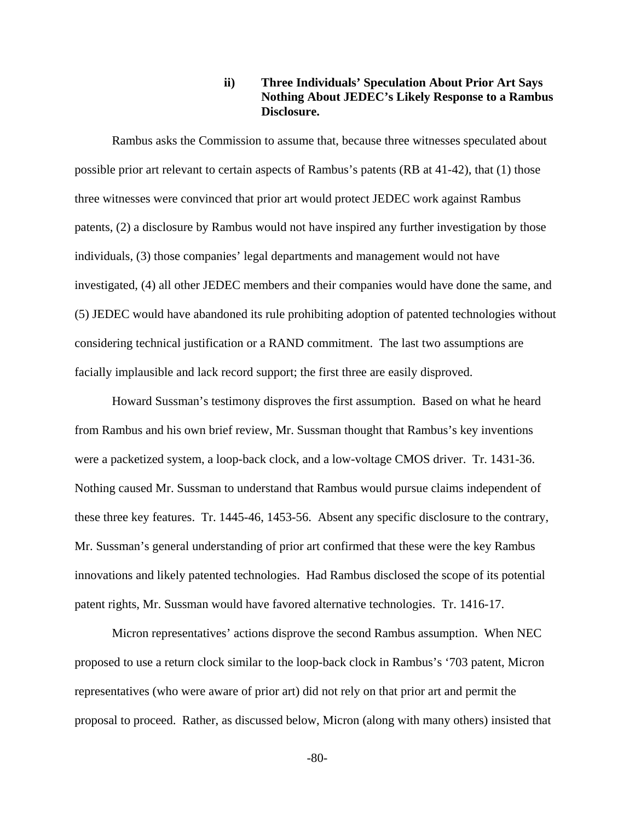# **ii) Three Individuals' Speculation About Prior Art Says Nothing About JEDEC's Likely Response to a Rambus Disclosure.**

Rambus asks the Commission to assume that, because three witnesses speculated about possible prior art relevant to certain aspects of Rambus's patents (RB at 41-42), that (1) those three witnesses were convinced that prior art would protect JEDEC work against Rambus patents, (2) a disclosure by Rambus would not have inspired any further investigation by those individuals, (3) those companies' legal departments and management would not have investigated, (4) all other JEDEC members and their companies would have done the same, and (5) JEDEC would have abandoned its rule prohibiting adoption of patented technologies without considering technical justification or a RAND commitment. The last two assumptions are facially implausible and lack record support; the first three are easily disproved.

Howard Sussman's testimony disproves the first assumption. Based on what he heard from Rambus and his own brief review, Mr. Sussman thought that Rambus's key inventions were a packetized system, a loop-back clock, and a low-voltage CMOS driver. Tr. 1431-36. Nothing caused Mr. Sussman to understand that Rambus would pursue claims independent of these three key features. Tr. 1445-46, 1453-56. Absent any specific disclosure to the contrary, Mr. Sussman's general understanding of prior art confirmed that these were the key Rambus innovations and likely patented technologies. Had Rambus disclosed the scope of its potential patent rights, Mr. Sussman would have favored alternative technologies. Tr. 1416-17.

Micron representatives' actions disprove the second Rambus assumption. When NEC proposed to use a return clock similar to the loop-back clock in Rambus's '703 patent, Micron representatives (who were aware of prior art) did not rely on that prior art and permit the proposal to proceed. Rather, as discussed below, Micron (along with many others) insisted that

-80-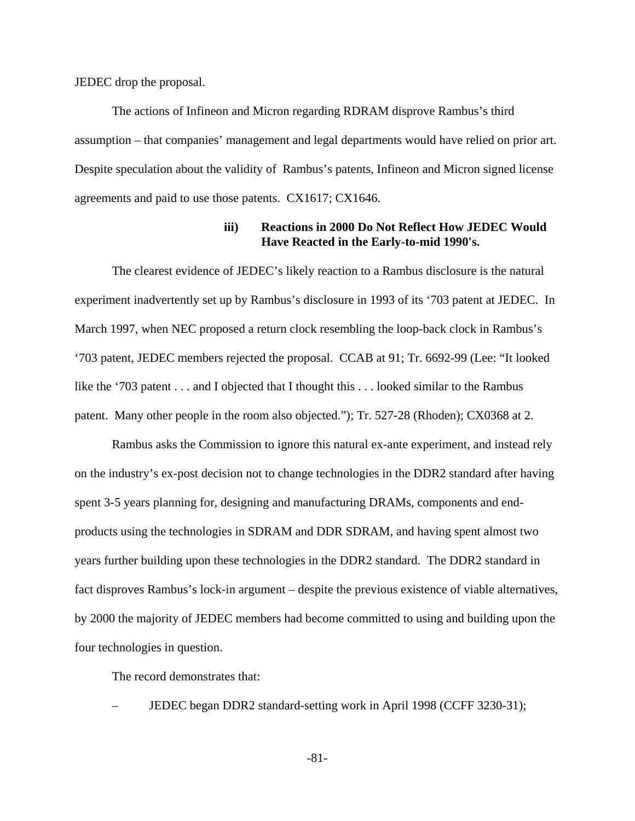JEDEC drop the proposal.

The actions of Infineon and Micron regarding RDRAM disprove Rambus's third assumption – that companies' management and legal departments would have relied on prior art. Despite speculation about the validity of Rambus's patents, Infineon and Micron signed license agreements and paid to use those patents. CX1617; CX1646.

#### **iii) Reactions in 2000 Do Not Reflect How JEDEC Would Have Reacted in the Early-to-mid 1990's.**

The clearest evidence of JEDEC's likely reaction to a Rambus disclosure is the natural experiment inadvertently set up by Rambus's disclosure in 1993 of its '703 patent at JEDEC. In March 1997, when NEC proposed a return clock resembling the loop-back clock in Rambus's '703 patent, JEDEC members rejected the proposal. CCAB at 91; Tr. 6692-99 (Lee: "It looked like the '703 patent . . . and I objected that I thought this . . . looked similar to the Rambus patent. Many other people in the room also objected."); Tr. 527-28 (Rhoden); CX0368 at 2.

Rambus asks the Commission to ignore this natural ex-ante experiment, and instead rely on the industry's ex-post decision not to change technologies in the DDR2 standard after having spent 3-5 years planning for, designing and manufacturing DRAMs, components and endproducts using the technologies in SDRAM and DDR SDRAM, and having spent almost two years further building upon these technologies in the DDR2 standard. The DDR2 standard in fact disproves Rambus's lock-in argument – despite the previous existence of viable alternatives, by 2000 the majority of JEDEC members had become committed to using and building upon the four technologies in question.

The record demonstrates that:

– JEDEC began DDR2 standard-setting work in April 1998 (CCFF 3230-31);

-81-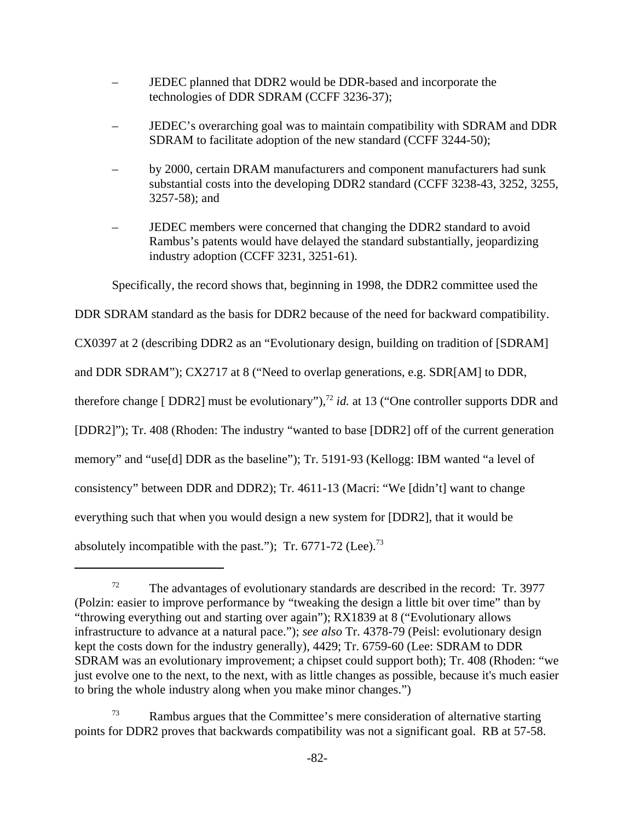- JEDEC planned that DDR2 would be DDR-based and incorporate the technologies of DDR SDRAM (CCFF 3236-37);
- JEDEC's overarching goal was to maintain compatibility with SDRAM and DDR SDRAM to facilitate adoption of the new standard (CCFF 3244-50);
- by 2000, certain DRAM manufacturers and component manufacturers had sunk substantial costs into the developing DDR2 standard (CCFF 3238-43, 3252, 3255, 3257-58); and
- JEDEC members were concerned that changing the DDR2 standard to avoid Rambus's patents would have delayed the standard substantially, jeopardizing industry adoption (CCFF 3231, 3251-61).

Specifically, the record shows that, beginning in 1998, the DDR2 committee used the

DDR SDRAM standard as the basis for DDR2 because of the need for backward compatibility.

CX0397 at 2 (describing DDR2 as an "Evolutionary design, building on tradition of [SDRAM]

and DDR SDRAM"); CX2717 at 8 ("Need to overlap generations, e.g. SDR[AM] to DDR,

therefore change [ DDR2] must be evolutionary"),<sup>72</sup> *id.* at 13 ("One controller supports DDR and

[DDR2]"); Tr. 408 (Rhoden: The industry "wanted to base [DDR2] off of the current generation

memory" and "use[d] DDR as the baseline"); Tr. 5191-93 (Kellogg: IBM wanted "a level of

consistency" between DDR and DDR2); Tr. 4611-13 (Macri: "We [didn't] want to change

everything such that when you would design a new system for [DDR2], that it would be

absolutely incompatible with the past."); Tr.  $6771-72$  (Lee).<sup>73</sup>

 $72$  The advantages of evolutionary standards are described in the record: Tr. 3977 (Polzin: easier to improve performance by "tweaking the design a little bit over time" than by "throwing everything out and starting over again"); RX1839 at 8 ("Evolutionary allows infrastructure to advance at a natural pace."); *see also* Tr. 4378-79 (Peisl: evolutionary design kept the costs down for the industry generally), 4429; Tr. 6759-60 (Lee: SDRAM to DDR SDRAM was an evolutionary improvement; a chipset could support both); Tr. 408 (Rhoden: "we just evolve one to the next, to the next, with as little changes as possible, because it's much easier to bring the whole industry along when you make minor changes.")

<sup>73</sup> Rambus argues that the Committee's mere consideration of alternative starting points for DDR2 proves that backwards compatibility was not a significant goal. RB at 57-58.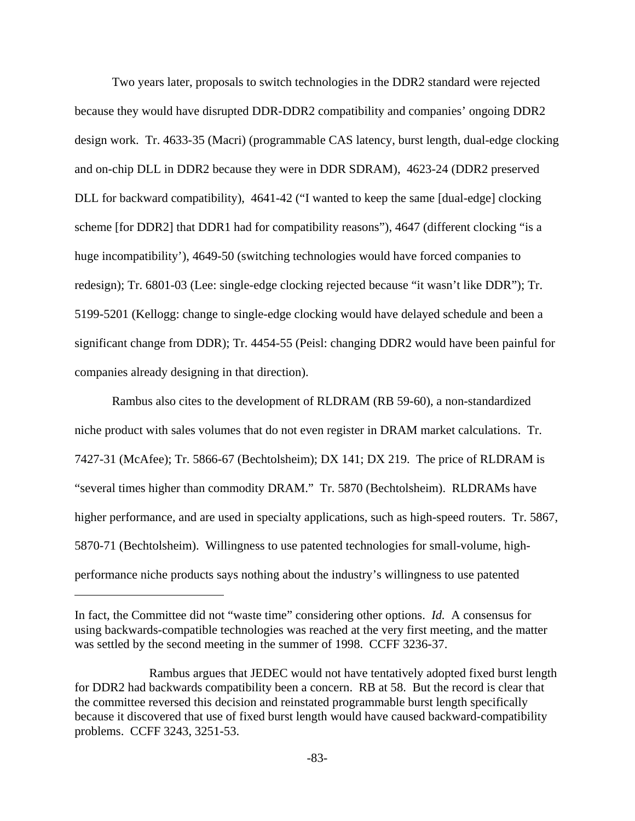Two years later, proposals to switch technologies in the DDR2 standard were rejected because they would have disrupted DDR-DDR2 compatibility and companies' ongoing DDR2 design work. Tr. 4633-35 (Macri) (programmable CAS latency, burst length, dual-edge clocking and on-chip DLL in DDR2 because they were in DDR SDRAM), 4623-24 (DDR2 preserved DLL for backward compatibility), 4641-42 ("I wanted to keep the same [dual-edge] clocking scheme [for DDR2] that DDR1 had for compatibility reasons"), 4647 (different clocking "is a huge incompatibility'), 4649-50 (switching technologies would have forced companies to redesign); Tr. 6801-03 (Lee: single-edge clocking rejected because "it wasn't like DDR"); Tr. 5199-5201 (Kellogg: change to single-edge clocking would have delayed schedule and been a significant change from DDR); Tr. 4454-55 (Peisl: changing DDR2 would have been painful for companies already designing in that direction).

Rambus also cites to the development of RLDRAM (RB 59-60), a non-standardized niche product with sales volumes that do not even register in DRAM market calculations. Tr. 7427-31 (McAfee); Tr. 5866-67 (Bechtolsheim); DX 141; DX 219. The price of RLDRAM is "several times higher than commodity DRAM." Tr. 5870 (Bechtolsheim). RLDRAMs have higher performance, and are used in specialty applications, such as high-speed routers. Tr. 5867, 5870-71 (Bechtolsheim). Willingness to use patented technologies for small-volume, highperformance niche products says nothing about the industry's willingness to use patented

In fact, the Committee did not "waste time" considering other options. *Id.* A consensus for using backwards-compatible technologies was reached at the very first meeting, and the matter was settled by the second meeting in the summer of 1998. CCFF 3236-37.

Rambus argues that JEDEC would not have tentatively adopted fixed burst length for DDR2 had backwards compatibility been a concern. RB at 58. But the record is clear that the committee reversed this decision and reinstated programmable burst length specifically because it discovered that use of fixed burst length would have caused backward-compatibility problems. CCFF 3243, 3251-53.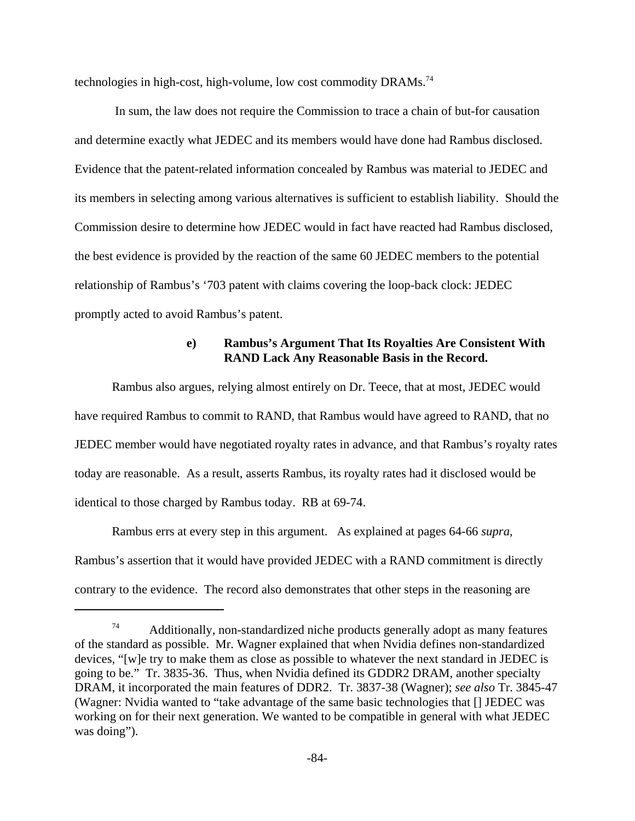technologies in high-cost, high-volume, low cost commodity  $DRAMs.<sup>74</sup>$ 

 In sum, the law does not require the Commission to trace a chain of but-for causation and determine exactly what JEDEC and its members would have done had Rambus disclosed. Evidence that the patent-related information concealed by Rambus was material to JEDEC and its members in selecting among various alternatives is sufficient to establish liability. Should the Commission desire to determine how JEDEC would in fact have reacted had Rambus disclosed, the best evidence is provided by the reaction of the same 60 JEDEC members to the potential relationship of Rambus's '703 patent with claims covering the loop-back clock: JEDEC promptly acted to avoid Rambus's patent.

# **e) Rambus's Argument That Its Royalties Are Consistent With RAND Lack Any Reasonable Basis in the Record.**

Rambus also argues, relying almost entirely on Dr. Teece, that at most, JEDEC would have required Rambus to commit to RAND, that Rambus would have agreed to RAND, that no JEDEC member would have negotiated royalty rates in advance, and that Rambus's royalty rates today are reasonable. As a result, asserts Rambus, its royalty rates had it disclosed would be identical to those charged by Rambus today. RB at 69-74.

Rambus errs at every step in this argument. As explained at pages 64-66 *supra*, Rambus's assertion that it would have provided JEDEC with a RAND commitment is directly contrary to the evidence. The record also demonstrates that other steps in the reasoning are

 $74$  Additionally, non-standardized niche products generally adopt as many features of the standard as possible. Mr. Wagner explained that when Nvidia defines non-standardized devices, "[w]e try to make them as close as possible to whatever the next standard in JEDEC is going to be." Tr. 3835-36. Thus, when Nvidia defined its GDDR2 DRAM, another specialty DRAM, it incorporated the main features of DDR2. Tr. 3837-38 (Wagner); *see also* Tr. 3845-47 (Wagner: Nvidia wanted to "take advantage of the same basic technologies that [] JEDEC was working on for their next generation. We wanted to be compatible in general with what JEDEC was doing").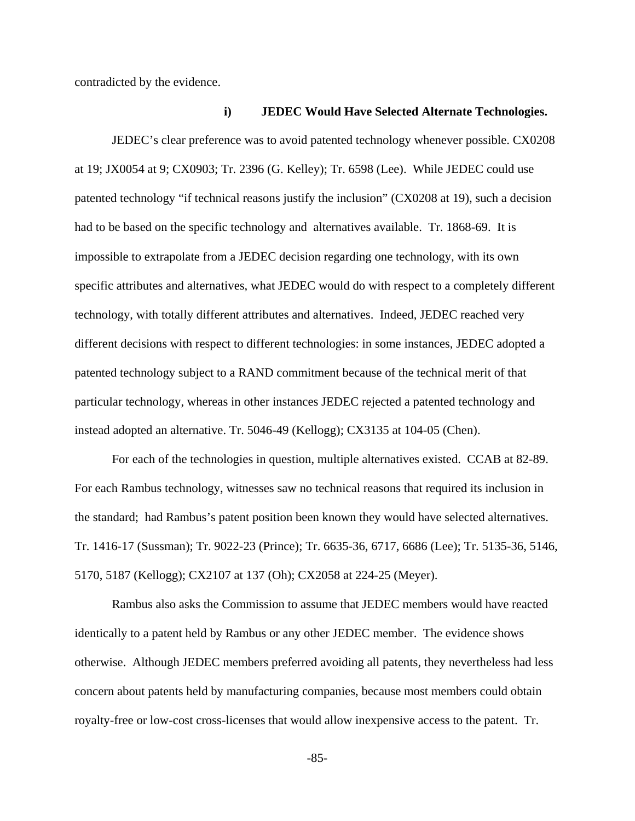contradicted by the evidence.

## **i) JEDEC Would Have Selected Alternate Technologies.**

JEDEC's clear preference was to avoid patented technology whenever possible. CX0208 at 19; JX0054 at 9; CX0903; Tr. 2396 (G. Kelley); Tr. 6598 (Lee). While JEDEC could use patented technology "if technical reasons justify the inclusion" (CX0208 at 19), such a decision had to be based on the specific technology and alternatives available. Tr. 1868-69. It is impossible to extrapolate from a JEDEC decision regarding one technology, with its own specific attributes and alternatives, what JEDEC would do with respect to a completely different technology, with totally different attributes and alternatives. Indeed, JEDEC reached very different decisions with respect to different technologies: in some instances, JEDEC adopted a patented technology subject to a RAND commitment because of the technical merit of that particular technology, whereas in other instances JEDEC rejected a patented technology and instead adopted an alternative. Tr. 5046-49 (Kellogg); CX3135 at 104-05 (Chen).

For each of the technologies in question, multiple alternatives existed. CCAB at 82-89. For each Rambus technology, witnesses saw no technical reasons that required its inclusion in the standard; had Rambus's patent position been known they would have selected alternatives. Tr. 1416-17 (Sussman); Tr. 9022-23 (Prince); Tr. 6635-36, 6717, 6686 (Lee); Tr. 5135-36, 5146, 5170, 5187 (Kellogg); CX2107 at 137 (Oh); CX2058 at 224-25 (Meyer).

Rambus also asks the Commission to assume that JEDEC members would have reacted identically to a patent held by Rambus or any other JEDEC member. The evidence shows otherwise. Although JEDEC members preferred avoiding all patents, they nevertheless had less concern about patents held by manufacturing companies, because most members could obtain royalty-free or low-cost cross-licenses that would allow inexpensive access to the patent. Tr.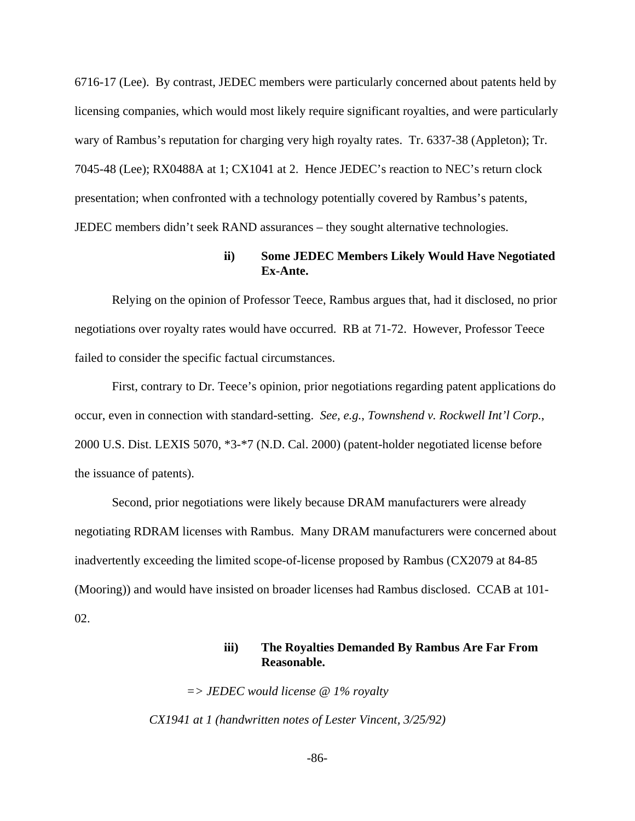6716-17 (Lee). By contrast, JEDEC members were particularly concerned about patents held by licensing companies, which would most likely require significant royalties, and were particularly wary of Rambus's reputation for charging very high royalty rates. Tr. 6337-38 (Appleton); Tr. 7045-48 (Lee); RX0488A at 1; CX1041 at 2. Hence JEDEC's reaction to NEC's return clock presentation; when confronted with a technology potentially covered by Rambus's patents, JEDEC members didn't seek RAND assurances – they sought alternative technologies.

# **ii) Some JEDEC Members Likely Would Have Negotiated Ex-Ante.**

Relying on the opinion of Professor Teece, Rambus argues that, had it disclosed, no prior negotiations over royalty rates would have occurred. RB at 71-72. However, Professor Teece failed to consider the specific factual circumstances.

First, contrary to Dr. Teece's opinion, prior negotiations regarding patent applications do occur, even in connection with standard-setting. *See, e.g.*, *Townshend v. Rockwell Int'l Corp.*, 2000 U.S. Dist. LEXIS 5070, \*3-\*7 (N.D. Cal. 2000) (patent-holder negotiated license before the issuance of patents).

Second, prior negotiations were likely because DRAM manufacturers were already negotiating RDRAM licenses with Rambus. Many DRAM manufacturers were concerned about inadvertently exceeding the limited scope-of-license proposed by Rambus (CX2079 at 84-85 (Mooring)) and would have insisted on broader licenses had Rambus disclosed. CCAB at 101- 02.

# **iii) The Royalties Demanded By Rambus Are Far From Reasonable.**

*=> JEDEC would license @ 1% royalty CX1941 at 1 (handwritten notes of Lester Vincent, 3/25/92)*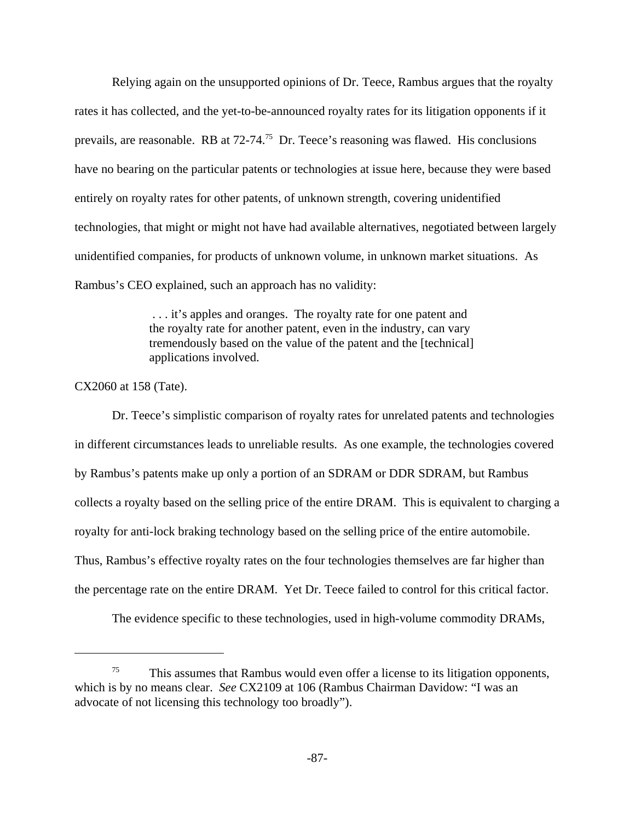Relying again on the unsupported opinions of Dr. Teece, Rambus argues that the royalty rates it has collected, and the yet-to-be-announced royalty rates for its litigation opponents if it prevails, are reasonable. RB at 72-74.75 Dr. Teece's reasoning was flawed. His conclusions have no bearing on the particular patents or technologies at issue here, because they were based entirely on royalty rates for other patents, of unknown strength, covering unidentified technologies, that might or might not have had available alternatives, negotiated between largely unidentified companies, for products of unknown volume, in unknown market situations. As Rambus's CEO explained, such an approach has no validity:

> . . . it's apples and oranges. The royalty rate for one patent and the royalty rate for another patent, even in the industry, can vary tremendously based on the value of the patent and the [technical] applications involved.

CX2060 at 158 (Tate).

Dr. Teece's simplistic comparison of royalty rates for unrelated patents and technologies in different circumstances leads to unreliable results. As one example, the technologies covered by Rambus's patents make up only a portion of an SDRAM or DDR SDRAM, but Rambus collects a royalty based on the selling price of the entire DRAM. This is equivalent to charging a royalty for anti-lock braking technology based on the selling price of the entire automobile. Thus, Rambus's effective royalty rates on the four technologies themselves are far higher than the percentage rate on the entire DRAM. Yet Dr. Teece failed to control for this critical factor.

The evidence specific to these technologies, used in high-volume commodity DRAMs,

<sup>75</sup> This assumes that Rambus would even offer a license to its litigation opponents, which is by no means clear. *See* CX2109 at 106 (Rambus Chairman Davidow: "I was an advocate of not licensing this technology too broadly").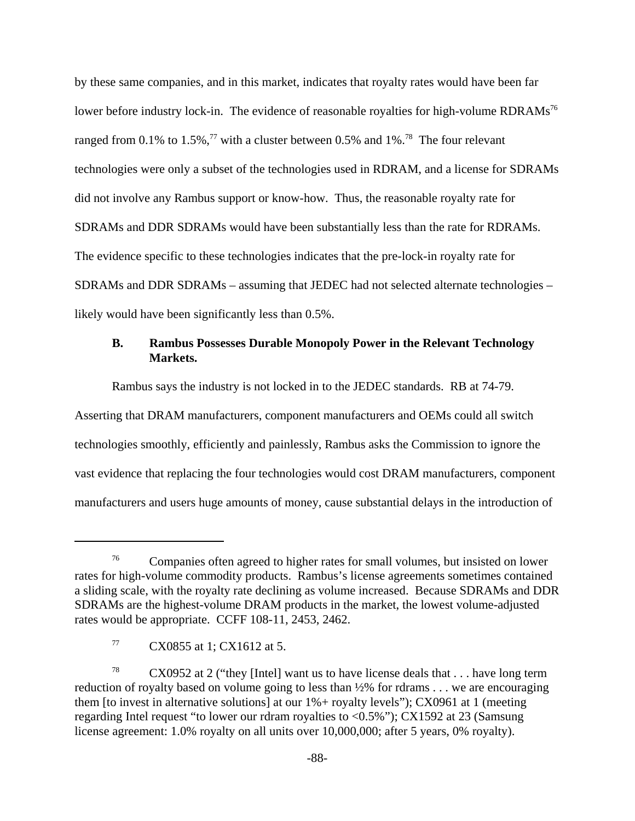by these same companies, and in this market, indicates that royalty rates would have been far lower before industry lock-in. The evidence of reasonable royalties for high-volume RDRAMs<sup>76</sup> ranged from 0.1% to 1.5%,<sup>77</sup> with a cluster between 0.5% and 1%.<sup>78</sup> The four relevant technologies were only a subset of the technologies used in RDRAM, and a license for SDRAMs did not involve any Rambus support or know-how. Thus, the reasonable royalty rate for SDRAMs and DDR SDRAMs would have been substantially less than the rate for RDRAMs. The evidence specific to these technologies indicates that the pre-lock-in royalty rate for SDRAMs and DDR SDRAMs – assuming that JEDEC had not selected alternate technologies – likely would have been significantly less than 0.5%.

# **B. Rambus Possesses Durable Monopoly Power in the Relevant Technology Markets.**

Rambus says the industry is not locked in to the JEDEC standards. RB at 74-79.

Asserting that DRAM manufacturers, component manufacturers and OEMs could all switch technologies smoothly, efficiently and painlessly, Rambus asks the Commission to ignore the vast evidence that replacing the four technologies would cost DRAM manufacturers, component manufacturers and users huge amounts of money, cause substantial delays in the introduction of

<sup>76</sup> Companies often agreed to higher rates for small volumes, but insisted on lower rates for high-volume commodity products. Rambus's license agreements sometimes contained a sliding scale, with the royalty rate declining as volume increased. Because SDRAMs and DDR SDRAMs are the highest-volume DRAM products in the market, the lowest volume-adjusted rates would be appropriate. CCFF 108-11, 2453, 2462.

<sup>77</sup> CX0855 at 1; CX1612 at 5.

<sup>&</sup>lt;sup>78</sup> CX0952 at 2 ("they [Intel] want us to have license deals that  $\dots$  have long term reduction of royalty based on volume going to less than ½% for rdrams . . . we are encouraging them [to invest in alternative solutions] at our 1%+ royalty levels"); CX0961 at 1 (meeting regarding Intel request "to lower our rdram royalties to <0.5%"); CX1592 at 23 (Samsung license agreement: 1.0% royalty on all units over 10,000,000; after 5 years, 0% royalty).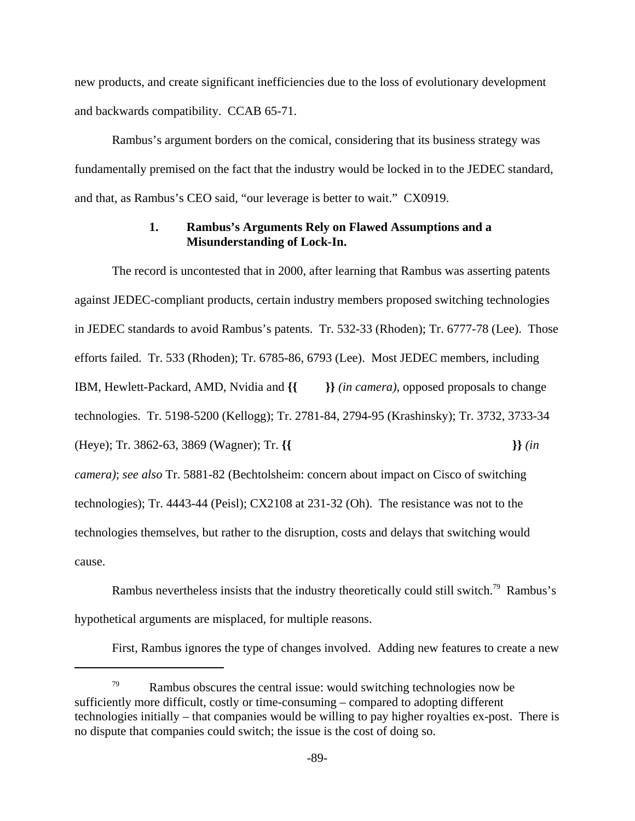new products, and create significant inefficiencies due to the loss of evolutionary development and backwards compatibility. CCAB 65-71.

Rambus's argument borders on the comical, considering that its business strategy was fundamentally premised on the fact that the industry would be locked in to the JEDEC standard, and that, as Rambus's CEO said, "our leverage is better to wait." CX0919.

## **1. Rambus's Arguments Rely on Flawed Assumptions and a Misunderstanding of Lock-In.**

The record is uncontested that in 2000, after learning that Rambus was asserting patents against JEDEC-compliant products, certain industry members proposed switching technologies in JEDEC standards to avoid Rambus's patents. Tr. 532-33 (Rhoden); Tr. 6777-78 (Lee). Those efforts failed. Tr. 533 (Rhoden); Tr. 6785-86, 6793 (Lee). Most JEDEC members, including IBM, Hewlett-Packard, AMD, Nvidia and **{{ }}** *(in camera),* opposed proposals to change technologies. Tr. 5198-5200 (Kellogg); Tr. 2781-84, 2794-95 (Krashinsky); Tr. 3732, 3733-34 (Heye); Tr. 3862-63, 3869 (Wagner); Tr. **{{ }}** *(in camera)*; *see also* Tr. 5881-82 (Bechtolsheim: concern about impact on Cisco of switching technologies); Tr. 4443-44 (Peisl); CX2108 at 231-32 (Oh). The resistance was not to the technologies themselves, but rather to the disruption, costs and delays that switching would cause.

Rambus nevertheless insists that the industry theoretically could still switch.<sup>79</sup> Rambus's hypothetical arguments are misplaced, for multiple reasons.

First, Rambus ignores the type of changes involved. Adding new features to create a new

 $79$  Rambus obscures the central issue: would switching technologies now be sufficiently more difficult, costly or time-consuming – compared to adopting different technologies initially – that companies would be willing to pay higher royalties ex-post. There is no dispute that companies could switch; the issue is the cost of doing so.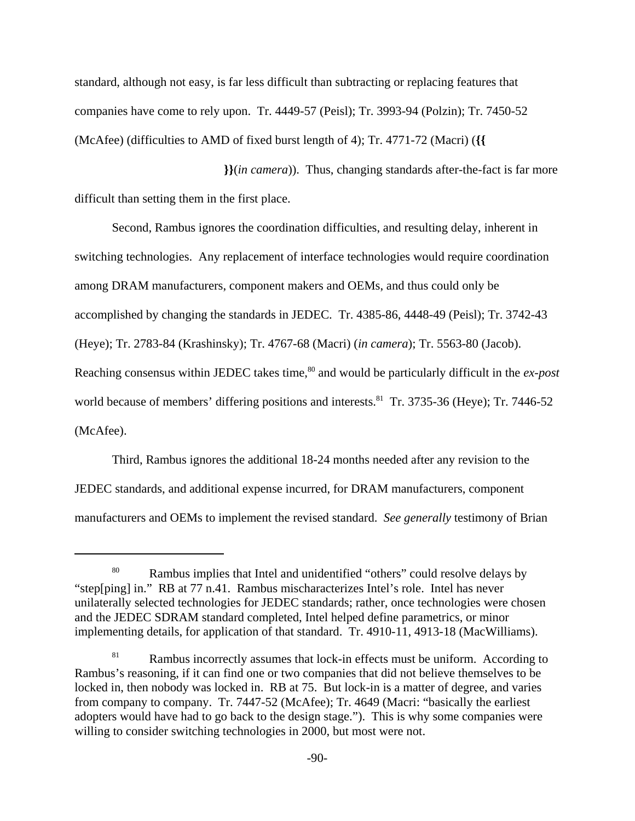standard, although not easy, is far less difficult than subtracting or replacing features that companies have come to rely upon. Tr. 4449-57 (Peisl); Tr. 3993-94 (Polzin); Tr. 7450-52 (McAfee) (difficulties to AMD of fixed burst length of 4); Tr. 4771-72 (Macri) (**{{** 

 **}}**(*in camera*)). Thus, changing standards after-the-fact is far more difficult than setting them in the first place.

Second, Rambus ignores the coordination difficulties, and resulting delay, inherent in switching technologies. Any replacement of interface technologies would require coordination among DRAM manufacturers, component makers and OEMs, and thus could only be accomplished by changing the standards in JEDEC. Tr. 4385-86, 4448-49 (Peisl); Tr. 3742-43 (Heye); Tr. 2783-84 (Krashinsky); Tr. 4767-68 (Macri) (*in camera*); Tr. 5563-80 (Jacob). Reaching consensus within JEDEC takes time,<sup>80</sup> and would be particularly difficult in the *ex-post* world because of members' differing positions and interests.<sup>81</sup> Tr. 3735-36 (Heye); Tr. 7446-52 (McAfee).

Third, Rambus ignores the additional 18-24 months needed after any revision to the JEDEC standards, and additional expense incurred, for DRAM manufacturers, component manufacturers and OEMs to implement the revised standard. *See generally* testimony of Brian

<sup>&</sup>lt;sup>80</sup> Rambus implies that Intel and unidentified "others" could resolve delays by "step[ping] in." RB at 77 n.41. Rambus mischaracterizes Intel's role. Intel has never unilaterally selected technologies for JEDEC standards; rather, once technologies were chosen and the JEDEC SDRAM standard completed, Intel helped define parametrics, or minor implementing details, for application of that standard. Tr. 4910-11, 4913-18 (MacWilliams).

<sup>&</sup>lt;sup>81</sup> Rambus incorrectly assumes that lock-in effects must be uniform. According to Rambus's reasoning, if it can find one or two companies that did not believe themselves to be locked in, then nobody was locked in. RB at 75. But lock-in is a matter of degree, and varies from company to company. Tr. 7447-52 (McAfee); Tr. 4649 (Macri: "basically the earliest adopters would have had to go back to the design stage."). This is why some companies were willing to consider switching technologies in 2000, but most were not.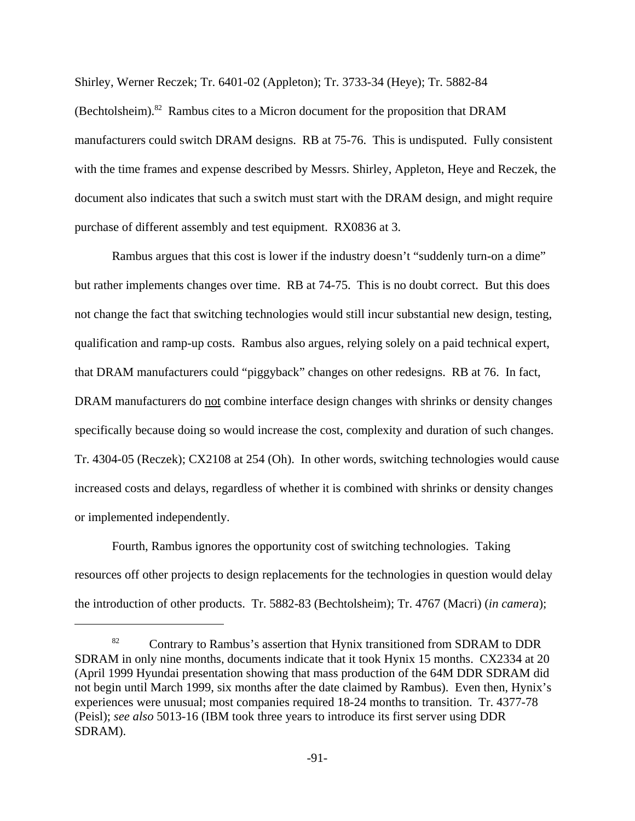Shirley, Werner Reczek; Tr. 6401-02 (Appleton); Tr. 3733-34 (Heye); Tr. 5882-84

(Bechtolsheim).<sup>82</sup> Rambus cites to a Micron document for the proposition that DRAM manufacturers could switch DRAM designs. RB at 75-76. This is undisputed. Fully consistent with the time frames and expense described by Messrs. Shirley, Appleton, Heye and Reczek, the document also indicates that such a switch must start with the DRAM design, and might require purchase of different assembly and test equipment. RX0836 at 3.

Rambus argues that this cost is lower if the industry doesn't "suddenly turn-on a dime" but rather implements changes over time. RB at 74-75. This is no doubt correct. But this does not change the fact that switching technologies would still incur substantial new design, testing, qualification and ramp-up costs. Rambus also argues, relying solely on a paid technical expert, that DRAM manufacturers could "piggyback" changes on other redesigns. RB at 76. In fact, DRAM manufacturers do not combine interface design changes with shrinks or density changes specifically because doing so would increase the cost, complexity and duration of such changes. Tr. 4304-05 (Reczek); CX2108 at 254 (Oh). In other words, switching technologies would cause increased costs and delays, regardless of whether it is combined with shrinks or density changes or implemented independently.

Fourth, Rambus ignores the opportunity cost of switching technologies. Taking resources off other projects to design replacements for the technologies in question would delay the introduction of other products. Tr. 5882-83 (Bechtolsheim); Tr. 4767 (Macri) (*in camera*);

<sup>&</sup>lt;sup>82</sup> Contrary to Rambus's assertion that Hynix transitioned from SDRAM to DDR SDRAM in only nine months, documents indicate that it took Hynix 15 months. CX2334 at 20 (April 1999 Hyundai presentation showing that mass production of the 64M DDR SDRAM did not begin until March 1999, six months after the date claimed by Rambus). Even then, Hynix's experiences were unusual; most companies required 18-24 months to transition. Tr. 4377-78 (Peisl); *see also* 5013-16 (IBM took three years to introduce its first server using DDR SDRAM).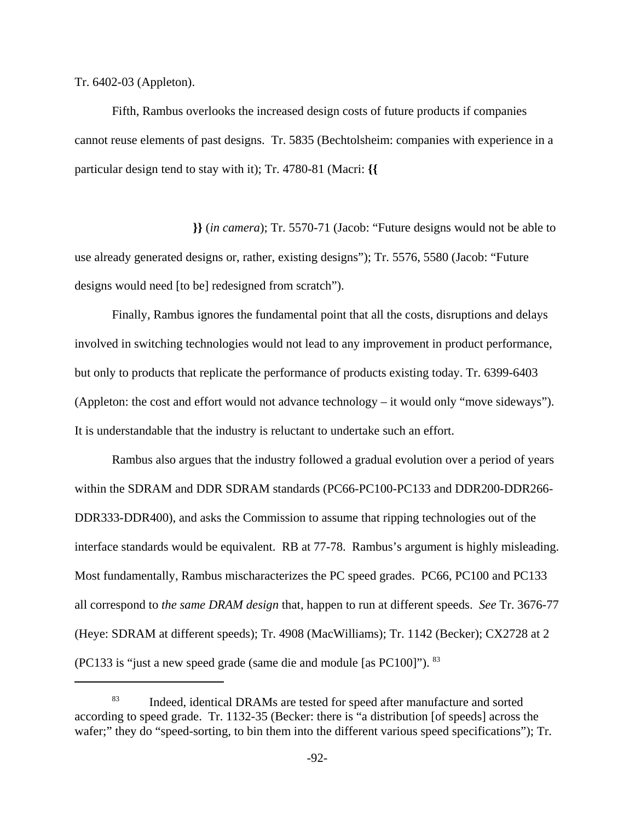Tr. 6402-03 (Appleton).

Fifth, Rambus overlooks the increased design costs of future products if companies cannot reuse elements of past designs. Tr. 5835 (Bechtolsheim: companies with experience in a particular design tend to stay with it); Tr. 4780-81 (Macri: **{{** 

 **}}** (*in camera*); Tr. 5570-71 (Jacob: "Future designs would not be able to use already generated designs or, rather, existing designs"); Tr. 5576, 5580 (Jacob: "Future designs would need [to be] redesigned from scratch").

Finally, Rambus ignores the fundamental point that all the costs, disruptions and delays involved in switching technologies would not lead to any improvement in product performance, but only to products that replicate the performance of products existing today. Tr. 6399-6403 (Appleton: the cost and effort would not advance technology – it would only "move sideways"). It is understandable that the industry is reluctant to undertake such an effort.

Rambus also argues that the industry followed a gradual evolution over a period of years within the SDRAM and DDR SDRAM standards (PC66-PC100-PC133 and DDR200-DDR266- DDR333-DDR400), and asks the Commission to assume that ripping technologies out of the interface standards would be equivalent. RB at 77-78. Rambus's argument is highly misleading. Most fundamentally, Rambus mischaracterizes the PC speed grades. PC66, PC100 and PC133 all correspond to *the same DRAM design* that, happen to run at different speeds. *See* Tr. 3676-77 (Heye: SDRAM at different speeds); Tr. 4908 (MacWilliams); Tr. 1142 (Becker); CX2728 at 2 (PC133 is "just a new speed grade (same die and module [as PC100]"). 83

<sup>83</sup> Indeed, identical DRAMs are tested for speed after manufacture and sorted according to speed grade. Tr. 1132-35 (Becker: there is "a distribution [of speeds] across the wafer;" they do "speed-sorting, to bin them into the different various speed specifications"); Tr.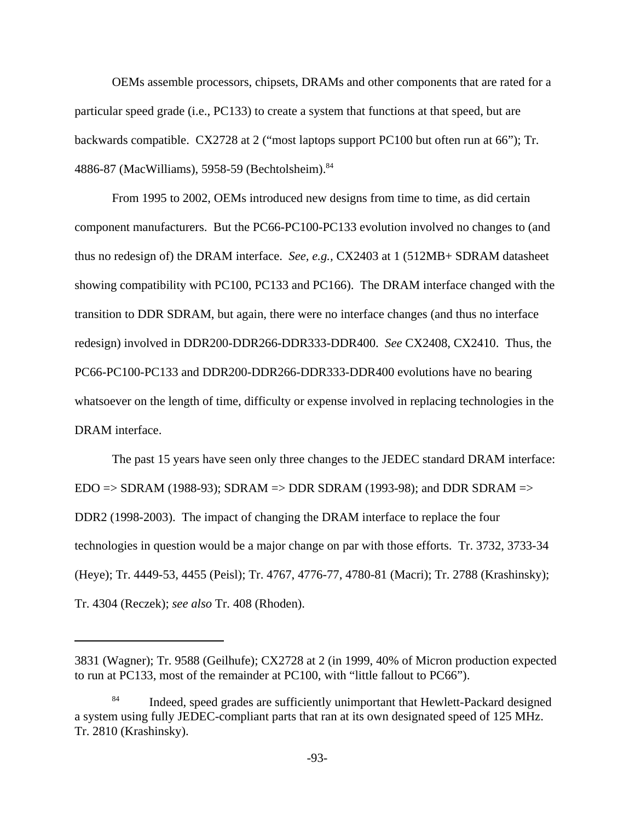OEMs assemble processors, chipsets, DRAMs and other components that are rated for a particular speed grade (i.e., PC133) to create a system that functions at that speed, but are backwards compatible. CX2728 at 2 ("most laptops support PC100 but often run at 66"); Tr. 4886-87 (MacWilliams), 5958-59 (Bechtolsheim). 84

From 1995 to 2002, OEMs introduced new designs from time to time, as did certain component manufacturers. But the PC66-PC100-PC133 evolution involved no changes to (and thus no redesign of) the DRAM interface. *See, e.g.,* CX2403 at 1 (512MB+ SDRAM datasheet showing compatibility with PC100, PC133 and PC166). The DRAM interface changed with the transition to DDR SDRAM, but again, there were no interface changes (and thus no interface redesign) involved in DDR200-DDR266-DDR333-DDR400. *See* CX2408, CX2410. Thus, the PC66-PC100-PC133 and DDR200-DDR266-DDR333-DDR400 evolutions have no bearing whatsoever on the length of time, difficulty or expense involved in replacing technologies in the DRAM interface.

The past 15 years have seen only three changes to the JEDEC standard DRAM interface:  $EDO \Rightarrow SDRAM (1988-93); SDRAM \Rightarrow DDR SDRAM (1993-98); and DDR SDRAM \Rightarrow$ DDR2 (1998-2003). The impact of changing the DRAM interface to replace the four technologies in question would be a major change on par with those efforts. Tr. 3732, 3733-34 (Heye); Tr. 4449-53, 4455 (Peisl); Tr. 4767, 4776-77, 4780-81 (Macri); Tr. 2788 (Krashinsky); Tr. 4304 (Reczek); *see also* Tr. 408 (Rhoden).

<sup>3831 (</sup>Wagner); Tr. 9588 (Geilhufe); CX2728 at 2 (in 1999, 40% of Micron production expected to run at PC133, most of the remainder at PC100, with "little fallout to PC66").

Indeed, speed grades are sufficiently unimportant that Hewlett-Packard designed a system using fully JEDEC-compliant parts that ran at its own designated speed of 125 MHz. Tr. 2810 (Krashinsky).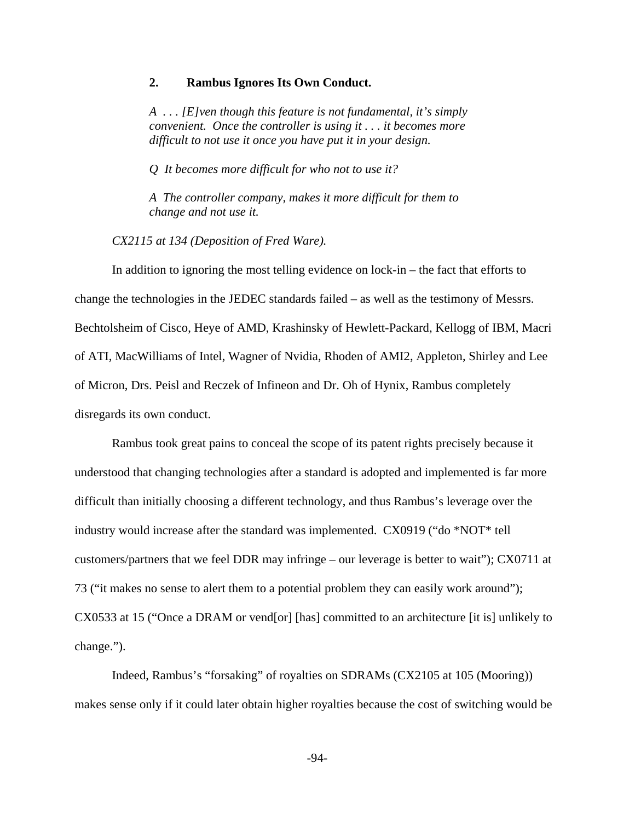#### **2. Rambus Ignores Its Own Conduct.**

*A . . . [E]ven though this feature is not fundamental, it's simply convenient. Once the controller is using it . . . it becomes more difficult to not use it once you have put it in your design.*

*Q It becomes more difficult for who not to use it?*

*A The controller company, makes it more difficult for them to change and not use it.*

*CX2115 at 134 (Deposition of Fred Ware).*

In addition to ignoring the most telling evidence on lock-in – the fact that efforts to change the technologies in the JEDEC standards failed – as well as the testimony of Messrs. Bechtolsheim of Cisco, Heye of AMD, Krashinsky of Hewlett-Packard, Kellogg of IBM, Macri of ATI, MacWilliams of Intel, Wagner of Nvidia, Rhoden of AMI2, Appleton, Shirley and Lee of Micron, Drs. Peisl and Reczek of Infineon and Dr. Oh of Hynix, Rambus completely disregards its own conduct.

Rambus took great pains to conceal the scope of its patent rights precisely because it understood that changing technologies after a standard is adopted and implemented is far more difficult than initially choosing a different technology, and thus Rambus's leverage over the industry would increase after the standard was implemented. CX0919 ("do \*NOT\* tell customers/partners that we feel DDR may infringe – our leverage is better to wait"); CX0711 at 73 ("it makes no sense to alert them to a potential problem they can easily work around"); CX0533 at 15 ("Once a DRAM or vend[or] [has] committed to an architecture [it is] unlikely to change.").

Indeed, Rambus's "forsaking" of royalties on SDRAMs (CX2105 at 105 (Mooring)) makes sense only if it could later obtain higher royalties because the cost of switching would be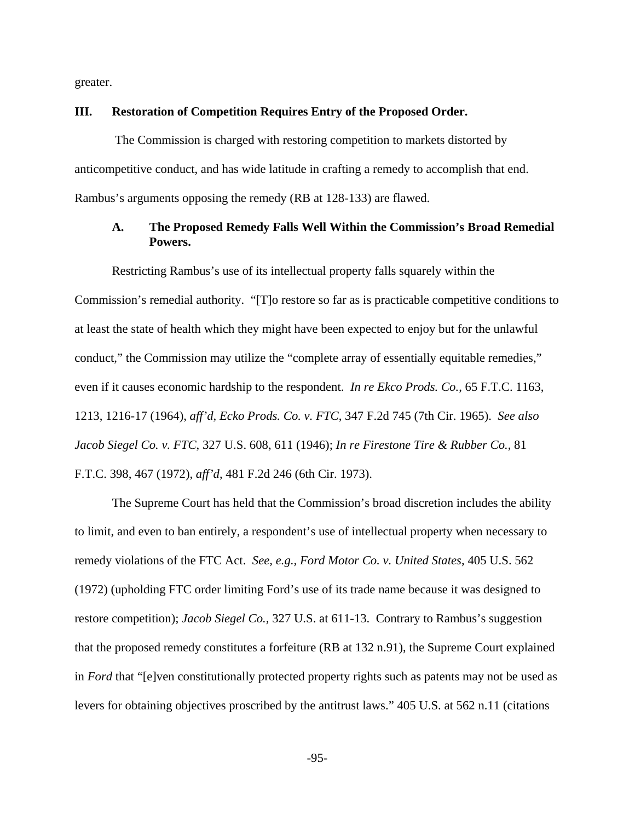greater.

#### **III. Restoration of Competition Requires Entry of the Proposed Order.**

 The Commission is charged with restoring competition to markets distorted by anticompetitive conduct, and has wide latitude in crafting a remedy to accomplish that end. Rambus's arguments opposing the remedy (RB at 128-133) are flawed.

## **A. The Proposed Remedy Falls Well Within the Commission's Broad Remedial Powers.**

Restricting Rambus's use of its intellectual property falls squarely within the Commission's remedial authority. "[T]o restore so far as is practicable competitive conditions to at least the state of health which they might have been expected to enjoy but for the unlawful conduct," the Commission may utilize the "complete array of essentially equitable remedies," even if it causes economic hardship to the respondent. *In re Ekco Prods. Co.*, 65 F.T.C. 1163, 1213, 1216-17 (1964), *aff'd, Ecko Prods. Co. v. FTC*, 347 F.2d 745 (7th Cir. 1965). *See also Jacob Siegel Co. v. FTC*, 327 U.S. 608, 611 (1946); *In re Firestone Tire & Rubber Co.*, 81 F.T.C. 398, 467 (1972), *aff'd*, 481 F.2d 246 (6th Cir. 1973).

The Supreme Court has held that the Commission's broad discretion includes the ability to limit, and even to ban entirely, a respondent's use of intellectual property when necessary to remedy violations of the FTC Act. *See, e.g., Ford Motor Co. v. United States*, 405 U.S. 562 (1972) (upholding FTC order limiting Ford's use of its trade name because it was designed to restore competition); *Jacob Siegel Co.,* 327 U.S. at 611-13. Contrary to Rambus's suggestion that the proposed remedy constitutes a forfeiture (RB at 132 n.91), the Supreme Court explained in *Ford* that "[e]ven constitutionally protected property rights such as patents may not be used as levers for obtaining objectives proscribed by the antitrust laws." 405 U.S. at 562 n.11 (citations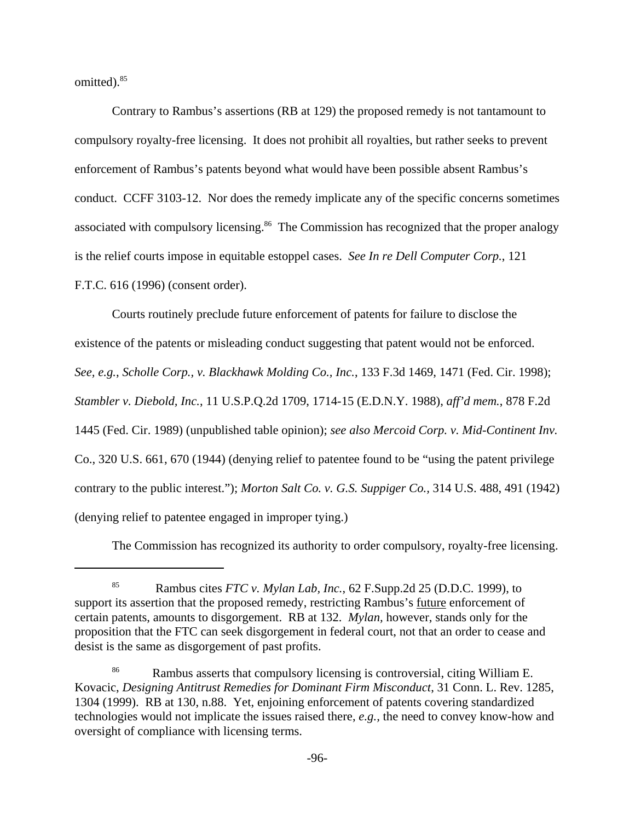omitted).<sup>85</sup>

Contrary to Rambus's assertions (RB at 129) the proposed remedy is not tantamount to compulsory royalty-free licensing. It does not prohibit all royalties, but rather seeks to prevent enforcement of Rambus's patents beyond what would have been possible absent Rambus's conduct. CCFF 3103-12. Nor does the remedy implicate any of the specific concerns sometimes associated with compulsory licensing.<sup>86</sup> The Commission has recognized that the proper analogy is the relief courts impose in equitable estoppel cases. *See In re Dell Computer Corp.*, 121 F.T.C. 616 (1996) (consent order).

Courts routinely preclude future enforcement of patents for failure to disclose the existence of the patents or misleading conduct suggesting that patent would not be enforced. *See, e.g.*, *Scholle Corp., v. Blackhawk Molding Co., Inc.*, 133 F.3d 1469, 1471 (Fed. Cir. 1998); *Stambler v. Diebold, Inc.*, 11 U.S.P.Q.2d 1709, 1714-15 (E.D.N.Y. 1988), *aff'd mem.*, 878 F.2d 1445 (Fed. Cir. 1989) (unpublished table opinion); *see also Mercoid Corp. v. Mid-Continent Inv.* Co., 320 U.S. 661, 670 (1944) (denying relief to patentee found to be "using the patent privilege contrary to the public interest."); *Morton Salt Co. v. G.S. Suppiger Co.,* 314 U.S. 488, 491 (1942) (denying relief to patentee engaged in improper tying.)

The Commission has recognized its authority to order compulsory, royalty-free licensing.

<sup>85</sup> Rambus cites *FTC v. Mylan Lab, Inc.*, 62 F.Supp.2d 25 (D.D.C. 1999), to support its assertion that the proposed remedy, restricting Rambus's future enforcement of certain patents, amounts to disgorgement. RB at 132. *Mylan,* however, stands only for the proposition that the FTC can seek disgorgement in federal court, not that an order to cease and desist is the same as disgorgement of past profits.

<sup>86</sup> Rambus asserts that compulsory licensing is controversial, citing William E. Kovacic, *Designing Antitrust Remedies for Dominant Firm Misconduct*, 31 Conn. L. Rev. 1285, 1304 (1999). RB at 130, n.88. Yet, enjoining enforcement of patents covering standardized technologies would not implicate the issues raised there, *e.g.,* the need to convey know-how and oversight of compliance with licensing terms.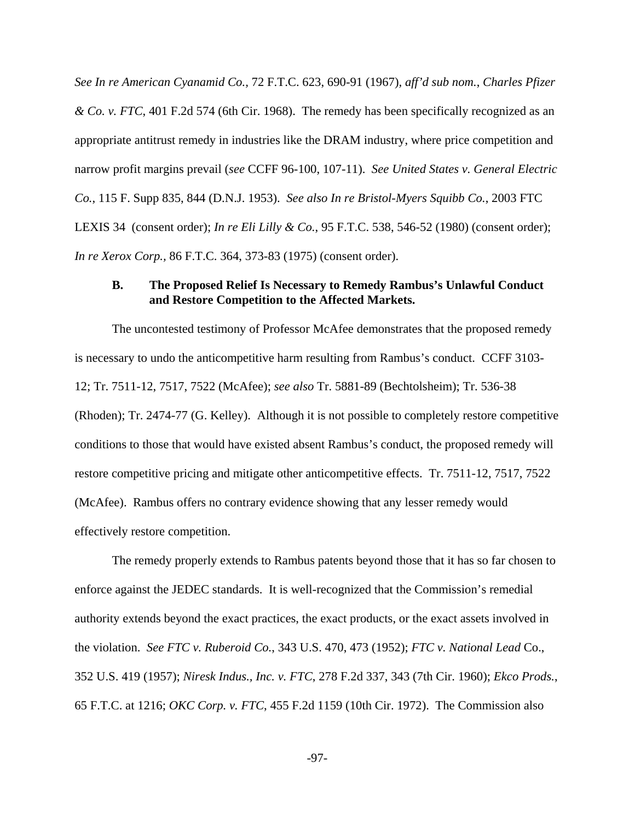*See In re American Cyanamid Co.,* 72 F.T.C. 623, 690-91 (1967)*, aff'd sub nom.*, *Charles Pfizer & Co. v. FTC*, 401 F.2d 574 (6th Cir. 1968). The remedy has been specifically recognized as an appropriate antitrust remedy in industries like the DRAM industry, where price competition and narrow profit margins prevail (*see* CCFF 96-100, 107-11). *See United States v. General Electric Co.*, 115 F. Supp 835, 844 (D.N.J. 1953). *See also In re Bristol-Myers Squibb Co.*, 2003 FTC LEXIS 34 (consent order); *In re Eli Lilly & Co.*, 95 F.T.C. 538, 546-52 (1980) (consent order); *In re Xerox Corp.,* 86 F.T.C. 364, 373-83 (1975) (consent order).

## **B. The Proposed Relief Is Necessary to Remedy Rambus's Unlawful Conduct and Restore Competition to the Affected Markets.**

The uncontested testimony of Professor McAfee demonstrates that the proposed remedy is necessary to undo the anticompetitive harm resulting from Rambus's conduct. CCFF 3103- 12; Tr. 7511-12, 7517, 7522 (McAfee); *see also* Tr. 5881-89 (Bechtolsheim); Tr. 536-38 (Rhoden); Tr. 2474-77 (G. Kelley). Although it is not possible to completely restore competitive conditions to those that would have existed absent Rambus's conduct, the proposed remedy will restore competitive pricing and mitigate other anticompetitive effects. Tr. 7511-12, 7517, 7522 (McAfee). Rambus offers no contrary evidence showing that any lesser remedy would effectively restore competition.

The remedy properly extends to Rambus patents beyond those that it has so far chosen to enforce against the JEDEC standards. It is well-recognized that the Commission's remedial authority extends beyond the exact practices, the exact products, or the exact assets involved in the violation. *See FTC v. Ruberoid Co.*, 343 U.S. 470, 473 (1952); *FTC v. National Lead* Co., 352 U.S. 419 (1957); *Niresk Indus., Inc. v. FTC*, 278 F.2d 337, 343 (7th Cir. 1960); *Ekco Prods.*, 65 F.T.C. at 1216; *OKC Corp. v. FTC*, 455 F.2d 1159 (10th Cir. 1972). The Commission also

-97-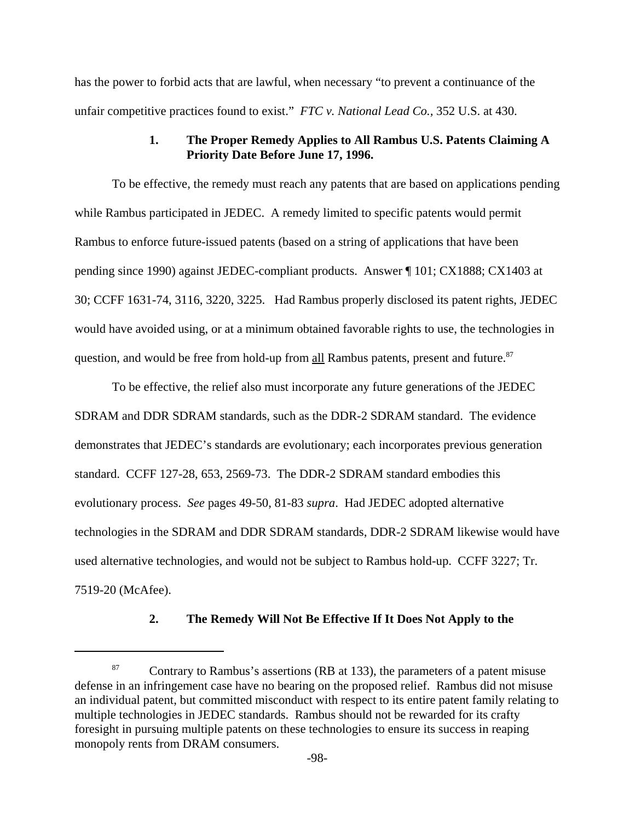has the power to forbid acts that are lawful, when necessary "to prevent a continuance of the unfair competitive practices found to exist." *FTC v. National Lead Co.,* 352 U.S. at 430.

## **1. The Proper Remedy Applies to All Rambus U.S. Patents Claiming A Priority Date Before June 17, 1996.**

To be effective, the remedy must reach any patents that are based on applications pending while Rambus participated in JEDEC. A remedy limited to specific patents would permit Rambus to enforce future-issued patents (based on a string of applications that have been pending since 1990) against JEDEC-compliant products. Answer ¶ 101; CX1888; CX1403 at 30; CCFF 1631-74, 3116, 3220, 3225. Had Rambus properly disclosed its patent rights, JEDEC would have avoided using, or at a minimum obtained favorable rights to use, the technologies in question, and would be free from hold-up from all Rambus patents, present and future.<sup>87</sup>

To be effective, the relief also must incorporate any future generations of the JEDEC SDRAM and DDR SDRAM standards, such as the DDR-2 SDRAM standard. The evidence demonstrates that JEDEC's standards are evolutionary; each incorporates previous generation standard. CCFF 127-28, 653, 2569-73. The DDR-2 SDRAM standard embodies this evolutionary process. *See* pages 49-50, 81-83 *supra*. Had JEDEC adopted alternative technologies in the SDRAM and DDR SDRAM standards, DDR-2 SDRAM likewise would have used alternative technologies, and would not be subject to Rambus hold-up. CCFF 3227; Tr. 7519-20 (McAfee).

#### **2. The Remedy Will Not Be Effective If It Does Not Apply to the**

<sup>&</sup>lt;sup>87</sup> Contrary to Rambus's assertions (RB at 133), the parameters of a patent misuse defense in an infringement case have no bearing on the proposed relief. Rambus did not misuse an individual patent, but committed misconduct with respect to its entire patent family relating to multiple technologies in JEDEC standards. Rambus should not be rewarded for its crafty foresight in pursuing multiple patents on these technologies to ensure its success in reaping monopoly rents from DRAM consumers.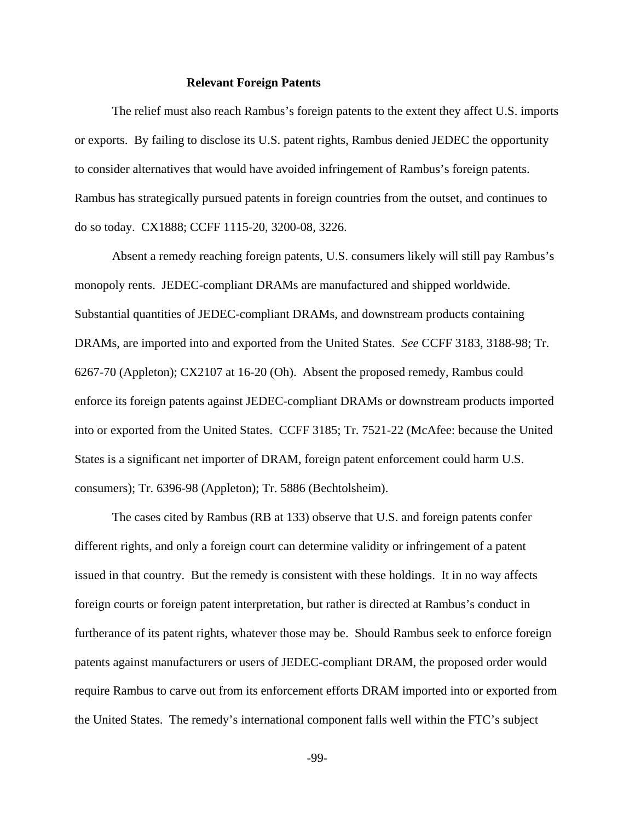#### **Relevant Foreign Patents**

The relief must also reach Rambus's foreign patents to the extent they affect U.S. imports or exports. By failing to disclose its U.S. patent rights, Rambus denied JEDEC the opportunity to consider alternatives that would have avoided infringement of Rambus's foreign patents. Rambus has strategically pursued patents in foreign countries from the outset, and continues to do so today. CX1888; CCFF 1115-20, 3200-08, 3226.

Absent a remedy reaching foreign patents, U.S. consumers likely will still pay Rambus's monopoly rents. JEDEC-compliant DRAMs are manufactured and shipped worldwide. Substantial quantities of JEDEC-compliant DRAMs, and downstream products containing DRAMs, are imported into and exported from the United States. *See* CCFF 3183, 3188-98; Tr. 6267-70 (Appleton); CX2107 at 16-20 (Oh). Absent the proposed remedy, Rambus could enforce its foreign patents against JEDEC-compliant DRAMs or downstream products imported into or exported from the United States. CCFF 3185; Tr. 7521-22 (McAfee: because the United States is a significant net importer of DRAM, foreign patent enforcement could harm U.S. consumers); Tr. 6396-98 (Appleton); Tr. 5886 (Bechtolsheim).

The cases cited by Rambus (RB at 133) observe that U.S. and foreign patents confer different rights, and only a foreign court can determine validity or infringement of a patent issued in that country. But the remedy is consistent with these holdings. It in no way affects foreign courts or foreign patent interpretation, but rather is directed at Rambus's conduct in furtherance of its patent rights, whatever those may be. Should Rambus seek to enforce foreign patents against manufacturers or users of JEDEC-compliant DRAM, the proposed order would require Rambus to carve out from its enforcement efforts DRAM imported into or exported from the United States. The remedy's international component falls well within the FTC's subject

-99-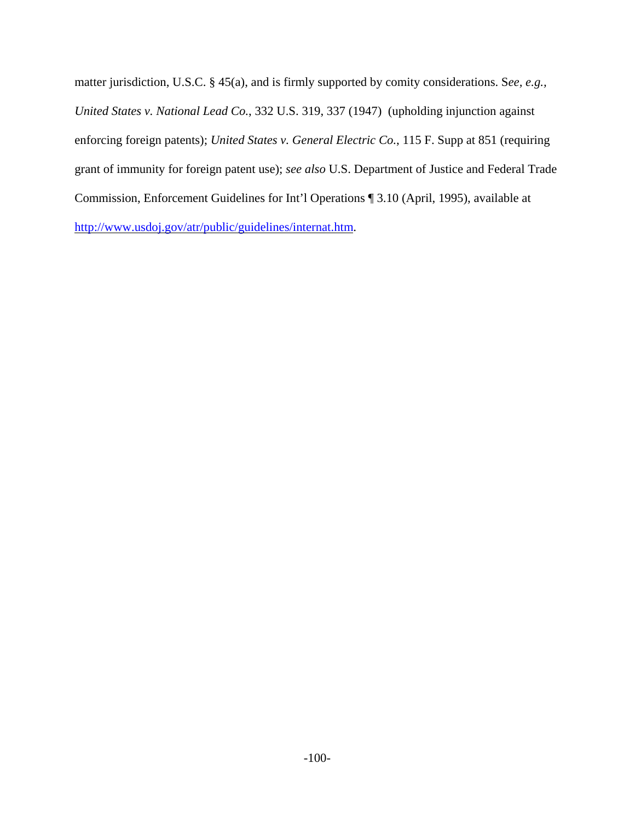matter jurisdiction, U.S.C. § 45(a), and is firmly supported by comity considerations. S*ee, e.g., United States v. National Lead Co.*, 332 U.S. 319, 337 (1947) (upholding injunction against enforcing foreign patents); *United States v. General Electric Co.*, 115 F. Supp at 851 (requiring grant of immunity for foreign patent use); *see also* U.S. Department of Justice and Federal Trade Commission, Enforcement Guidelines for Int'l Operations ¶ 3.10 (April, 1995), available at http://www.usdoj.gov/atr/public/guidelines/internat.htm.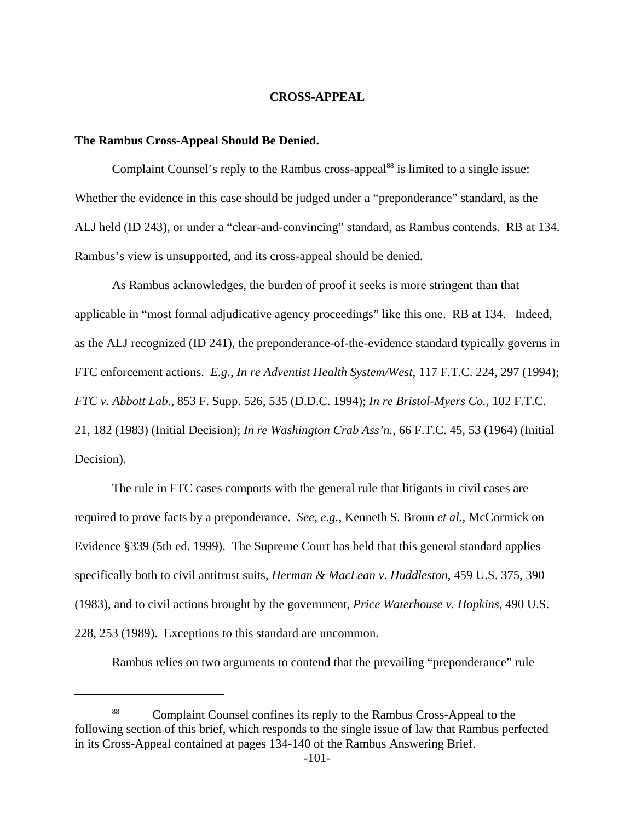### **CROSS-APPEAL**

### **The Rambus Cross-Appeal Should Be Denied.**

Complaint Counsel's reply to the Rambus cross-appeal<sup>88</sup> is limited to a single issue: Whether the evidence in this case should be judged under a "preponderance" standard, as the ALJ held (ID 243), or under a "clear-and-convincing" standard, as Rambus contends. RB at 134. Rambus's view is unsupported, and its cross-appeal should be denied.

As Rambus acknowledges, the burden of proof it seeks is more stringent than that applicable in "most formal adjudicative agency proceedings" like this one. RB at 134. Indeed, as the ALJ recognized (ID 241), the preponderance-of-the-evidence standard typically governs in FTC enforcement actions. *E.g.*, *In re Adventist Health System/West,* 117 F.T.C. 224, 297 (1994); *FTC v. Abbott Lab.*, 853 F. Supp. 526, 535 (D.D.C. 1994); *In re Bristol-Myers Co.*, 102 F.T.C. 21, 182 (1983) (Initial Decision); *In re Washington Crab Ass'n.*, 66 F.T.C. 45, 53 (1964) (Initial Decision).

The rule in FTC cases comports with the general rule that litigants in civil cases are required to prove facts by a preponderance. *See, e.g.,* Kenneth S. Broun *et al.*, McCormick on Evidence §339 (5th ed. 1999). The Supreme Court has held that this general standard applies specifically both to civil antitrust suits, *Herman & MacLean v. Huddleston*, 459 U.S. 375, 390 (1983), and to civil actions brought by the government, *Price Waterhouse v. Hopkins,* 490 U.S. 228, 253 (1989). Exceptions to this standard are uncommon.

Rambus relies on two arguments to contend that the prevailing "preponderance" rule

<sup>88</sup> Complaint Counsel confines its reply to the Rambus Cross-Appeal to the following section of this brief, which responds to the single issue of law that Rambus perfected in its Cross-Appeal contained at pages 134-140 of the Rambus Answering Brief.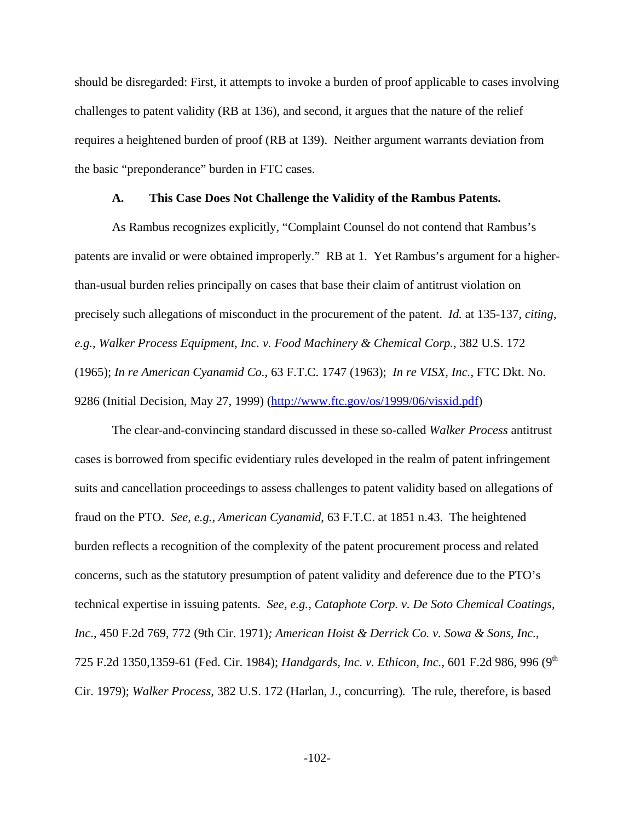should be disregarded: First, it attempts to invoke a burden of proof applicable to cases involving challenges to patent validity (RB at 136), and second, it argues that the nature of the relief requires a heightened burden of proof (RB at 139). Neither argument warrants deviation from the basic "preponderance" burden in FTC cases.

#### **A. This Case Does Not Challenge the Validity of the Rambus Patents.**

As Rambus recognizes explicitly, "Complaint Counsel do not contend that Rambus's patents are invalid or were obtained improperly." RB at 1. Yet Rambus's argument for a higherthan-usual burden relies principally on cases that base their claim of antitrust violation on precisely such allegations of misconduct in the procurement of the patent. *Id.* at 135-137, *citing, e.g., Walker Process Equipment, Inc. v. Food Machinery & Chemical Corp.,* 382 U.S. 172 (1965); *In re American Cyanamid Co.*, 63 F.T.C. 1747 (1963); *In re VISX, Inc.*, FTC Dkt. No. 9286 (Initial Decision, May 27, 1999) (http://www.ftc.gov/os/1999/06/visxid.pdf)

The clear-and-convincing standard discussed in these so-called *Walker Process* antitrust cases is borrowed from specific evidentiary rules developed in the realm of patent infringement suits and cancellation proceedings to assess challenges to patent validity based on allegations of fraud on the PTO. *See, e.g., American Cyanamid*, 63 F.T.C. at 1851 n.43. The heightened burden reflects a recognition of the complexity of the patent procurement process and related concerns, such as the statutory presumption of patent validity and deference due to the PTO's technical expertise in issuing patents. *See, e.g., Cataphote Corp. v. De Soto Chemical Coatings, Inc*., 450 F.2d 769, 772 (9th Cir. 1971)*; American Hoist & Derrick Co. v. Sowa & Sons, Inc.*, 725 F.2d 1350,1359-61 (Fed. Cir. 1984); *Handgards, Inc. v. Ethicon, Inc.*, 601 F.2d 986, 996 (9th Cir. 1979); *Walker Process,* 382 U.S. 172 (Harlan, J., concurring)*.* The rule, therefore, is based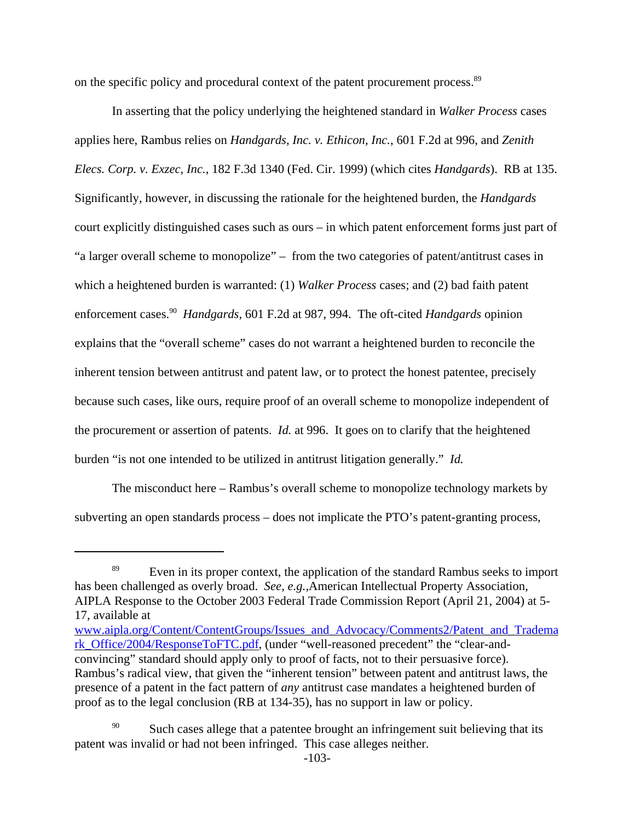on the specific policy and procedural context of the patent procurement process.<sup>89</sup>

In asserting that the policy underlying the heightened standard in *Walker Process* cases applies here, Rambus relies on *Handgards, Inc. v. Ethicon, Inc.*, 601 F.2d at 996, and *Zenith Elecs. Corp. v. Exzec, Inc.*, 182 F.3d 1340 (Fed. Cir. 1999) (which cites *Handgards*). RB at 135. Significantly, however, in discussing the rationale for the heightened burden, the *Handgards* court explicitly distinguished cases such as ours – in which patent enforcement forms just part of "a larger overall scheme to monopolize" – from the two categories of patent/antitrust cases in which a heightened burden is warranted: (1) *Walker Process* cases; and (2) bad faith patent enforcement cases.90 *Handgards*, 601 F.2d at 987, 994. The oft-cited *Handgards* opinion explains that the "overall scheme" cases do not warrant a heightened burden to reconcile the inherent tension between antitrust and patent law, or to protect the honest patentee, precisely because such cases, like ours, require proof of an overall scheme to monopolize independent of the procurement or assertion of patents. *Id.* at 996. It goes on to clarify that the heightened burden "is not one intended to be utilized in antitrust litigation generally." *Id.*

The misconduct here – Rambus's overall scheme to monopolize technology markets by subverting an open standards process – does not implicate the PTO's patent-granting process,

<sup>&</sup>lt;sup>89</sup> Even in its proper context, the application of the standard Rambus seeks to import has been challenged as overly broad. *See, e.g.,*American Intellectual Property Association, AIPLA Response to the October 2003 Federal Trade Commission Report (April 21, 2004) at 5- 17, available at

www.aipla.org/Content/ContentGroups/Issues\_and\_Advocacy/Comments2/Patent\_and\_Tradema rk\_Office/2004/ResponseToFTC.pdf, (under "well-reasoned precedent" the "clear-andconvincing" standard should apply only to proof of facts, not to their persuasive force). Rambus's radical view, that given the "inherent tension" between patent and antitrust laws, the presence of a patent in the fact pattern of *any* antitrust case mandates a heightened burden of proof as to the legal conclusion (RB at 134-35), has no support in law or policy.

<sup>&</sup>lt;sup>90</sup> Such cases allege that a patentee brought an infringement suit believing that its patent was invalid or had not been infringed. This case alleges neither.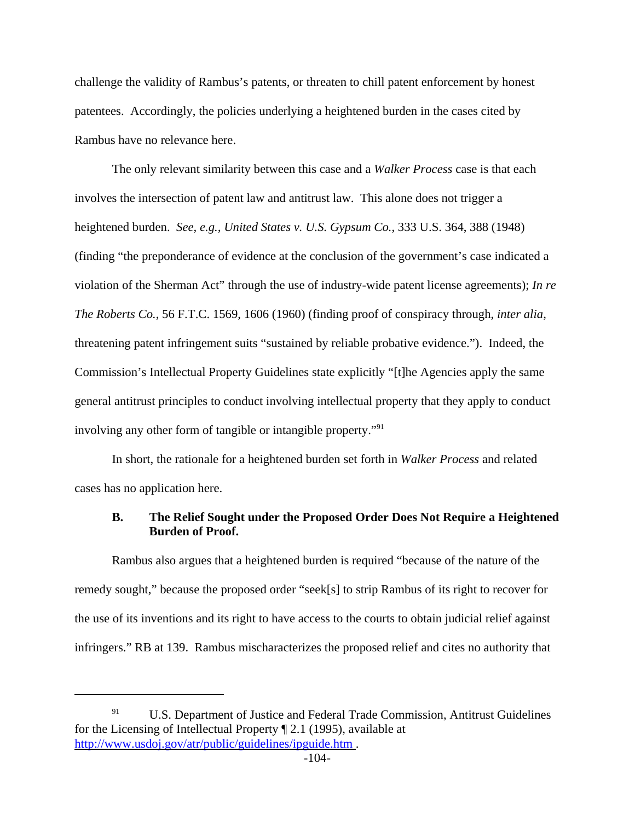challenge the validity of Rambus's patents, or threaten to chill patent enforcement by honest patentees. Accordingly, the policies underlying a heightened burden in the cases cited by Rambus have no relevance here.

The only relevant similarity between this case and a *Walker Process* case is that each involves the intersection of patent law and antitrust law. This alone does not trigger a heightened burden. *See, e.g., United States v. U.S. Gypsum Co.*, 333 U.S. 364, 388 (1948) (finding "the preponderance of evidence at the conclusion of the government's case indicated a violation of the Sherman Act" through the use of industry-wide patent license agreements); *In re The Roberts Co.*, 56 F.T.C. 1569, 1606 (1960) (finding proof of conspiracy through, *inter alia*, threatening patent infringement suits "sustained by reliable probative evidence.").Indeed, the Commission's Intellectual Property Guidelines state explicitly "[t]he Agencies apply the same general antitrust principles to conduct involving intellectual property that they apply to conduct involving any other form of tangible or intangible property."<sup>91</sup>

In short, the rationale for a heightened burden set forth in *Walker Process* and related cases has no application here.

# **B. The Relief Sought under the Proposed Order Does Not Require a Heightened Burden of Proof.**

Rambus also argues that a heightened burden is required "because of the nature of the remedy sought," because the proposed order "seek[s] to strip Rambus of its right to recover for the use of its inventions and its right to have access to the courts to obtain judicial relief against infringers." RB at 139. Rambus mischaracterizes the proposed relief and cites no authority that

 $91$  U.S. Department of Justice and Federal Trade Commission, Antitrust Guidelines for the Licensing of Intellectual Property ¶ 2.1 (1995), available at http://www.usdoj.gov/atr/public/guidelines/ipguide.htm .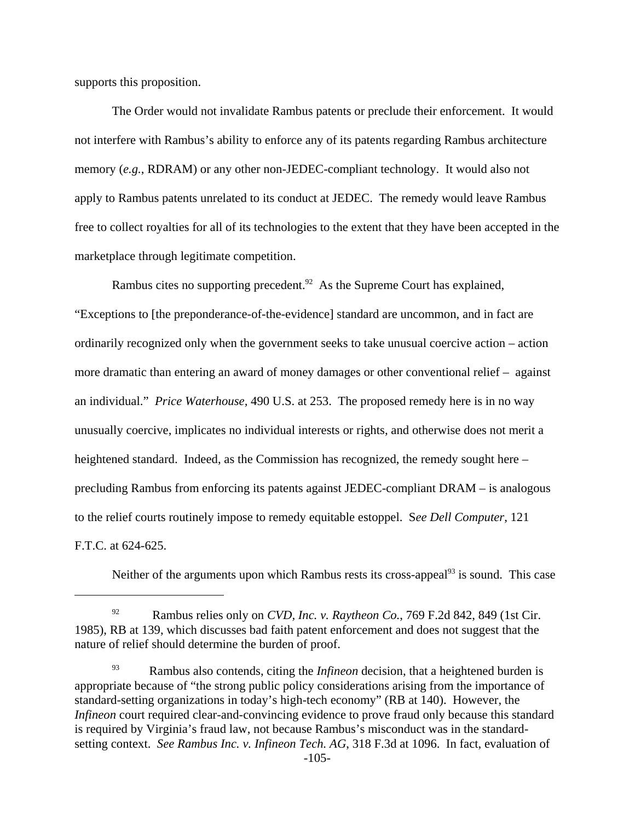supports this proposition.

The Order would not invalidate Rambus patents or preclude their enforcement. It would not interfere with Rambus's ability to enforce any of its patents regarding Rambus architecture memory (*e.g.*, RDRAM) or any other non-JEDEC-compliant technology. It would also not apply to Rambus patents unrelated to its conduct at JEDEC. The remedy would leave Rambus free to collect royalties for all of its technologies to the extent that they have been accepted in the marketplace through legitimate competition.

Rambus cites no supporting precedent.<sup>92</sup> As the Supreme Court has explained, "Exceptions to [the preponderance-of-the-evidence] standard are uncommon, and in fact are ordinarily recognized only when the government seeks to take unusual coercive action – action more dramatic than entering an award of money damages or other conventional relief – against an individual." *Price Waterhouse,* 490 U.S. at 253. The proposed remedy here is in no way unusually coercive, implicates no individual interests or rights, and otherwise does not merit a heightened standard. Indeed, as the Commission has recognized, the remedy sought here – precluding Rambus from enforcing its patents against JEDEC-compliant DRAM – is analogous to the relief courts routinely impose to remedy equitable estoppel. S*ee Dell Computer*, 121 F.T.C. at 624-625.

Neither of the arguments upon which Rambus rests its cross-appeal<sup>93</sup> is sound. This case

<sup>92</sup> Rambus relies only on *CVD, Inc. v. Raytheon Co.*, 769 F.2d 842, 849 (1st Cir. 1985), RB at 139, which discusses bad faith patent enforcement and does not suggest that the nature of relief should determine the burden of proof.

<sup>93</sup> Rambus also contends, citing the *Infineon* decision, that a heightened burden is appropriate because of "the strong public policy considerations arising from the importance of standard-setting organizations in today's high-tech economy" (RB at 140). However, the *Infineon* court required clear-and-convincing evidence to prove fraud only because this standard is required by Virginia's fraud law, not because Rambus's misconduct was in the standardsetting context. *See Rambus Inc. v. Infineon Tech. AG*, 318 F.3d at 1096. In fact, evaluation of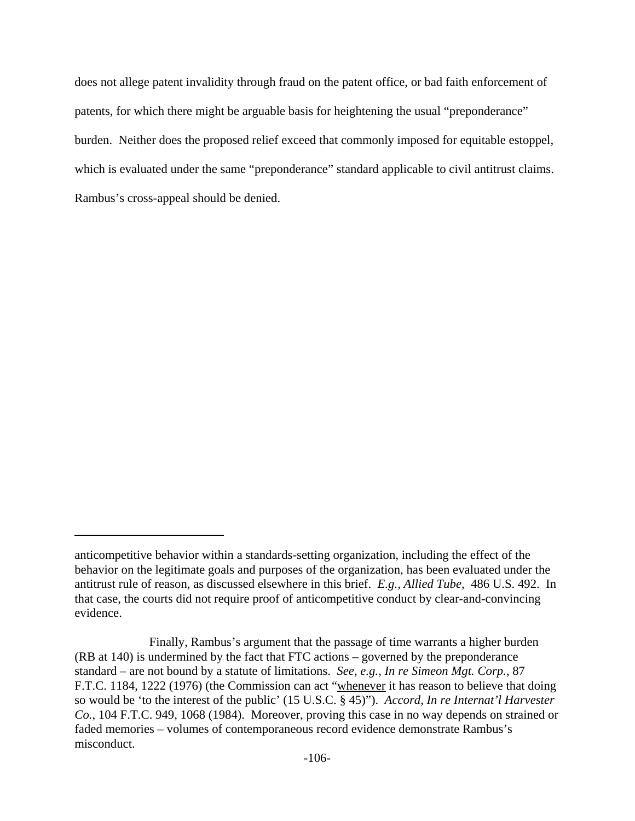does not allege patent invalidity through fraud on the patent office, or bad faith enforcement of patents, for which there might be arguable basis for heightening the usual "preponderance" burden. Neither does the proposed relief exceed that commonly imposed for equitable estoppel, which is evaluated under the same "preponderance" standard applicable to civil antitrust claims. Rambus's cross-appeal should be denied.

anticompetitive behavior within a standards-setting organization, including the effect of the behavior on the legitimate goals and purposes of the organization, has been evaluated under the antitrust rule of reason, as discussed elsewhere in this brief. *E.g., Allied Tube,* 486 U.S. 492. In that case, the courts did not require proof of anticompetitive conduct by clear-and-convincing evidence.

Finally, Rambus's argument that the passage of time warrants a higher burden (RB at 140) is undermined by the fact that FTC actions – governed by the preponderance standard – are not bound by a statute of limitations. *See, e.g., In re Simeon Mgt. Corp.*, 87 F.T.C. 1184, 1222 (1976) (the Commission can act "whenever it has reason to believe that doing so would be 'to the interest of the public' (15 U.S.C. § 45)"). *Accord*, *In re Internat'l Harvester Co.*, 104 F.T.C. 949, 1068 (1984). Moreover, proving this case in no way depends on strained or faded memories – volumes of contemporaneous record evidence demonstrate Rambus's misconduct.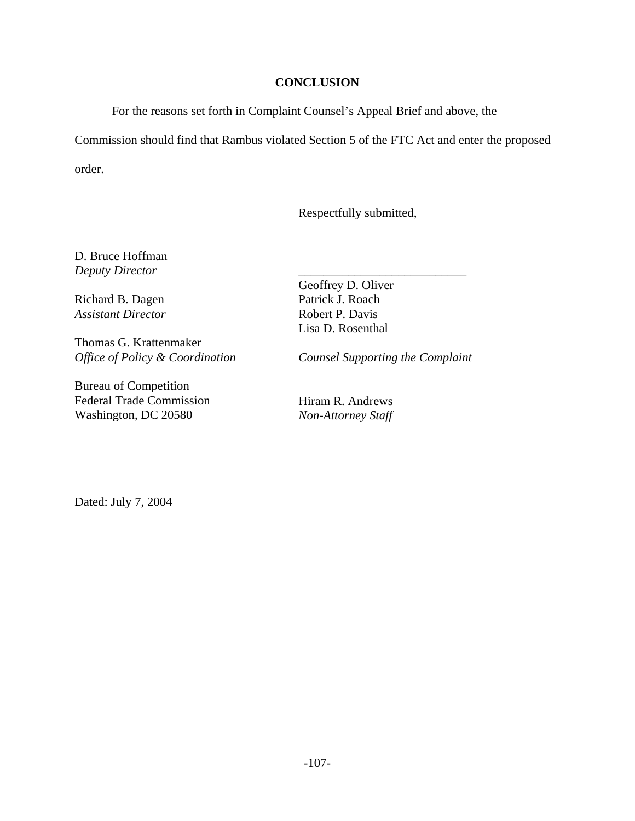## **CONCLUSION**

For the reasons set forth in Complaint Counsel's Appeal Brief and above, the

Commission should find that Rambus violated Section 5 of the FTC Act and enter the proposed

order.

Respectfully submitted,

D. Bruce Hoffman *Deputy Director*

Richard B. Dagen *Assistant Director*

Thomas G. Krattenmaker *Office of Policy & Coordination*

Bureau of Competition Federal Trade Commission Washington, DC 20580

Geoffrey D. Oliver Patrick J. Roach Robert P. Davis Lisa D. Rosenthal

*Counsel Supporting the Complaint*

\_\_\_\_\_\_\_\_\_\_\_\_\_\_\_\_\_\_\_\_\_\_\_\_\_\_\_

Hiram R. Andrews *Non-Attorney Staff*

Dated: July 7, 2004